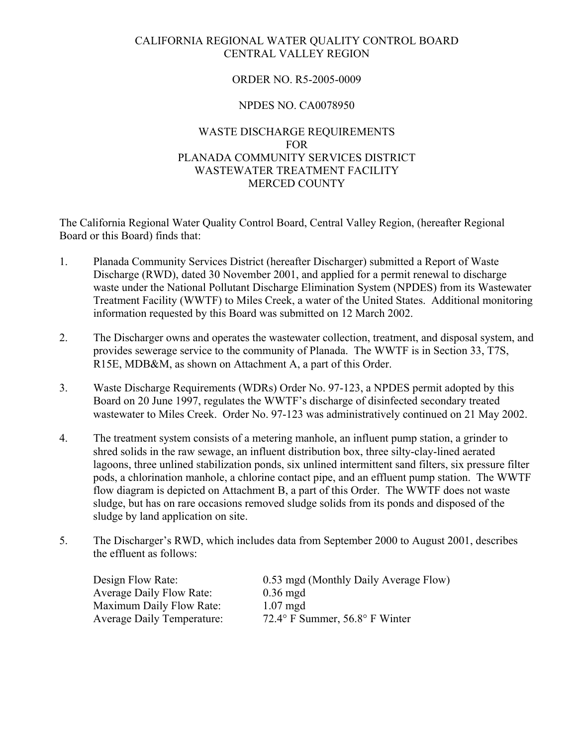# CALIFORNIA REGIONAL WATER QUALITY CONTROL BOARD CENTRAL VALLEY REGION

# ORDER NO. R5-2005-0009

# NPDES NO. CA0078950

# WASTE DISCHARGE REQUIREMENTS FOR PLANADA COMMUNITY SERVICES DISTRICT WASTEWATER TREATMENT FACILITY MERCED COUNTY

The California Regional Water Quality Control Board, Central Valley Region, (hereafter Regional Board or this Board) finds that:

- 1. Planada Community Services District (hereafter Discharger) submitted a Report of Waste Discharge (RWD), dated 30 November 2001, and applied for a permit renewal to discharge waste under the National Pollutant Discharge Elimination System (NPDES) from its Wastewater Treatment Facility (WWTF) to Miles Creek, a water of the United States. Additional monitoring information requested by this Board was submitted on 12 March 2002.
- 2. The Discharger owns and operates the wastewater collection, treatment, and disposal system, and provides sewerage service to the community of Planada. The WWTF is in Section 33, T7S, R15E, MDB&M, as shown on Attachment A, a part of this Order.
- 3. Waste Discharge Requirements (WDRs) Order No. 97-123, a NPDES permit adopted by this Board on 20 June 1997, regulates the WWTF's discharge of disinfected secondary treated wastewater to Miles Creek. Order No. 97-123 was administratively continued on 21 May 2002.
- 4. The treatment system consists of a metering manhole, an influent pump station, a grinder to shred solids in the raw sewage, an influent distribution box, three silty-clay-lined aerated lagoons, three unlined stabilization ponds, six unlined intermittent sand filters, six pressure filter pods, a chlorination manhole, a chlorine contact pipe, and an effluent pump station. The WWTF flow diagram is depicted on Attachment B, a part of this Order. The WWTF does not waste sludge, but has on rare occasions removed sludge solids from its ponds and disposed of the sludge by land application on site.
- 5. The Discharger's RWD, which includes data from September 2000 to August 2001, describes the effluent as follows:

Design Flow Rate: 0.53 mgd (Monthly Daily Average Flow) Average Daily Flow Rate: 0.36 mgd Maximum Daily Flow Rate: 1.07 mgd Average Daily Temperature: 72.4° F Summer, 56.8° F Winter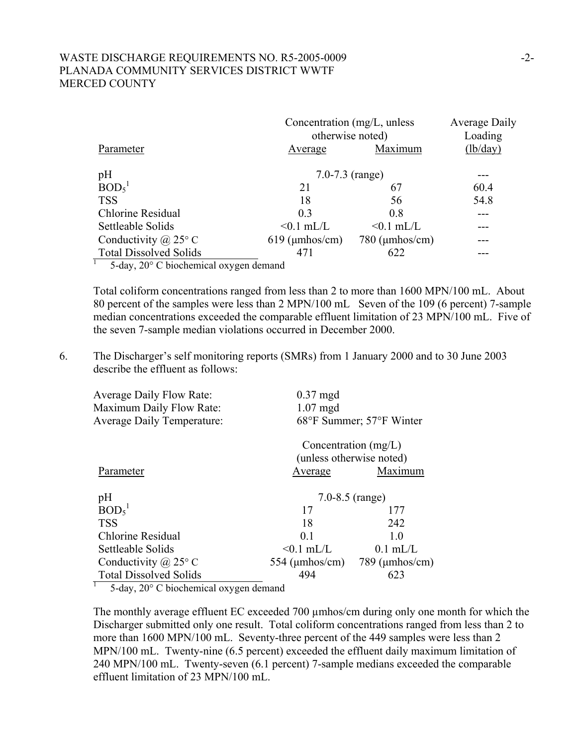# WASTE DISCHARGE REQUIREMENTS NO. R5-2005-0009 -2-PLANADA COMMUNITY SERVICES DISTRICT WWTF MERCED COUNTY

|                                    |                          | Concentration (mg/L, unless<br>otherwise noted) |          |
|------------------------------------|--------------------------|-------------------------------------------------|----------|
| Parameter                          | Average                  | Maximum                                         | (lb/day) |
| $pH$ BOD <sub>5</sub> <sup>1</sup> |                          | 7.0-7.3 $(range)$                               |          |
|                                    | 21                       | 67                                              | 60.4     |
| <b>TSS</b>                         | 18                       | 56                                              | 54.8     |
| Chlorine Residual                  | 0.3                      | 0.8                                             |          |
| Settleable Solids                  | $< 0.1$ mL/L             | $< 0.1$ mL/L                                    |          |
| Conductivity $\omega$ 25° C        | $619 \text{ (µmhos/cm)}$ | $780 \, (\mu \text{mhos/cm})$                   |          |
| <b>Total Dissolved Solids</b>      | 471                      | 622                                             |          |
|                                    |                          |                                                 |          |

1 5-day, 20° C biochemical oxygen demand

Total coliform concentrations ranged from less than 2 to more than 1600 MPN/100 mL. About 80 percent of the samples were less than 2 MPN/100 mL Seven of the 109 (6 percent) 7-sample median concentrations exceeded the comparable effluent limitation of 23 MPN/100 mL. Five of the seven 7-sample median violations occurred in December 2000.

6. The Discharger's self monitoring reports (SMRs) from 1 January 2000 and to 30 June 2003 describe the effluent as follows:

| <b>Average Daily Flow Rate:</b><br>Maximum Daily Flow Rate:<br><b>Average Daily Temperature:</b> | $0.37$ mgd<br>$1.07$ mgd<br>68°F Summer; 57°F Winter |                               |  |
|--------------------------------------------------------------------------------------------------|------------------------------------------------------|-------------------------------|--|
|                                                                                                  | Concentration $(mg/L)$                               | (unless otherwise noted)      |  |
| Parameter                                                                                        | Average                                              | Maximum                       |  |
| pH                                                                                               | 7.0-8.5 $(range)$                                    |                               |  |
| BOD <sub>5</sub> <sup>1</sup>                                                                    | 17                                                   | 177                           |  |
| <b>TSS</b>                                                                                       | 18                                                   | 242                           |  |
| Chlorine Residual                                                                                | 0 <sub>1</sub>                                       | 10                            |  |
| Settleable Solids                                                                                | $< 0.1$ mL/L                                         | $0.1$ mL/L                    |  |
| Conductivity $(a)$ 25° C                                                                         | 554 ( $\mu$ mhos/cm)                                 | $789 \, (\mu \text{mhos/cm})$ |  |
| <b>Total Dissolved Solids</b>                                                                    | 494                                                  | 623                           |  |

<sup>1</sup> 5-day, 20 $\degree$  C biochemical oxygen demand

The monthly average effluent EC exceeded 700 µmhos/cm during only one month for which the Discharger submitted only one result. Total coliform concentrations ranged from less than 2 to more than 1600 MPN/100 mL. Seventy-three percent of the 449 samples were less than 2 MPN/100 mL. Twenty-nine (6.5 percent) exceeded the effluent daily maximum limitation of 240 MPN/100 mL. Twenty-seven (6.1 percent) 7-sample medians exceeded the comparable effluent limitation of 23 MPN/100 mL.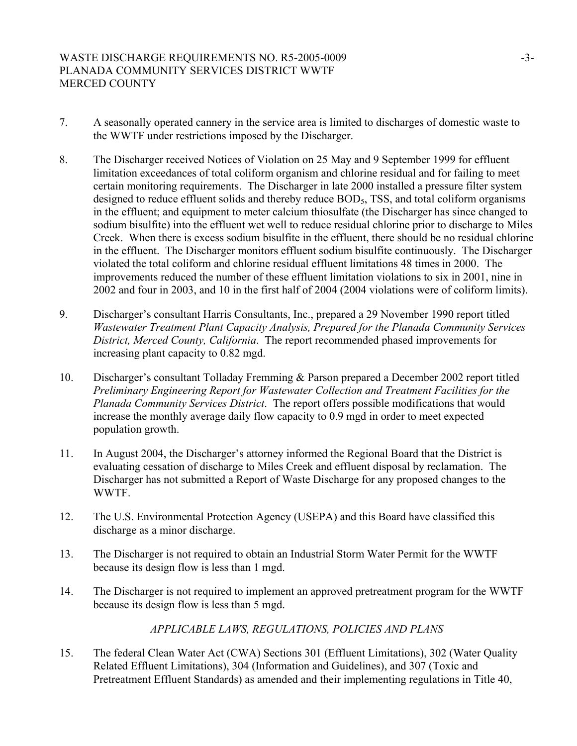# WASTE DISCHARGE REQUIREMENTS NO. R5-2005-0009 -3-3-3-3-3-3-3-3-3-3-3-3-3-3-3-3-3-PLANADA COMMUNITY SERVICES DISTRICT WWTF MERCED COUNTY

- 7. A seasonally operated cannery in the service area is limited to discharges of domestic waste to the WWTF under restrictions imposed by the Discharger.
- 8. The Discharger received Notices of Violation on 25 May and 9 September 1999 for effluent limitation exceedances of total coliform organism and chlorine residual and for failing to meet certain monitoring requirements. The Discharger in late 2000 installed a pressure filter system designed to reduce effluent solids and thereby reduce BOD<sub>5</sub>, TSS, and total coliform organisms in the effluent; and equipment to meter calcium thiosulfate (the Discharger has since changed to sodium bisulfite) into the effluent wet well to reduce residual chlorine prior to discharge to Miles Creek. When there is excess sodium bisulfite in the effluent, there should be no residual chlorine in the effluent. The Discharger monitors effluent sodium bisulfite continuously. The Discharger violated the total coliform and chlorine residual effluent limitations 48 times in 2000. The improvements reduced the number of these effluent limitation violations to six in 2001, nine in 2002 and four in 2003, and 10 in the first half of 2004 (2004 violations were of coliform limits).
- 9. Discharger's consultant Harris Consultants, Inc., prepared a 29 November 1990 report titled *Wastewater Treatment Plant Capacity Analysis, Prepared for the Planada Community Services District, Merced County, California*. The report recommended phased improvements for increasing plant capacity to 0.82 mgd.
- 10. Discharger's consultant Tolladay Fremming & Parson prepared a December 2002 report titled *Preliminary Engineering Report for Wastewater Collection and Treatment Facilities for the Planada Community Services District*. The report offers possible modifications that would increase the monthly average daily flow capacity to 0.9 mgd in order to meet expected population growth.
- 11. In August 2004, the Discharger's attorney informed the Regional Board that the District is evaluating cessation of discharge to Miles Creek and effluent disposal by reclamation. The Discharger has not submitted a Report of Waste Discharge for any proposed changes to the WWTF.
- 12. The U.S. Environmental Protection Agency (USEPA) and this Board have classified this discharge as a minor discharge.
- 13. The Discharger is not required to obtain an Industrial Storm Water Permit for the WWTF because its design flow is less than 1 mgd.
- 14. The Discharger is not required to implement an approved pretreatment program for the WWTF because its design flow is less than 5 mgd.

# *APPLICABLE LAWS, REGULATIONS, POLICIES AND PLANS*

15. The federal Clean Water Act (CWA) Sections 301 (Effluent Limitations), 302 (Water Quality Related Effluent Limitations), 304 (Information and Guidelines), and 307 (Toxic and Pretreatment Effluent Standards) as amended and their implementing regulations in Title 40,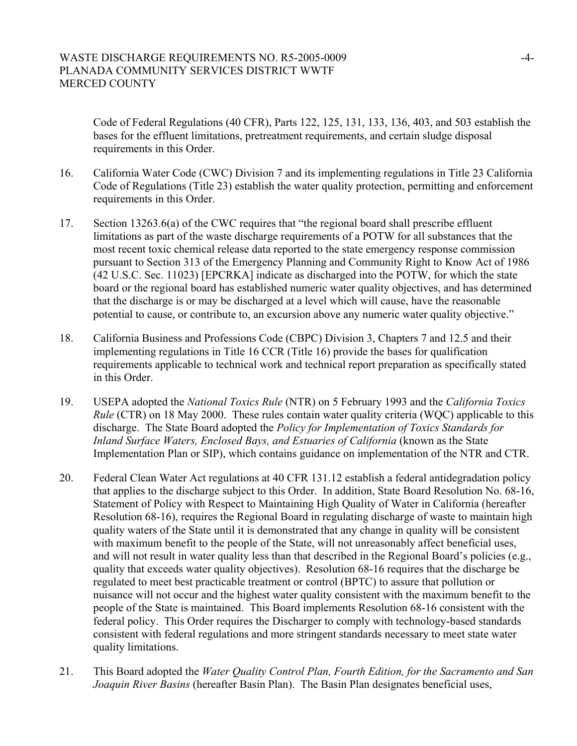Code of Federal Regulations (40 CFR), Parts 122, 125, 131, 133, 136, 403, and 503 establish the bases for the effluent limitations, pretreatment requirements, and certain sludge disposal requirements in this Order.

- 16. California Water Code (CWC) Division 7 and its implementing regulations in Title 23 California Code of Regulations (Title 23) establish the water quality protection, permitting and enforcement requirements in this Order.
- 17. Section 13263.6(a) of the CWC requires that "the regional board shall prescribe effluent limitations as part of the waste discharge requirements of a POTW for all substances that the most recent toxic chemical release data reported to the state emergency response commission pursuant to Section 313 of the Emergency Planning and Community Right to Know Act of 1986 (42 U.S.C. Sec. 11023) [EPCRKA] indicate as discharged into the POTW, for which the state board or the regional board has established numeric water quality objectives, and has determined that the discharge is or may be discharged at a level which will cause, have the reasonable potential to cause, or contribute to, an excursion above any numeric water quality objective."
- 18. California Business and Professions Code (CBPC) Division 3, Chapters 7 and 12.5 and their implementing regulations in Title 16 CCR (Title 16) provide the bases for qualification requirements applicable to technical work and technical report preparation as specifically stated in this Order.
- 19. USEPA adopted the *National Toxics Rule* (NTR) on 5 February 1993 and the *California Toxics Rule* (CTR) on 18 May 2000. These rules contain water quality criteria (WOC) applicable to this discharge. The State Board adopted the *Policy for Implementation of Toxics Standards for Inland Surface Waters, Enclosed Bays, and Estuaries of California* (known as the State Implementation Plan or SIP), which contains guidance on implementation of the NTR and CTR.
- 20. Federal Clean Water Act regulations at 40 CFR 131.12 establish a federal antidegradation policy that applies to the discharge subject to this Order. In addition, State Board Resolution No. 68-16, Statement of Policy with Respect to Maintaining High Quality of Water in California (hereafter Resolution 68-16), requires the Regional Board in regulating discharge of waste to maintain high quality waters of the State until it is demonstrated that any change in quality will be consistent with maximum benefit to the people of the State, will not unreasonably affect beneficial uses, and will not result in water quality less than that described in the Regional Board's policies (e.g., quality that exceeds water quality objectives). Resolution 68-16 requires that the discharge be regulated to meet best practicable treatment or control (BPTC) to assure that pollution or nuisance will not occur and the highest water quality consistent with the maximum benefit to the people of the State is maintained. This Board implements Resolution 68-16 consistent with the federal policy. This Order requires the Discharger to comply with technology-based standards consistent with federal regulations and more stringent standards necessary to meet state water quality limitations.
- 21. This Board adopted the *Water Quality Control Plan, Fourth Edition, for the Sacramento and San Joaquin River Basins* (hereafter Basin Plan). The Basin Plan designates beneficial uses,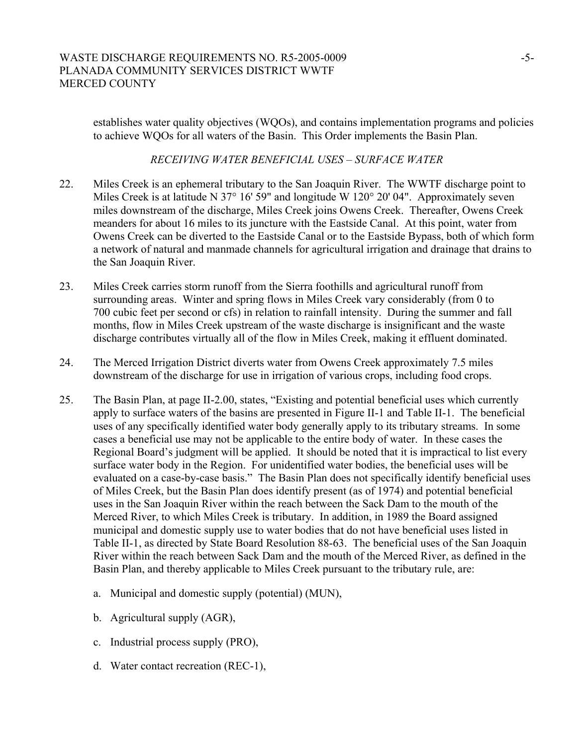establishes water quality objectives (WQOs), and contains implementation programs and policies to achieve WQOs for all waters of the Basin. This Order implements the Basin Plan.

# *RECEIVING WATER BENEFICIAL USES – SURFACE WATER*

- 22. Miles Creek is an ephemeral tributary to the San Joaquin River. The WWTF discharge point to Miles Creek is at latitude N 37° 16' 59" and longitude W 120° 20' 04". Approximately seven miles downstream of the discharge, Miles Creek joins Owens Creek. Thereafter, Owens Creek meanders for about 16 miles to its juncture with the Eastside Canal. At this point, water from Owens Creek can be diverted to the Eastside Canal or to the Eastside Bypass, both of which form a network of natural and manmade channels for agricultural irrigation and drainage that drains to the San Joaquin River.
- 23. Miles Creek carries storm runoff from the Sierra foothills and agricultural runoff from surrounding areas. Winter and spring flows in Miles Creek vary considerably (from 0 to 700 cubic feet per second or cfs) in relation to rainfall intensity. During the summer and fall months, flow in Miles Creek upstream of the waste discharge is insignificant and the waste discharge contributes virtually all of the flow in Miles Creek, making it effluent dominated.
- 24. The Merced Irrigation District diverts water from Owens Creek approximately 7.5 miles downstream of the discharge for use in irrigation of various crops, including food crops.
- 25. The Basin Plan, at page II-2.00, states, "Existing and potential beneficial uses which currently apply to surface waters of the basins are presented in Figure II-1 and Table II-1. The beneficial uses of any specifically identified water body generally apply to its tributary streams. In some cases a beneficial use may not be applicable to the entire body of water. In these cases the Regional Board's judgment will be applied. It should be noted that it is impractical to list every surface water body in the Region. For unidentified water bodies, the beneficial uses will be evaluated on a case-by-case basis." The Basin Plan does not specifically identify beneficial uses of Miles Creek, but the Basin Plan does identify present (as of 1974) and potential beneficial uses in the San Joaquin River within the reach between the Sack Dam to the mouth of the Merced River, to which Miles Creek is tributary. In addition, in 1989 the Board assigned municipal and domestic supply use to water bodies that do not have beneficial uses listed in Table II-1, as directed by State Board Resolution 88-63. The beneficial uses of the San Joaquin River within the reach between Sack Dam and the mouth of the Merced River, as defined in the Basin Plan, and thereby applicable to Miles Creek pursuant to the tributary rule, are:
	- a. Municipal and domestic supply (potential) (MUN),
	- b. Agricultural supply (AGR),
	- c. Industrial process supply (PRO),
	- d. Water contact recreation (REC-1),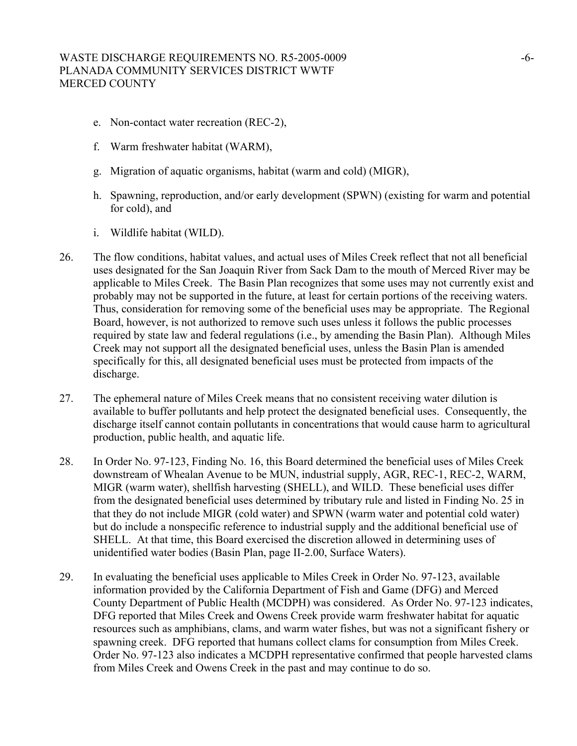- e. Non-contact water recreation (REC-2),
- f. Warm freshwater habitat (WARM),
- g. Migration of aquatic organisms, habitat (warm and cold) (MIGR),
- h. Spawning, reproduction, and/or early development (SPWN) (existing for warm and potential for cold), and
- i. Wildlife habitat (WILD).
- 26. The flow conditions, habitat values, and actual uses of Miles Creek reflect that not all beneficial uses designated for the San Joaquin River from Sack Dam to the mouth of Merced River may be applicable to Miles Creek. The Basin Plan recognizes that some uses may not currently exist and probably may not be supported in the future, at least for certain portions of the receiving waters. Thus, consideration for removing some of the beneficial uses may be appropriate. The Regional Board, however, is not authorized to remove such uses unless it follows the public processes required by state law and federal regulations (i.e., by amending the Basin Plan). Although Miles Creek may not support all the designated beneficial uses, unless the Basin Plan is amended specifically for this, all designated beneficial uses must be protected from impacts of the discharge.
- 27. The ephemeral nature of Miles Creek means that no consistent receiving water dilution is available to buffer pollutants and help protect the designated beneficial uses. Consequently, the discharge itself cannot contain pollutants in concentrations that would cause harm to agricultural production, public health, and aquatic life.
- 28. In Order No. 97-123, Finding No. 16, this Board determined the beneficial uses of Miles Creek downstream of Whealan Avenue to be MUN, industrial supply, AGR, REC-1, REC-2, WARM, MIGR (warm water), shellfish harvesting (SHELL), and WILD. These beneficial uses differ from the designated beneficial uses determined by tributary rule and listed in Finding No. 25 in that they do not include MIGR (cold water) and SPWN (warm water and potential cold water) but do include a nonspecific reference to industrial supply and the additional beneficial use of SHELL. At that time, this Board exercised the discretion allowed in determining uses of unidentified water bodies (Basin Plan, page II-2.00, Surface Waters).
- 29. In evaluating the beneficial uses applicable to Miles Creek in Order No. 97-123, available information provided by the California Department of Fish and Game (DFG) and Merced County Department of Public Health (MCDPH) was considered. As Order No. 97-123 indicates, DFG reported that Miles Creek and Owens Creek provide warm freshwater habitat for aquatic resources such as amphibians, clams, and warm water fishes, but was not a significant fishery or spawning creek. DFG reported that humans collect clams for consumption from Miles Creek. Order No. 97-123 also indicates a MCDPH representative confirmed that people harvested clams from Miles Creek and Owens Creek in the past and may continue to do so.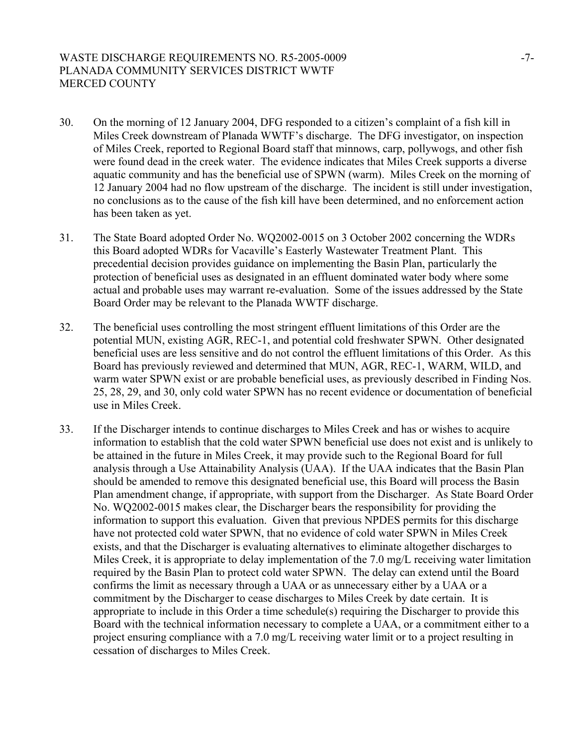# WASTE DISCHARGE REQUIREMENTS NO. R5-2005-0009 -7-PLANADA COMMUNITY SERVICES DISTRICT WWTF MERCED COUNTY

- 30. On the morning of 12 January 2004, DFG responded to a citizen's complaint of a fish kill in Miles Creek downstream of Planada WWTF's discharge. The DFG investigator, on inspection of Miles Creek, reported to Regional Board staff that minnows, carp, pollywogs, and other fish were found dead in the creek water. The evidence indicates that Miles Creek supports a diverse aquatic community and has the beneficial use of SPWN (warm). Miles Creek on the morning of 12 January 2004 had no flow upstream of the discharge. The incident is still under investigation, no conclusions as to the cause of the fish kill have been determined, and no enforcement action has been taken as yet.
- 31. The State Board adopted Order No. WQ2002-0015 on 3 October 2002 concerning the WDRs this Board adopted WDRs for Vacaville's Easterly Wastewater Treatment Plant. This precedential decision provides guidance on implementing the Basin Plan, particularly the protection of beneficial uses as designated in an effluent dominated water body where some actual and probable uses may warrant re-evaluation. Some of the issues addressed by the State Board Order may be relevant to the Planada WWTF discharge.
- 32. The beneficial uses controlling the most stringent effluent limitations of this Order are the potential MUN, existing AGR, REC-1, and potential cold freshwater SPWN. Other designated beneficial uses are less sensitive and do not control the effluent limitations of this Order. As this Board has previously reviewed and determined that MUN, AGR, REC-1, WARM, WILD, and warm water SPWN exist or are probable beneficial uses, as previously described in Finding Nos. 25, 28, 29, and 30, only cold water SPWN has no recent evidence or documentation of beneficial use in Miles Creek.
- 33. If the Discharger intends to continue discharges to Miles Creek and has or wishes to acquire information to establish that the cold water SPWN beneficial use does not exist and is unlikely to be attained in the future in Miles Creek, it may provide such to the Regional Board for full analysis through a Use Attainability Analysis (UAA). If the UAA indicates that the Basin Plan should be amended to remove this designated beneficial use, this Board will process the Basin Plan amendment change, if appropriate, with support from the Discharger. As State Board Order No. WQ2002-0015 makes clear, the Discharger bears the responsibility for providing the information to support this evaluation. Given that previous NPDES permits for this discharge have not protected cold water SPWN, that no evidence of cold water SPWN in Miles Creek exists, and that the Discharger is evaluating alternatives to eliminate altogether discharges to Miles Creek, it is appropriate to delay implementation of the 7.0 mg/L receiving water limitation required by the Basin Plan to protect cold water SPWN. The delay can extend until the Board confirms the limit as necessary through a UAA or as unnecessary either by a UAA or a commitment by the Discharger to cease discharges to Miles Creek by date certain. It is appropriate to include in this Order a time schedule(s) requiring the Discharger to provide this Board with the technical information necessary to complete a UAA, or a commitment either to a project ensuring compliance with a 7.0 mg/L receiving water limit or to a project resulting in cessation of discharges to Miles Creek.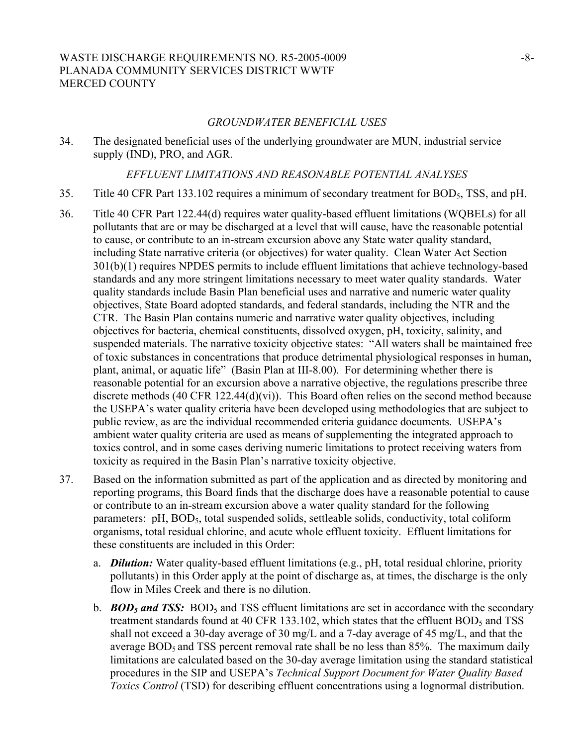# WASTE DISCHARGE REQUIREMENTS NO. R5-2005-0009 -8-8-PLANADA COMMUNITY SERVICES DISTRICT WWTF MERCED COUNTY

#### *GROUNDWATER BENEFICIAL USES*

34. The designated beneficial uses of the underlying groundwater are MUN, industrial service supply (IND), PRO, and AGR.

#### *EFFLUENT LIMITATIONS AND REASONABLE POTENTIAL ANALYSES*

- 35. Title 40 CFR Part 133.102 requires a minimum of secondary treatment for BOD5, TSS, and pH.
- 36. Title 40 CFR Part 122.44(d) requires water quality-based effluent limitations (WQBELs) for all pollutants that are or may be discharged at a level that will cause, have the reasonable potential to cause, or contribute to an in-stream excursion above any State water quality standard, including State narrative criteria (or objectives) for water quality. Clean Water Act Section 301(b)(1) requires NPDES permits to include effluent limitations that achieve technology-based standards and any more stringent limitations necessary to meet water quality standards. Water quality standards include Basin Plan beneficial uses and narrative and numeric water quality objectives, State Board adopted standards, and federal standards, including the NTR and the CTR. The Basin Plan contains numeric and narrative water quality objectives, including objectives for bacteria, chemical constituents, dissolved oxygen, pH, toxicity, salinity, and suspended materials. The narrative toxicity objective states: "All waters shall be maintained free of toxic substances in concentrations that produce detrimental physiological responses in human, plant, animal, or aquatic life" (Basin Plan at III-8.00). For determining whether there is reasonable potential for an excursion above a narrative objective, the regulations prescribe three discrete methods (40 CFR 122.44(d)(vi)). This Board often relies on the second method because the USEPA's water quality criteria have been developed using methodologies that are subject to public review, as are the individual recommended criteria guidance documents. USEPA's ambient water quality criteria are used as means of supplementing the integrated approach to toxics control, and in some cases deriving numeric limitations to protect receiving waters from toxicity as required in the Basin Plan's narrative toxicity objective.
- 37. Based on the information submitted as part of the application and as directed by monitoring and reporting programs, this Board finds that the discharge does have a reasonable potential to cause or contribute to an in-stream excursion above a water quality standard for the following parameters: pH, BOD<sub>5</sub>, total suspended solids, settleable solids, conductivity, total coliform organisms, total residual chlorine, and acute whole effluent toxicity. Effluent limitations for these constituents are included in this Order:
	- a. *Dilution:* Water quality-based effluent limitations (e.g., pH, total residual chlorine, priority pollutants) in this Order apply at the point of discharge as, at times, the discharge is the only flow in Miles Creek and there is no dilution.
	- b. *BOD<sub>5</sub>* **and TSS:** BOD<sub>5</sub> and TSS effluent limitations are set in accordance with the secondary treatment standards found at 40 CFR 133.102, which states that the effluent  $BOD<sub>5</sub>$  and TSS shall not exceed a 30-day average of 30 mg/L and a 7-day average of 45 mg/L, and that the average  $BOD<sub>5</sub>$  and TSS percent removal rate shall be no less than 85%. The maximum daily limitations are calculated based on the 30-day average limitation using the standard statistical procedures in the SIP and USEPA's *Technical Support Document for Water Quality Based Toxics Control* (TSD) for describing effluent concentrations using a lognormal distribution.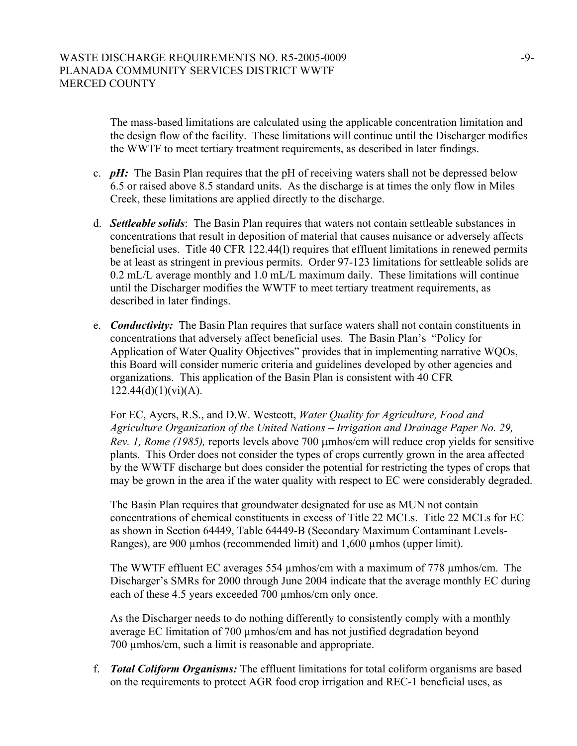The mass-based limitations are calculated using the applicable concentration limitation and the design flow of the facility. These limitations will continue until the Discharger modifies the WWTF to meet tertiary treatment requirements, as described in later findings.

- c. *pH:* The Basin Plan requires that the pH of receiving waters shall not be depressed below 6.5 or raised above 8.5 standard units. As the discharge is at times the only flow in Miles Creek, these limitations are applied directly to the discharge.
- d. *Settleable solids*: The Basin Plan requires that waters not contain settleable substances in concentrations that result in deposition of material that causes nuisance or adversely affects beneficial uses. Title 40 CFR 122.44(l) requires that effluent limitations in renewed permits be at least as stringent in previous permits. Order 97-123 limitations for settleable solids are 0.2 mL/L average monthly and 1.0 mL/L maximum daily. These limitations will continue until the Discharger modifies the WWTF to meet tertiary treatment requirements, as described in later findings.
- e. *Conductivity:* The Basin Plan requires that surface waters shall not contain constituents in concentrations that adversely affect beneficial uses. The Basin Plan's "Policy for Application of Water Quality Objectives" provides that in implementing narrative WQOs, this Board will consider numeric criteria and guidelines developed by other agencies and organizations. This application of the Basin Plan is consistent with 40 CFR  $122.44(d)(1)(vi)(A).$

For EC, Ayers, R.S., and D.W. Westcott, *Water Quality for Agriculture, Food and Agriculture Organization of the United Nations – Irrigation and Drainage Paper No. 29, Rev. 1, Rome (1985),* reports levels above 700 µmhos/cm will reduce crop yields for sensitive plants. This Order does not consider the types of crops currently grown in the area affected by the WWTF discharge but does consider the potential for restricting the types of crops that may be grown in the area if the water quality with respect to EC were considerably degraded.

The Basin Plan requires that groundwater designated for use as MUN not contain concentrations of chemical constituents in excess of Title 22 MCLs. Title 22 MCLs for EC as shown in Section 64449, Table 64449-B (Secondary Maximum Contaminant Levels-Ranges), are 900 µmhos (recommended limit) and 1,600 µmhos (upper limit).

The WWTF effluent EC averages 554 µmhos/cm with a maximum of 778 µmhos/cm. The Discharger's SMRs for 2000 through June 2004 indicate that the average monthly EC during each of these 4.5 years exceeded 700  $\mu$ mhos/cm only once.

As the Discharger needs to do nothing differently to consistently comply with a monthly average EC limitation of 700 µmhos/cm and has not justified degradation beyond 700 µmhos/cm, such a limit is reasonable and appropriate.

f. *Total Coliform Organisms:* The effluent limitations for total coliform organisms are based on the requirements to protect AGR food crop irrigation and REC-1 beneficial uses, as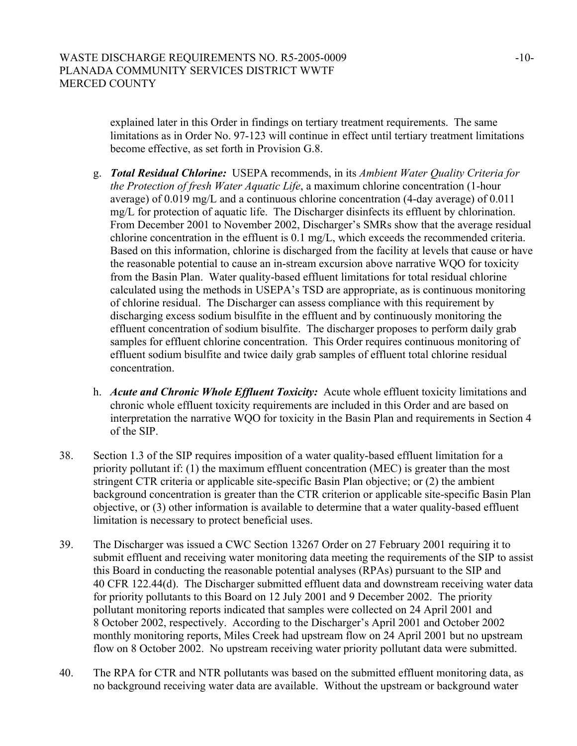explained later in this Order in findings on tertiary treatment requirements. The same limitations as in Order No. 97-123 will continue in effect until tertiary treatment limitations become effective, as set forth in Provision G.8.

- g. *Total Residual Chlorine:* USEPA recommends, in its *Ambient Water Quality Criteria for the Protection of fresh Water Aquatic Life*, a maximum chlorine concentration (1-hour average) of 0.019 mg/L and a continuous chlorine concentration (4-day average) of 0.011 mg/L for protection of aquatic life. The Discharger disinfects its effluent by chlorination. From December 2001 to November 2002, Discharger's SMRs show that the average residual chlorine concentration in the effluent is 0.1 mg/L, which exceeds the recommended criteria. Based on this information, chlorine is discharged from the facility at levels that cause or have the reasonable potential to cause an in-stream excursion above narrative WQO for toxicity from the Basin Plan. Water quality-based effluent limitations for total residual chlorine calculated using the methods in USEPA's TSD are appropriate, as is continuous monitoring of chlorine residual. The Discharger can assess compliance with this requirement by discharging excess sodium bisulfite in the effluent and by continuously monitoring the effluent concentration of sodium bisulfite. The discharger proposes to perform daily grab samples for effluent chlorine concentration. This Order requires continuous monitoring of effluent sodium bisulfite and twice daily grab samples of effluent total chlorine residual concentration.
- h. *Acute and Chronic Whole Effluent Toxicity:*Acute whole effluent toxicity limitations and chronic whole effluent toxicity requirements are included in this Order and are based on interpretation the narrative WQO for toxicity in the Basin Plan and requirements in Section 4 of the SIP.
- 38. Section 1.3 of the SIP requires imposition of a water quality-based effluent limitation for a priority pollutant if: (1) the maximum effluent concentration (MEC) is greater than the most stringent CTR criteria or applicable site-specific Basin Plan objective; or (2) the ambient background concentration is greater than the CTR criterion or applicable site-specific Basin Plan objective, or (3) other information is available to determine that a water quality-based effluent limitation is necessary to protect beneficial uses.
- 39. The Discharger was issued a CWC Section 13267 Order on 27 February 2001 requiring it to submit effluent and receiving water monitoring data meeting the requirements of the SIP to assist this Board in conducting the reasonable potential analyses (RPAs) pursuant to the SIP and 40 CFR 122.44(d). The Discharger submitted effluent data and downstream receiving water data for priority pollutants to this Board on 12 July 2001 and 9 December 2002. The priority pollutant monitoring reports indicated that samples were collected on 24 April 2001 and 8 October 2002, respectively. According to the Discharger's April 2001 and October 2002 monthly monitoring reports, Miles Creek had upstream flow on 24 April 2001 but no upstream flow on 8 October 2002. No upstream receiving water priority pollutant data were submitted.
- 40. The RPA for CTR and NTR pollutants was based on the submitted effluent monitoring data, as no background receiving water data are available. Without the upstream or background water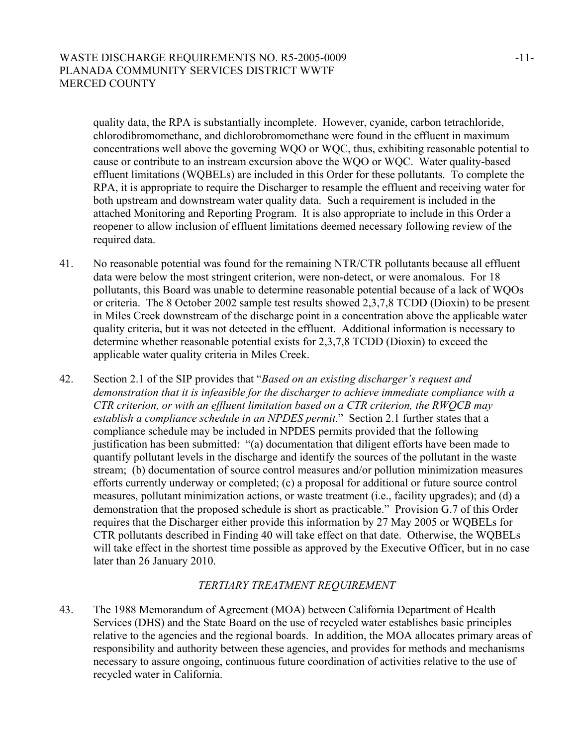# WASTE DISCHARGE REQUIREMENTS NO. R5-2005-0009 -11-PLANADA COMMUNITY SERVICES DISTRICT WWTF MERCED COUNTY

quality data, the RPA is substantially incomplete. However, cyanide, carbon tetrachloride, chlorodibromomethane, and dichlorobromomethane were found in the effluent in maximum concentrations well above the governing WQO or WQC, thus, exhibiting reasonable potential to cause or contribute to an instream excursion above the WQO or WQC. Water quality-based effluent limitations (WQBELs) are included in this Order for these pollutants. To complete the RPA, it is appropriate to require the Discharger to resample the effluent and receiving water for both upstream and downstream water quality data. Such a requirement is included in the attached Monitoring and Reporting Program. It is also appropriate to include in this Order a reopener to allow inclusion of effluent limitations deemed necessary following review of the required data.

- 41. No reasonable potential was found for the remaining NTR/CTR pollutants because all effluent data were below the most stringent criterion, were non-detect, or were anomalous. For 18 pollutants, this Board was unable to determine reasonable potential because of a lack of WQOs or criteria. The 8 October 2002 sample test results showed 2,3,7,8 TCDD (Dioxin) to be present in Miles Creek downstream of the discharge point in a concentration above the applicable water quality criteria, but it was not detected in the effluent. Additional information is necessary to determine whether reasonable potential exists for 2,3,7,8 TCDD (Dioxin) to exceed the applicable water quality criteria in Miles Creek.
- 42. Section 2.1 of the SIP provides that "*Based on an existing discharger's request and demonstration that it is infeasible for the discharger to achieve immediate compliance with a CTR criterion, or with an effluent limitation based on a CTR criterion, the RWQCB may establish a compliance schedule in an NPDES permit*." Section 2.1 further states that a compliance schedule may be included in NPDES permits provided that the following justification has been submitted: "(a) documentation that diligent efforts have been made to quantify pollutant levels in the discharge and identify the sources of the pollutant in the waste stream; (b) documentation of source control measures and/or pollution minimization measures efforts currently underway or completed; (c) a proposal for additional or future source control measures, pollutant minimization actions, or waste treatment (i.e., facility upgrades); and (d) a demonstration that the proposed schedule is short as practicable." Provision G.7 of this Order requires that the Discharger either provide this information by 27 May 2005 or WQBELs for CTR pollutants described in Finding 40 will take effect on that date. Otherwise, the WQBELs will take effect in the shortest time possible as approved by the Executive Officer, but in no case later than 26 January 2010.

# *TERTIARY TREATMENT REQUIREMENT*

43. The 1988 Memorandum of Agreement (MOA) between California Department of Health Services (DHS) and the State Board on the use of recycled water establishes basic principles relative to the agencies and the regional boards. In addition, the MOA allocates primary areas of responsibility and authority between these agencies, and provides for methods and mechanisms necessary to assure ongoing, continuous future coordination of activities relative to the use of recycled water in California.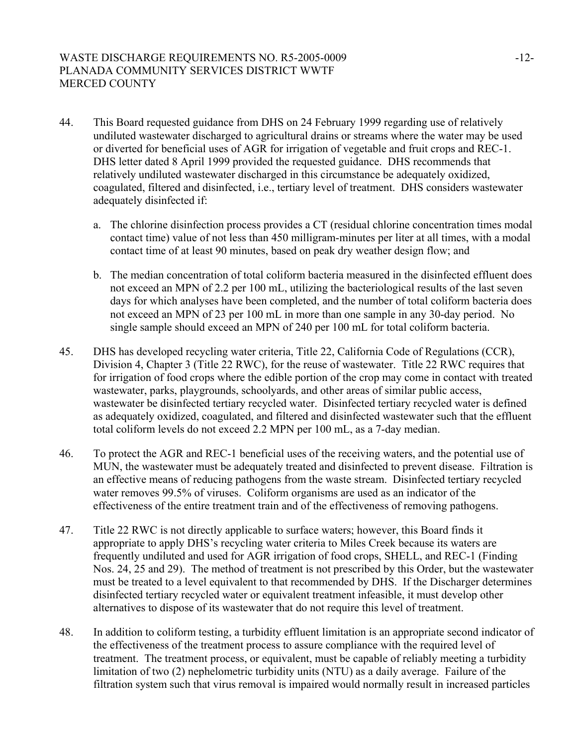# WASTE DISCHARGE REQUIREMENTS NO. R5-2005-0009 -12-PLANADA COMMUNITY SERVICES DISTRICT WWTF MERCED COUNTY

- 44. This Board requested guidance from DHS on 24 February 1999 regarding use of relatively undiluted wastewater discharged to agricultural drains or streams where the water may be used or diverted for beneficial uses of AGR for irrigation of vegetable and fruit crops and REC-1. DHS letter dated 8 April 1999 provided the requested guidance. DHS recommends that relatively undiluted wastewater discharged in this circumstance be adequately oxidized, coagulated, filtered and disinfected, i.e., tertiary level of treatment. DHS considers wastewater adequately disinfected if:
	- a. The chlorine disinfection process provides a CT (residual chlorine concentration times modal contact time) value of not less than 450 milligram-minutes per liter at all times, with a modal contact time of at least 90 minutes, based on peak dry weather design flow; and
	- b. The median concentration of total coliform bacteria measured in the disinfected effluent does not exceed an MPN of 2.2 per 100 mL, utilizing the bacteriological results of the last seven days for which analyses have been completed, and the number of total coliform bacteria does not exceed an MPN of 23 per 100 mL in more than one sample in any 30-day period. No single sample should exceed an MPN of 240 per 100 mL for total coliform bacteria.
- 45. DHS has developed recycling water criteria, Title 22, California Code of Regulations (CCR), Division 4, Chapter 3 (Title 22 RWC), for the reuse of wastewater. Title 22 RWC requires that for irrigation of food crops where the edible portion of the crop may come in contact with treated wastewater, parks, playgrounds, schoolyards, and other areas of similar public access, wastewater be disinfected tertiary recycled water. Disinfected tertiary recycled water is defined as adequately oxidized, coagulated, and filtered and disinfected wastewater such that the effluent total coliform levels do not exceed 2.2 MPN per 100 mL, as a 7-day median.
- 46. To protect the AGR and REC-1 beneficial uses of the receiving waters, and the potential use of MUN, the wastewater must be adequately treated and disinfected to prevent disease. Filtration is an effective means of reducing pathogens from the waste stream. Disinfected tertiary recycled water removes 99.5% of viruses. Coliform organisms are used as an indicator of the effectiveness of the entire treatment train and of the effectiveness of removing pathogens.
- 47. Title 22 RWC is not directly applicable to surface waters; however, this Board finds it appropriate to apply DHS's recycling water criteria to Miles Creek because its waters are frequently undiluted and used for AGR irrigation of food crops, SHELL, and REC-1 (Finding Nos. 24, 25 and 29). The method of treatment is not prescribed by this Order, but the wastewater must be treated to a level equivalent to that recommended by DHS. If the Discharger determines disinfected tertiary recycled water or equivalent treatment infeasible, it must develop other alternatives to dispose of its wastewater that do not require this level of treatment.
- 48. In addition to coliform testing, a turbidity effluent limitation is an appropriate second indicator of the effectiveness of the treatment process to assure compliance with the required level of treatment. The treatment process, or equivalent, must be capable of reliably meeting a turbidity limitation of two (2) nephelometric turbidity units (NTU) as a daily average. Failure of the filtration system such that virus removal is impaired would normally result in increased particles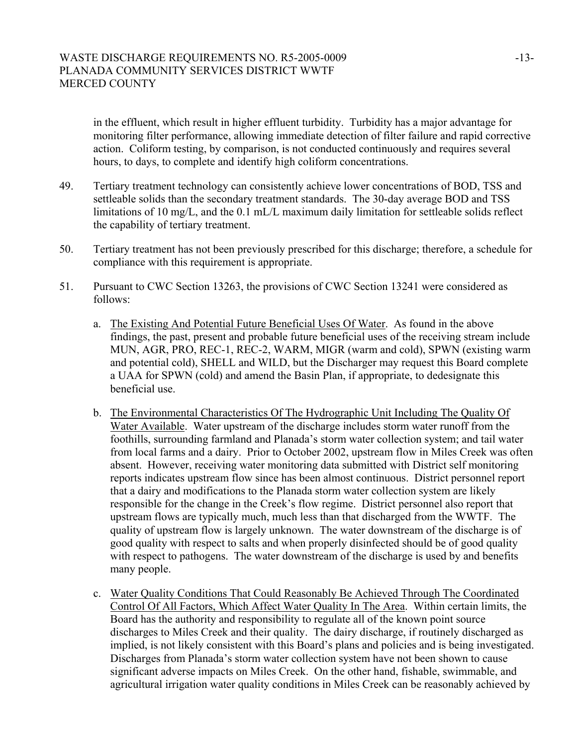in the effluent, which result in higher effluent turbidity. Turbidity has a major advantage for monitoring filter performance, allowing immediate detection of filter failure and rapid corrective action. Coliform testing, by comparison, is not conducted continuously and requires several hours, to days, to complete and identify high coliform concentrations.

- 49. Tertiary treatment technology can consistently achieve lower concentrations of BOD, TSS and settleable solids than the secondary treatment standards. The 30-day average BOD and TSS limitations of 10 mg/L, and the 0.1 mL/L maximum daily limitation for settleable solids reflect the capability of tertiary treatment.
- 50. Tertiary treatment has not been previously prescribed for this discharge; therefore, a schedule for compliance with this requirement is appropriate.
- 51. Pursuant to CWC Section 13263, the provisions of CWC Section 13241 were considered as follows:
	- a. The Existing And Potential Future Beneficial Uses Of Water. As found in the above findings, the past, present and probable future beneficial uses of the receiving stream include MUN, AGR, PRO, REC-1, REC-2, WARM, MIGR (warm and cold), SPWN (existing warm and potential cold), SHELL and WILD, but the Discharger may request this Board complete a UAA for SPWN (cold) and amend the Basin Plan, if appropriate, to dedesignate this beneficial use.
	- b. The Environmental Characteristics Of The Hydrographic Unit Including The Quality Of Water Available. Water upstream of the discharge includes storm water runoff from the foothills, surrounding farmland and Planada's storm water collection system; and tail water from local farms and a dairy. Prior to October 2002, upstream flow in Miles Creek was often absent. However, receiving water monitoring data submitted with District self monitoring reports indicates upstream flow since has been almost continuous. District personnel report that a dairy and modifications to the Planada storm water collection system are likely responsible for the change in the Creek's flow regime. District personnel also report that upstream flows are typically much, much less than that discharged from the WWTF. The quality of upstream flow is largely unknown. The water downstream of the discharge is of good quality with respect to salts and when properly disinfected should be of good quality with respect to pathogens. The water downstream of the discharge is used by and benefits many people.
	- c. Water Quality Conditions That Could Reasonably Be Achieved Through The Coordinated Control Of All Factors, Which Affect Water Quality In The Area. Within certain limits, the Board has the authority and responsibility to regulate all of the known point source discharges to Miles Creek and their quality. The dairy discharge, if routinely discharged as implied, is not likely consistent with this Board's plans and policies and is being investigated. Discharges from Planada's storm water collection system have not been shown to cause significant adverse impacts on Miles Creek. On the other hand, fishable, swimmable, and agricultural irrigation water quality conditions in Miles Creek can be reasonably achieved by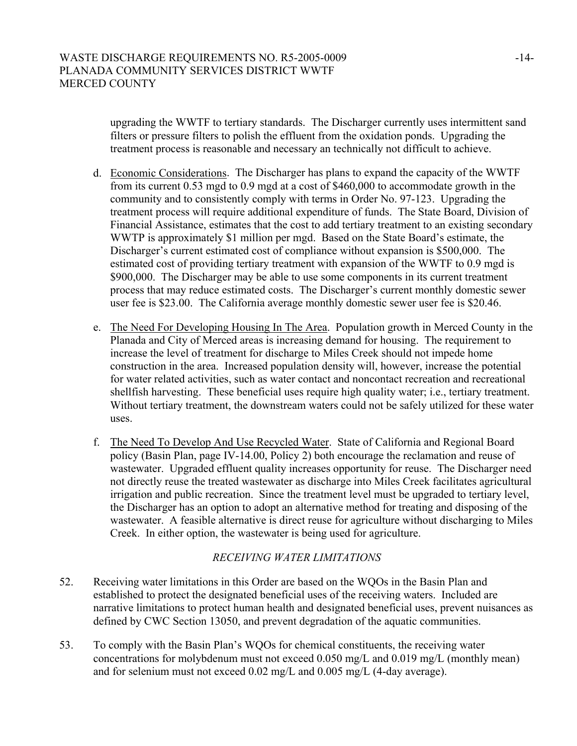upgrading the WWTF to tertiary standards. The Discharger currently uses intermittent sand filters or pressure filters to polish the effluent from the oxidation ponds. Upgrading the treatment process is reasonable and necessary an technically not difficult to achieve.

- d. Economic Considerations. The Discharger has plans to expand the capacity of the WWTF from its current 0.53 mgd to 0.9 mgd at a cost of \$460,000 to accommodate growth in the community and to consistently comply with terms in Order No. 97-123. Upgrading the treatment process will require additional expenditure of funds. The State Board, Division of Financial Assistance, estimates that the cost to add tertiary treatment to an existing secondary WWTP is approximately \$1 million per mgd. Based on the State Board's estimate, the Discharger's current estimated cost of compliance without expansion is \$500,000. The estimated cost of providing tertiary treatment with expansion of the WWTF to 0.9 mgd is \$900,000. The Discharger may be able to use some components in its current treatment process that may reduce estimated costs. The Discharger's current monthly domestic sewer user fee is \$23.00. The California average monthly domestic sewer user fee is \$20.46.
- e. The Need For Developing Housing In The Area. Population growth in Merced County in the Planada and City of Merced areas is increasing demand for housing. The requirement to increase the level of treatment for discharge to Miles Creek should not impede home construction in the area. Increased population density will, however, increase the potential for water related activities, such as water contact and noncontact recreation and recreational shellfish harvesting. These beneficial uses require high quality water; i.e., tertiary treatment. Without tertiary treatment, the downstream waters could not be safely utilized for these water uses.
- f. The Need To Develop And Use Recycled Water. State of California and Regional Board policy (Basin Plan, page IV-14.00, Policy 2) both encourage the reclamation and reuse of wastewater. Upgraded effluent quality increases opportunity for reuse. The Discharger need not directly reuse the treated wastewater as discharge into Miles Creek facilitates agricultural irrigation and public recreation. Since the treatment level must be upgraded to tertiary level, the Discharger has an option to adopt an alternative method for treating and disposing of the wastewater. A feasible alternative is direct reuse for agriculture without discharging to Miles Creek. In either option, the wastewater is being used for agriculture.

# *RECEIVING WATER LIMITATIONS*

- 52. Receiving water limitations in this Order are based on the WQOs in the Basin Plan and established to protect the designated beneficial uses of the receiving waters. Included are narrative limitations to protect human health and designated beneficial uses, prevent nuisances as defined by CWC Section 13050, and prevent degradation of the aquatic communities.
- 53. To comply with the Basin Plan's WQOs for chemical constituents, the receiving water concentrations for molybdenum must not exceed 0.050 mg/L and 0.019 mg/L (monthly mean) and for selenium must not exceed 0.02 mg/L and 0.005 mg/L (4-day average).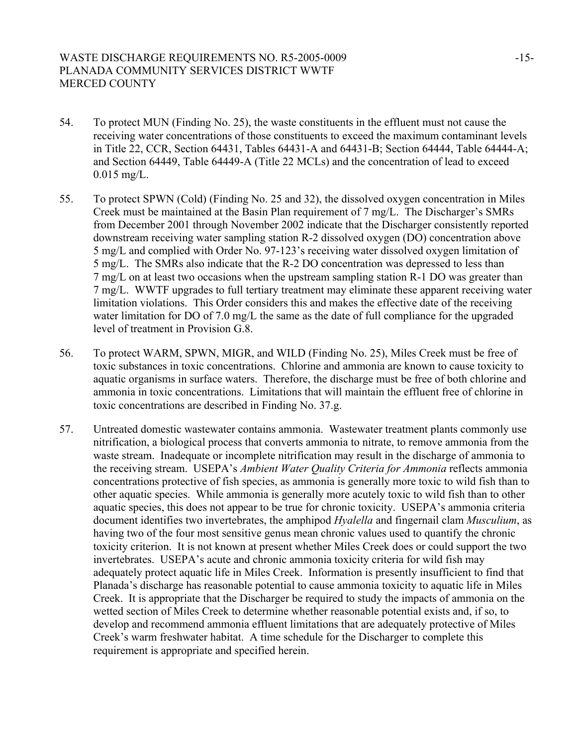# WASTE DISCHARGE REQUIREMENTS NO. R5-2005-0009 -15-PLANADA COMMUNITY SERVICES DISTRICT WWTF MERCED COUNTY

- 54. To protect MUN (Finding No. 25), the waste constituents in the effluent must not cause the receiving water concentrations of those constituents to exceed the maximum contaminant levels in Title 22, CCR, Section 64431, Tables 64431-A and 64431-B; Section 64444, Table 64444-A; and Section 64449, Table 64449-A (Title 22 MCLs) and the concentration of lead to exceed 0.015 mg/L.
- 55. To protect SPWN (Cold) (Finding No. 25 and 32), the dissolved oxygen concentration in Miles Creek must be maintained at the Basin Plan requirement of 7 mg/L. The Discharger's SMRs from December 2001 through November 2002 indicate that the Discharger consistently reported downstream receiving water sampling station R-2 dissolved oxygen (DO) concentration above 5 mg/L and complied with Order No. 97-123's receiving water dissolved oxygen limitation of 5 mg/L. The SMRs also indicate that the R-2 DO concentration was depressed to less than 7 mg/L on at least two occasions when the upstream sampling station R-1 DO was greater than 7 mg/L. WWTF upgrades to full tertiary treatment may eliminate these apparent receiving water limitation violations. This Order considers this and makes the effective date of the receiving water limitation for DO of 7.0 mg/L the same as the date of full compliance for the upgraded level of treatment in Provision G.8.
- 56. To protect WARM, SPWN, MIGR, and WILD (Finding No. 25), Miles Creek must be free of toxic substances in toxic concentrations. Chlorine and ammonia are known to cause toxicity to aquatic organisms in surface waters. Therefore, the discharge must be free of both chlorine and ammonia in toxic concentrations. Limitations that will maintain the effluent free of chlorine in toxic concentrations are described in Finding No. 37.g.
- 57. Untreated domestic wastewater contains ammonia. Wastewater treatment plants commonly use nitrification, a biological process that converts ammonia to nitrate, to remove ammonia from the waste stream. Inadequate or incomplete nitrification may result in the discharge of ammonia to the receiving stream. USEPA's *Ambient Water Quality Criteria for Ammonia* reflects ammonia concentrations protective of fish species, as ammonia is generally more toxic to wild fish than to other aquatic species. While ammonia is generally more acutely toxic to wild fish than to other aquatic species, this does not appear to be true for chronic toxicity. USEPA's ammonia criteria document identifies two invertebrates, the amphipod *Hyalella* and fingernail clam *Musculium*, as having two of the four most sensitive genus mean chronic values used to quantify the chronic toxicity criterion. It is not known at present whether Miles Creek does or could support the two invertebrates. USEPA's acute and chronic ammonia toxicity criteria for wild fish may adequately protect aquatic life in Miles Creek. Information is presently insufficient to find that Planada's discharge has reasonable potential to cause ammonia toxicity to aquatic life in Miles Creek. It is appropriate that the Discharger be required to study the impacts of ammonia on the wetted section of Miles Creek to determine whether reasonable potential exists and, if so, to develop and recommend ammonia effluent limitations that are adequately protective of Miles Creek's warm freshwater habitat. A time schedule for the Discharger to complete this requirement is appropriate and specified herein.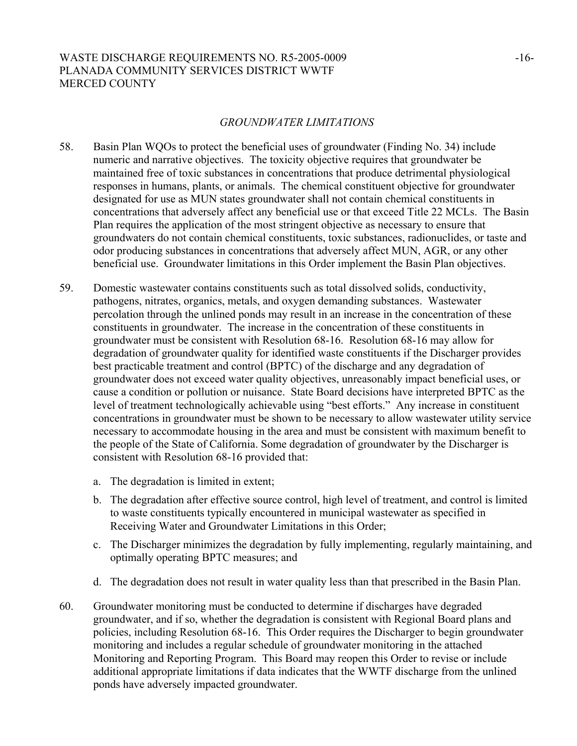# WASTE DISCHARGE REQUIREMENTS NO. R5-2005-0009 -16-PLANADA COMMUNITY SERVICES DISTRICT WWTF MERCED COUNTY

#### *GROUNDWATER LIMITATIONS*

- 58. Basin Plan WQOs to protect the beneficial uses of groundwater (Finding No. 34) include numeric and narrative objectives. The toxicity objective requires that groundwater be maintained free of toxic substances in concentrations that produce detrimental physiological responses in humans, plants, or animals. The chemical constituent objective for groundwater designated for use as MUN states groundwater shall not contain chemical constituents in concentrations that adversely affect any beneficial use or that exceed Title 22 MCLs. The Basin Plan requires the application of the most stringent objective as necessary to ensure that groundwaters do not contain chemical constituents, toxic substances, radionuclides, or taste and odor producing substances in concentrations that adversely affect MUN, AGR, or any other beneficial use. Groundwater limitations in this Order implement the Basin Plan objectives.
- 59. Domestic wastewater contains constituents such as total dissolved solids, conductivity, pathogens, nitrates, organics, metals, and oxygen demanding substances. Wastewater percolation through the unlined ponds may result in an increase in the concentration of these constituents in groundwater. The increase in the concentration of these constituents in groundwater must be consistent with Resolution 68-16. Resolution 68-16 may allow for degradation of groundwater quality for identified waste constituents if the Discharger provides best practicable treatment and control (BPTC) of the discharge and any degradation of groundwater does not exceed water quality objectives, unreasonably impact beneficial uses, or cause a condition or pollution or nuisance. State Board decisions have interpreted BPTC as the level of treatment technologically achievable using "best efforts." Any increase in constituent concentrations in groundwater must be shown to be necessary to allow wastewater utility service necessary to accommodate housing in the area and must be consistent with maximum benefit to the people of the State of California. Some degradation of groundwater by the Discharger is consistent with Resolution 68-16 provided that:
	- a. The degradation is limited in extent;
	- b. The degradation after effective source control, high level of treatment, and control is limited to waste constituents typically encountered in municipal wastewater as specified in Receiving Water and Groundwater Limitations in this Order;
	- c. The Discharger minimizes the degradation by fully implementing, regularly maintaining, and optimally operating BPTC measures; and
	- d. The degradation does not result in water quality less than that prescribed in the Basin Plan.
- 60. Groundwater monitoring must be conducted to determine if discharges have degraded groundwater, and if so, whether the degradation is consistent with Regional Board plans and policies, including Resolution 68-16. This Order requires the Discharger to begin groundwater monitoring and includes a regular schedule of groundwater monitoring in the attached Monitoring and Reporting Program. This Board may reopen this Order to revise or include additional appropriate limitations if data indicates that the WWTF discharge from the unlined ponds have adversely impacted groundwater.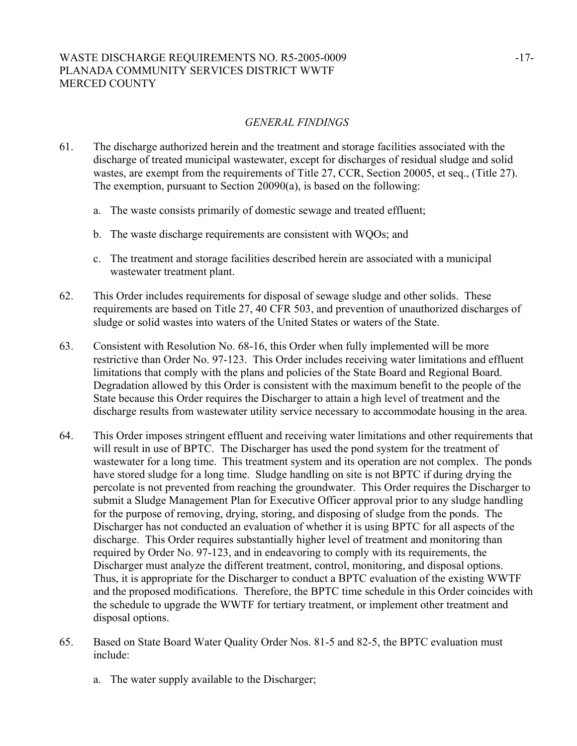# WASTE DISCHARGE REQUIREMENTS NO. R5-2005-0009 -17-PLANADA COMMUNITY SERVICES DISTRICT WWTF MERCED COUNTY

# *GENERAL FINDINGS*

- 61. The discharge authorized herein and the treatment and storage facilities associated with the discharge of treated municipal wastewater, except for discharges of residual sludge and solid wastes, are exempt from the requirements of Title 27, CCR, Section 20005, et seq., (Title 27). The exemption, pursuant to Section 20090(a), is based on the following:
	- a. The waste consists primarily of domestic sewage and treated effluent;
	- b. The waste discharge requirements are consistent with WQOs; and
	- c. The treatment and storage facilities described herein are associated with a municipal wastewater treatment plant.
- 62. This Order includes requirements for disposal of sewage sludge and other solids. These requirements are based on Title 27, 40 CFR 503, and prevention of unauthorized discharges of sludge or solid wastes into waters of the United States or waters of the State.
- 63. Consistent with Resolution No. 68-16, this Order when fully implemented will be more restrictive than Order No. 97-123. This Order includes receiving water limitations and effluent limitations that comply with the plans and policies of the State Board and Regional Board. Degradation allowed by this Order is consistent with the maximum benefit to the people of the State because this Order requires the Discharger to attain a high level of treatment and the discharge results from wastewater utility service necessary to accommodate housing in the area.
- 64. This Order imposes stringent effluent and receiving water limitations and other requirements that will result in use of BPTC. The Discharger has used the pond system for the treatment of wastewater for a long time. This treatment system and its operation are not complex. The ponds have stored sludge for a long time. Sludge handling on site is not BPTC if during drying the percolate is not prevented from reaching the groundwater. This Order requires the Discharger to submit a Sludge Management Plan for Executive Officer approval prior to any sludge handling for the purpose of removing, drying, storing, and disposing of sludge from the ponds. The Discharger has not conducted an evaluation of whether it is using BPTC for all aspects of the discharge. This Order requires substantially higher level of treatment and monitoring than required by Order No. 97-123, and in endeavoring to comply with its requirements, the Discharger must analyze the different treatment, control, monitoring, and disposal options. Thus, it is appropriate for the Discharger to conduct a BPTC evaluation of the existing WWTF and the proposed modifications. Therefore, the BPTC time schedule in this Order coincides with the schedule to upgrade the WWTF for tertiary treatment, or implement other treatment and disposal options.
- 65. Based on State Board Water Quality Order Nos. 81-5 and 82-5, the BPTC evaluation must include:
	- a. The water supply available to the Discharger;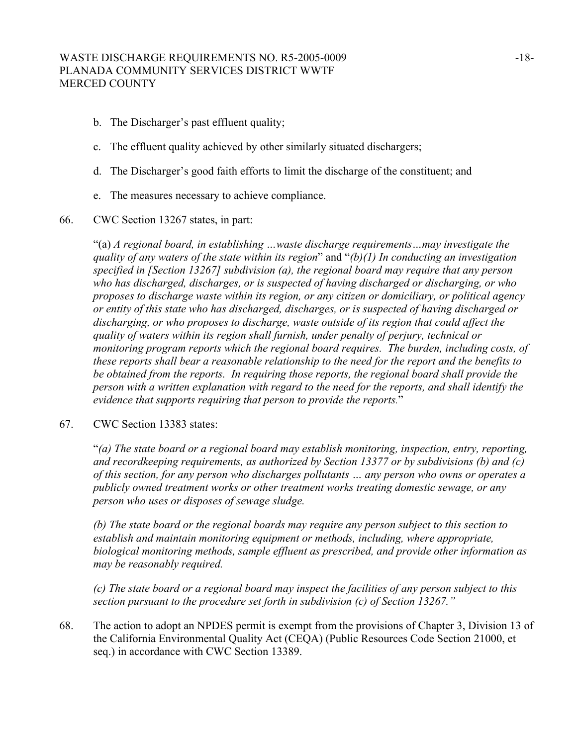## WASTE DISCHARGE REQUIREMENTS NO. R5-2005-0009 -18-PLANADA COMMUNITY SERVICES DISTRICT WWTF MERCED COUNTY

- b. The Discharger's past effluent quality;
- c. The effluent quality achieved by other similarly situated dischargers;
- d. The Discharger's good faith efforts to limit the discharge of the constituent; and
- e. The measures necessary to achieve compliance.

#### 66. CWC Section 13267 states, in part:

"(a) *A regional board, in establishing …waste discharge requirements…may investigate the quality of any waters of the state within its region*" and "*(b)(1) In conducting an investigation specified in [Section 13267] subdivision (a), the regional board may require that any person who has discharged, discharges, or is suspected of having discharged or discharging, or who proposes to discharge waste within its region, or any citizen or domiciliary, or political agency or entity of this state who has discharged, discharges, or is suspected of having discharged or discharging, or who proposes to discharge, waste outside of its region that could affect the quality of waters within its region shall furnish, under penalty of perjury, technical or monitoring program reports which the regional board requires. The burden, including costs, of these reports shall bear a reasonable relationship to the need for the report and the benefits to be obtained from the reports. In requiring those reports, the regional board shall provide the person with a written explanation with regard to the need for the reports, and shall identify the evidence that supports requiring that person to provide the reports.*"

#### 67. CWC Section 13383 states:

"*(a) The state board or a regional board may establish monitoring, inspection, entry, reporting, and recordkeeping requirements, as authorized by Section 13377 or by subdivisions (b) and (c) of this section, for any person who discharges pollutants … any person who owns or operates a publicly owned treatment works or other treatment works treating domestic sewage, or any person who uses or disposes of sewage sludge.* 

*(b) The state board or the regional boards may require any person subject to this section to establish and maintain monitoring equipment or methods, including, where appropriate, biological monitoring methods, sample effluent as prescribed, and provide other information as may be reasonably required.* 

*(c) The state board or a regional board may inspect the facilities of any person subject to this section pursuant to the procedure set forth in subdivision (c) of Section 13267."*

68. The action to adopt an NPDES permit is exempt from the provisions of Chapter 3, Division 13 of the California Environmental Quality Act (CEQA) (Public Resources Code Section 21000, et seq.) in accordance with CWC Section 13389.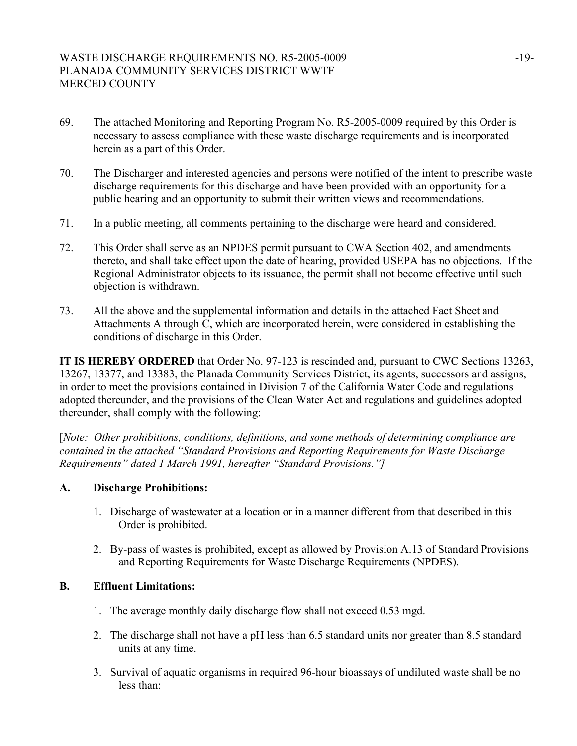- 69. The attached Monitoring and Reporting Program No. R5-2005-0009 required by this Order is necessary to assess compliance with these waste discharge requirements and is incorporated herein as a part of this Order.
- 70. The Discharger and interested agencies and persons were notified of the intent to prescribe waste discharge requirements for this discharge and have been provided with an opportunity for a public hearing and an opportunity to submit their written views and recommendations.
- 71. In a public meeting, all comments pertaining to the discharge were heard and considered.
- 72. This Order shall serve as an NPDES permit pursuant to CWA Section 402, and amendments thereto, and shall take effect upon the date of hearing, provided USEPA has no objections. If the Regional Administrator objects to its issuance, the permit shall not become effective until such objection is withdrawn.
- 73. All the above and the supplemental information and details in the attached Fact Sheet and Attachments A through C, which are incorporated herein, were considered in establishing the conditions of discharge in this Order.

**IT IS HEREBY ORDERED** that Order No. 97-123 is rescinded and, pursuant to CWC Sections 13263, 13267, 13377, and 13383, the Planada Community Services District, its agents, successors and assigns, in order to meet the provisions contained in Division 7 of the California Water Code and regulations adopted thereunder, and the provisions of the Clean Water Act and regulations and guidelines adopted thereunder, shall comply with the following:

[*Note: Other prohibitions, conditions, definitions, and some methods of determining compliance are contained in the attached "Standard Provisions and Reporting Requirements for Waste Discharge Requirements" dated 1 March 1991, hereafter "Standard Provisions."]*

## **A. Discharge Prohibitions:**

- 1. Discharge of wastewater at a location or in a manner different from that described in this Order is prohibited.
- 2. By-pass of wastes is prohibited, except as allowed by Provision A.13 of Standard Provisions and Reporting Requirements for Waste Discharge Requirements (NPDES).

## **B. Effluent Limitations:**

- 1. The average monthly daily discharge flow shall not exceed 0.53 mgd.
- 2. The discharge shall not have a pH less than 6.5 standard units nor greater than 8.5 standard units at any time.
- 3. Survival of aquatic organisms in required 96-hour bioassays of undiluted waste shall be no less than: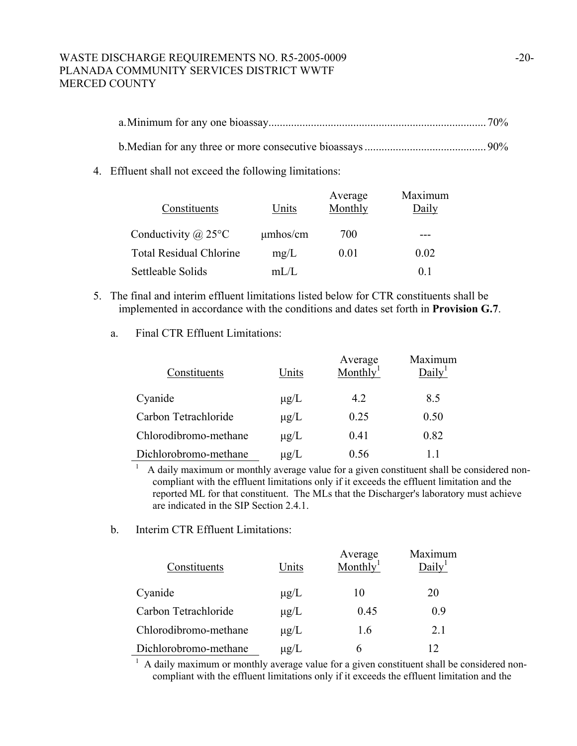# WASTE DISCHARGE REQUIREMENTS NO. R5-2005-0009 -20-PLANADA COMMUNITY SERVICES DISTRICT WWTF MERCED COUNTY

4. Effluent shall not exceed the following limitations:

| Constituents                   | Units         | Average<br>Monthly | Maximum<br>Daily |
|--------------------------------|---------------|--------------------|------------------|
| Conductivity $(a)$ 25°C        | $\mu$ mhos/cm | 700                |                  |
| <b>Total Residual Chlorine</b> | mg/L          | 0.01               | 0.02             |
| Settleable Solids              | mL/L          |                    | 0 <sup>1</sup>   |

- 5. The final and interim effluent limitations listed below for CTR constituents shall be implemented in accordance with the conditions and dates set forth in **Provision G.7**.
	- a. Final CTR Effluent Limitations:

| Constituents          | Units     | Average<br>Monthly <sup>1</sup> | Maximum<br>Daily <sup>1</sup> |
|-----------------------|-----------|---------------------------------|-------------------------------|
| Cyanide               | $\mu$ g/L | 4.2                             | 8.5                           |
| Carbon Tetrachloride  | $\mu$ g/L | 0.25                            | 0.50                          |
| Chlorodibromo-methane | $\mu$ g/L | 0.41                            | 0.82                          |
| Dichlorobromo-methane | $\mu$ g/L | 0.56                            | 11                            |

<sup>1</sup> A daily maximum or monthly average value for a given constituent shall be considered noncompliant with the effluent limitations only if it exceeds the effluent limitation and the reported ML for that constituent. The MLs that the Discharger's laboratory must achieve are indicated in the SIP Section 2.4.1.

b. Interim CTR Effluent Limitations:

| Constituents          | Units     | Average<br>Monthly <sup>1</sup> | Maximum<br>Daily |
|-----------------------|-----------|---------------------------------|------------------|
| Cyanide               | $\mu$ g/L | 10                              | 20               |
| Carbon Tetrachloride  | $\mu$ g/L | 0.45                            | 0.9              |
| Chlorodibromo-methane | $\mu$ g/L | 1.6                             | 2.1              |
| Dichlorobromo-methane | $\mu$ g/L |                                 | 12               |

 $<sup>1</sup>$  A daily maximum or monthly average value for a given constituent shall be considered non-</sup> compliant with the effluent limitations only if it exceeds the effluent limitation and the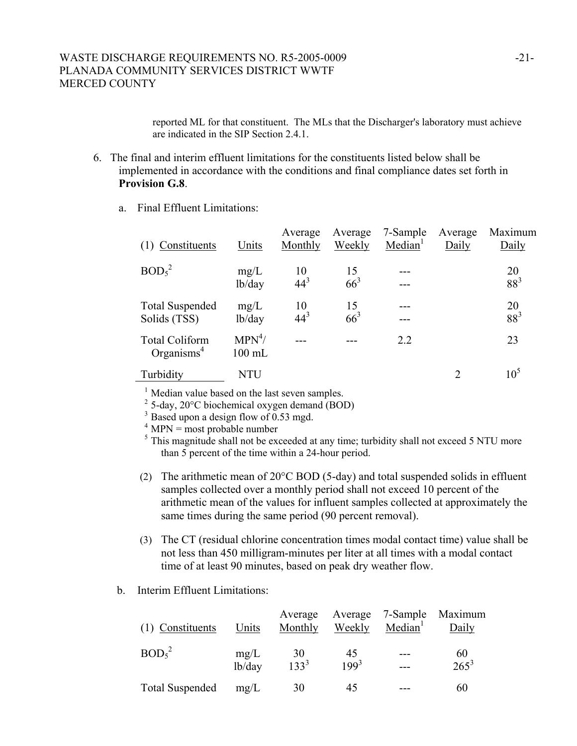reported ML for that constituent. The MLs that the Discharger's laboratory must achieve are indicated in the SIP Section 2.4.1.

- 6. The final and interim effluent limitations for the constituents listed below shall be implemented in accordance with the conditions and final compliance dates set forth in **Provision G.8**.
	- a. Final Effluent Limitations:

| (1) Constituents                                | Units                | Average<br>Monthly | Average<br>Weekly | 7-Sample<br>Median <sup>1</sup> | Average<br>Daily | Maximum<br>Daily      |
|-------------------------------------------------|----------------------|--------------------|-------------------|---------------------------------|------------------|-----------------------|
| BOD <sub>5</sub> <sup>2</sup>                   | mg/L<br>lb/day       | 10<br>$44^{3}$     | 15<br>$66^3$      |                                 |                  | 20<br>$88^{3}$        |
| <b>Total Suspended</b><br>Solids (TSS)          | mg/L<br>lb/day       | 10<br>$44^{3}$     | 15<br>$66^3$      |                                 |                  | 20<br>88 <sup>3</sup> |
| <b>Total Coliform</b><br>Organisms <sup>4</sup> | $MPN^4/$<br>$100$ mL |                    |                   | 2.2                             |                  | 23                    |
| Turbidity                                       | <b>NTU</b>           |                    |                   |                                 | $\overline{2}$   | 10 <sup>5</sup>       |

<sup>1</sup> Median value based on the last seven samples.

 $2^2$  5-day, 20 $^{\circ}$ C biochemical oxygen demand (BOD)

<sup>3</sup> Based upon a design flow of 0.53 mgd.

 $4$  MPN = most probable number

 $<sup>5</sup>$  This magnitude shall not be exceeded at any time; turbidity shall not exceed 5 NTU more</sup> than 5 percent of the time within a 24-hour period.

- (2) The arithmetic mean of 20°C BOD (5-day) and total suspended solids in effluent samples collected over a monthly period shall not exceed 10 percent of the arithmetic mean of the values for influent samples collected at approximately the same times during the same period (90 percent removal).
- (3) The CT (residual chlorine concentration times modal contact time) value shall be not less than 450 milligram-minutes per liter at all times with a modal contact time of at least 90 minutes, based on peak dry weather flow.
- b. Interim Effluent Limitations:

| (1) Constituents              | Units          | Average<br>Monthly | Weekly          | Average 7-Sample<br>Median <sup>1</sup> | Maximum<br>Daily |
|-------------------------------|----------------|--------------------|-----------------|-----------------------------------------|------------------|
| BOD <sub>5</sub> <sup>2</sup> | mg/L<br>lb/day | 30<br>$133^{3}$    | 45<br>$199^{3}$ |                                         | 60<br>$265^3$    |
| <b>Total Suspended</b>        | mg/L           | 30                 | 45              |                                         | 60               |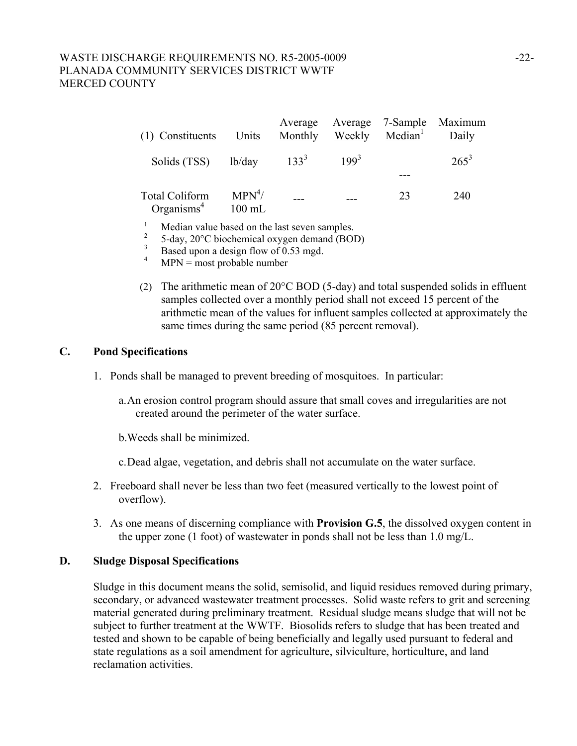# WASTE DISCHARGE REQUIREMENTS NO. R5-2005-0009 -22-PLANADA COMMUNITY SERVICES DISTRICT WWTF MERCED COUNTY

| (1) Constituents                                | Units                        | Average<br>Monthly | Weekly    | Median <sup>1</sup> | Average 7-Sample Maximum<br>Daily |
|-------------------------------------------------|------------------------------|--------------------|-----------|---------------------|-----------------------------------|
| Solids (TSS) lb/day                             |                              | $133^{3}$          | $199^{3}$ |                     | $265^3$                           |
| <b>Total Coliform</b><br>Organisms <sup>4</sup> | MPN <sup>4</sup><br>$100$ mL |                    |           | 23                  | 240                               |

- 1 Median value based on the last seven samples.
- 2 5-day, 20°C biochemical oxygen demand (BOD)
- 3 Based upon a design flow of 0.53 mgd.
- 4 MPN = most probable number
- (2) The arithmetic mean of 20°C BOD (5-day) and total suspended solids in effluent samples collected over a monthly period shall not exceed 15 percent of the arithmetic mean of the values for influent samples collected at approximately the same times during the same period (85 percent removal).

#### **C. Pond Specifications**

- 1. Ponds shall be managed to prevent breeding of mosquitoes. In particular:
	- a. An erosion control program should assure that small coves and irregularities are not created around the perimeter of the water surface.

b.Weeds shall be minimized.

- c. Dead algae, vegetation, and debris shall not accumulate on the water surface.
- 2. Freeboard shall never be less than two feet (measured vertically to the lowest point of overflow).
- 3. As one means of discerning compliance with **Provision G.5**, the dissolved oxygen content in the upper zone (1 foot) of wastewater in ponds shall not be less than 1.0 mg/L.

# **D. Sludge Disposal Specifications**

Sludge in this document means the solid, semisolid, and liquid residues removed during primary, secondary, or advanced wastewater treatment processes. Solid waste refers to grit and screening material generated during preliminary treatment. Residual sludge means sludge that will not be subject to further treatment at the WWTF. Biosolids refers to sludge that has been treated and tested and shown to be capable of being beneficially and legally used pursuant to federal and state regulations as a soil amendment for agriculture, silviculture, horticulture, and land reclamation activities.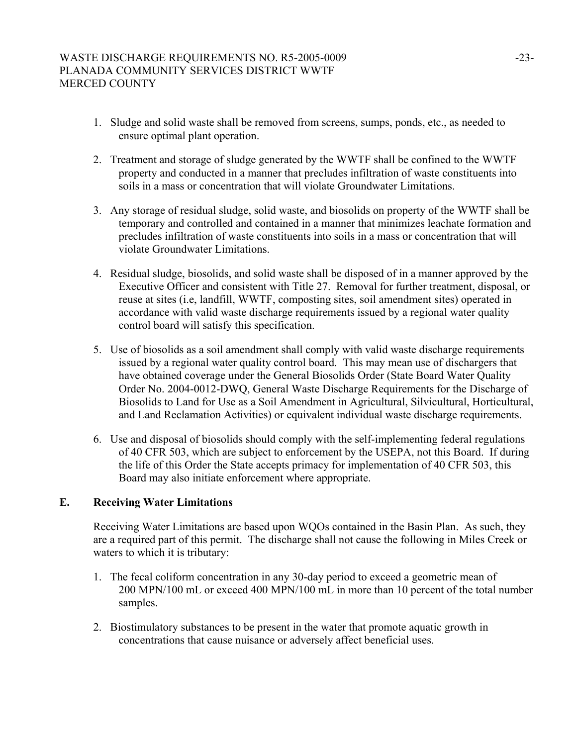# WASTE DISCHARGE REQUIREMENTS NO. R5-2005-0009 -23-PLANADA COMMUNITY SERVICES DISTRICT WWTF MERCED COUNTY

- 1. Sludge and solid waste shall be removed from screens, sumps, ponds, etc., as needed to ensure optimal plant operation.
- 2. Treatment and storage of sludge generated by the WWTF shall be confined to the WWTF property and conducted in a manner that precludes infiltration of waste constituents into soils in a mass or concentration that will violate Groundwater Limitations.
- 3. Any storage of residual sludge, solid waste, and biosolids on property of the WWTF shall be temporary and controlled and contained in a manner that minimizes leachate formation and precludes infiltration of waste constituents into soils in a mass or concentration that will violate Groundwater Limitations.
- 4. Residual sludge, biosolids, and solid waste shall be disposed of in a manner approved by the Executive Officer and consistent with Title 27. Removal for further treatment, disposal, or reuse at sites (i.e, landfill, WWTF, composting sites, soil amendment sites) operated in accordance with valid waste discharge requirements issued by a regional water quality control board will satisfy this specification.
- 5. Use of biosolids as a soil amendment shall comply with valid waste discharge requirements issued by a regional water quality control board. This may mean use of dischargers that have obtained coverage under the General Biosolids Order (State Board Water Quality Order No. 2004-0012-DWQ, General Waste Discharge Requirements for the Discharge of Biosolids to Land for Use as a Soil Amendment in Agricultural, Silvicultural, Horticultural, and Land Reclamation Activities) or equivalent individual waste discharge requirements.
- 6. Use and disposal of biosolids should comply with the self-implementing federal regulations of 40 CFR 503, which are subject to enforcement by the USEPA, not this Board. If during the life of this Order the State accepts primacy for implementation of 40 CFR 503, this Board may also initiate enforcement where appropriate.

## **E. Receiving Water Limitations**

Receiving Water Limitations are based upon WQOs contained in the Basin Plan. As such, they are a required part of this permit. The discharge shall not cause the following in Miles Creek or waters to which it is tributary:

- 1. The fecal coliform concentration in any 30-day period to exceed a geometric mean of 200 MPN/100 mL or exceed 400 MPN/100 mL in more than 10 percent of the total number samples.
- 2. Biostimulatory substances to be present in the water that promote aquatic growth in concentrations that cause nuisance or adversely affect beneficial uses.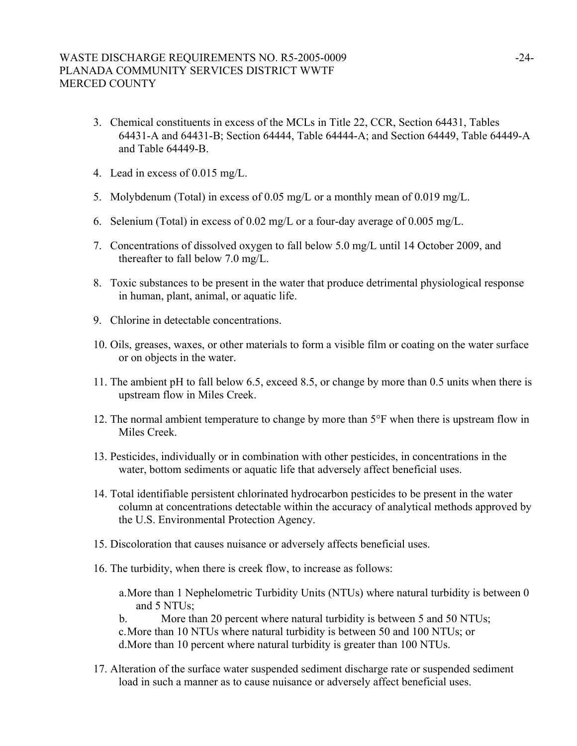# WASTE DISCHARGE REQUIREMENTS NO. R5-2005-0009 -24-PLANADA COMMUNITY SERVICES DISTRICT WWTF MERCED COUNTY

- 3. Chemical constituents in excess of the MCLs in Title 22, CCR, Section 64431, Tables 64431-A and 64431-B; Section 64444, Table 64444-A; and Section 64449, Table 64449-A and Table 64449-B.
- 4. Lead in excess of 0.015 mg/L.
- 5. Molybdenum (Total) in excess of 0.05 mg/L or a monthly mean of 0.019 mg/L.
- 6. Selenium (Total) in excess of 0.02 mg/L or a four-day average of 0.005 mg/L.
- 7. Concentrations of dissolved oxygen to fall below 5.0 mg/L until 14 October 2009, and thereafter to fall below 7.0 mg/L.
- 8. Toxic substances to be present in the water that produce detrimental physiological response in human, plant, animal, or aquatic life.
- 9. Chlorine in detectable concentrations.
- 10. Oils, greases, waxes, or other materials to form a visible film or coating on the water surface or on objects in the water.
- 11. The ambient pH to fall below 6.5, exceed 8.5, or change by more than 0.5 units when there is upstream flow in Miles Creek.
- 12. The normal ambient temperature to change by more than 5°F when there is upstream flow in Miles Creek.
- 13. Pesticides, individually or in combination with other pesticides, in concentrations in the water, bottom sediments or aquatic life that adversely affect beneficial uses.
- 14. Total identifiable persistent chlorinated hydrocarbon pesticides to be present in the water column at concentrations detectable within the accuracy of analytical methods approved by the U.S. Environmental Protection Agency.
- 15. Discoloration that causes nuisance or adversely affects beneficial uses.
- 16. The turbidity, when there is creek flow, to increase as follows:
	- a. More than 1 Nephelometric Turbidity Units (NTUs) where natural turbidity is between 0 and 5 NTUs;
	- b. More than 20 percent where natural turbidity is between 5 and 50 NTUs;
	- c. More than 10 NTUs where natural turbidity is between 50 and 100 NTUs; or d.More than 10 percent where natural turbidity is greater than 100 NTUs.
- 17. Alteration of the surface water suspended sediment discharge rate or suspended sediment load in such a manner as to cause nuisance or adversely affect beneficial uses.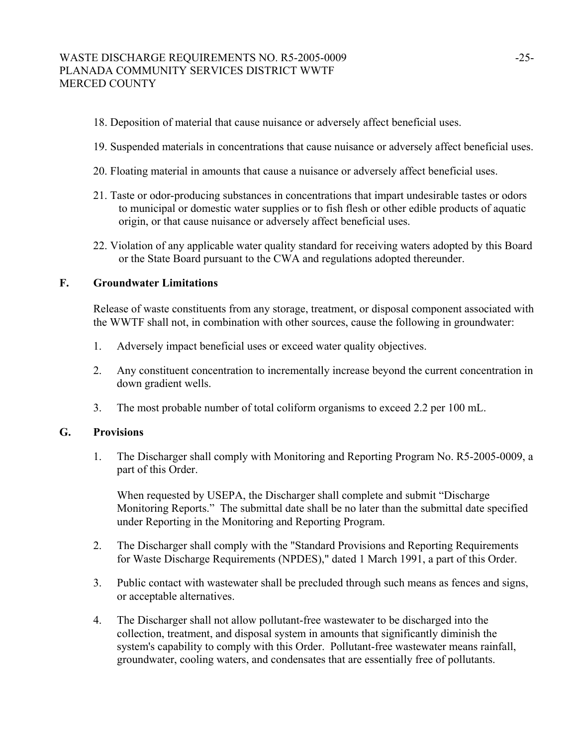# WASTE DISCHARGE REQUIREMENTS NO. R5-2005-0009 -25-PLANADA COMMUNITY SERVICES DISTRICT WWTF MERCED COUNTY

- 18. Deposition of material that cause nuisance or adversely affect beneficial uses.
- 19. Suspended materials in concentrations that cause nuisance or adversely affect beneficial uses.
- 20. Floating material in amounts that cause a nuisance or adversely affect beneficial uses.
- 21. Taste or odor-producing substances in concentrations that impart undesirable tastes or odors to municipal or domestic water supplies or to fish flesh or other edible products of aquatic origin, or that cause nuisance or adversely affect beneficial uses.
- 22. Violation of any applicable water quality standard for receiving waters adopted by this Board or the State Board pursuant to the CWA and regulations adopted thereunder.

# **F. Groundwater Limitations**

Release of waste constituents from any storage, treatment, or disposal component associated with the WWTF shall not, in combination with other sources, cause the following in groundwater:

- 1. Adversely impact beneficial uses or exceed water quality objectives.
- 2. Any constituent concentration to incrementally increase beyond the current concentration in down gradient wells.
- 3. The most probable number of total coliform organisms to exceed 2.2 per 100 mL.

#### **G. Provisions**

1. The Discharger shall comply with Monitoring and Reporting Program No. R5-2005-0009, a part of this Order.

When requested by USEPA, the Discharger shall complete and submit "Discharge Monitoring Reports." The submittal date shall be no later than the submittal date specified under Reporting in the Monitoring and Reporting Program.

- 2. The Discharger shall comply with the "Standard Provisions and Reporting Requirements for Waste Discharge Requirements (NPDES)," dated 1 March 1991, a part of this Order.
- 3. Public contact with wastewater shall be precluded through such means as fences and signs, or acceptable alternatives.
- 4. The Discharger shall not allow pollutant-free wastewater to be discharged into the collection, treatment, and disposal system in amounts that significantly diminish the system's capability to comply with this Order. Pollutant-free wastewater means rainfall, groundwater, cooling waters, and condensates that are essentially free of pollutants.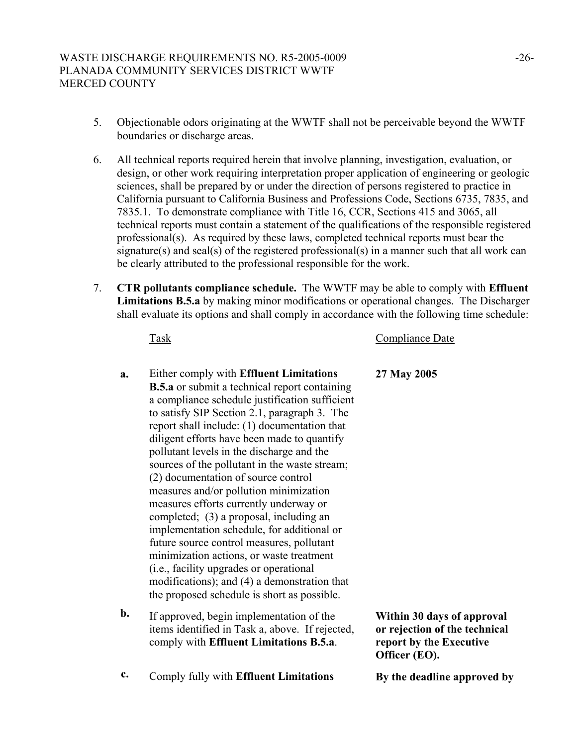- 5. Objectionable odors originating at the WWTF shall not be perceivable beyond the WWTF boundaries or discharge areas.
- 6. All technical reports required herein that involve planning, investigation, evaluation, or design, or other work requiring interpretation proper application of engineering or geologic sciences, shall be prepared by or under the direction of persons registered to practice in California pursuant to California Business and Professions Code, Sections 6735, 7835, and 7835.1. To demonstrate compliance with Title 16, CCR, Sections 415 and 3065, all technical reports must contain a statement of the qualifications of the responsible registered professional(s). As required by these laws, completed technical reports must bear the signature(s) and seal(s) of the registered professional(s) in a manner such that all work can be clearly attributed to the professional responsible for the work.
- 7. **CTR pollutants compliance schedule.** The WWTF may be able to comply with **Effluent Limitations B.5.a** by making minor modifications or operational changes. The Discharger shall evaluate its options and shall comply in accordance with the following time schedule:

# Task Compliance Date

- **a.** Either comply with **Effluent Limitations B.5.a** or submit a technical report containing a compliance schedule justification sufficient to satisfy SIP Section 2.1, paragraph 3. The report shall include: (1) documentation that diligent efforts have been made to quantify pollutant levels in the discharge and the sources of the pollutant in the waste stream; (2) documentation of source control measures and/or pollution minimization measures efforts currently underway or completed; (3) a proposal, including an implementation schedule, for additional or future source control measures, pollutant minimization actions, or waste treatment (i.e., facility upgrades or operational modifications); and (4) a demonstration that the proposed schedule is short as possible.
- **b.** If approved, begin implementation of the items identified in Task a, above. If rejected, comply with **Effluent Limitations B.5.a**.
- **c.** Comply fully with **Effluent Limitations** By the deadline approved by

**27 May 2005** 

**Within 30 days of approval or rejection of the technical report by the Executive Officer (EO).**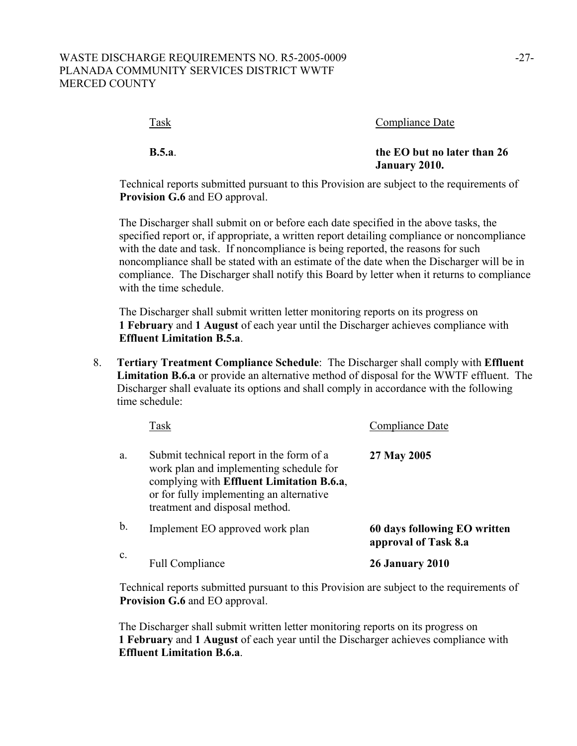| Task         | Compliance Date                              |
|--------------|----------------------------------------------|
| <b>B.5.a</b> | the EO but no later than 26<br>January 2010. |

Technical reports submitted pursuant to this Provision are subject to the requirements of **Provision G.6** and EO approval.

The Discharger shall submit on or before each date specified in the above tasks, the specified report or, if appropriate, a written report detailing compliance or noncompliance with the date and task. If noncompliance is being reported, the reasons for such noncompliance shall be stated with an estimate of the date when the Discharger will be in compliance. The Discharger shall notify this Board by letter when it returns to compliance with the time schedule.

The Discharger shall submit written letter monitoring reports on its progress on **1 February** and **1 August** of each year until the Discharger achieves compliance with **Effluent Limitation B.5.a**.

8. **Tertiary Treatment Compliance Schedule**: The Discharger shall comply with **Effluent Limitation B.6.a** or provide an alternative method of disposal for the WWTF effluent. The Discharger shall evaluate its options and shall comply in accordance with the following time schedule:

|                | Task                                                                                                                                                                                                           | Compliance Date                                      |
|----------------|----------------------------------------------------------------------------------------------------------------------------------------------------------------------------------------------------------------|------------------------------------------------------|
| a.             | Submit technical report in the form of a<br>work plan and implementing schedule for<br>complying with Effluent Limitation B.6.a.<br>or for fully implementing an alternative<br>treatment and disposal method. | 27 May 2005                                          |
| $\mathbf b$ .  | Implement EO approved work plan                                                                                                                                                                                | 60 days following EO written<br>approval of Task 8.a |
| $\mathbf{c}$ . | <b>Full Compliance</b>                                                                                                                                                                                         | <b>26 January 2010</b>                               |

Technical reports submitted pursuant to this Provision are subject to the requirements of **Provision G.6** and EO approval.

The Discharger shall submit written letter monitoring reports on its progress on **1 February** and **1 August** of each year until the Discharger achieves compliance with **Effluent Limitation B.6.a**.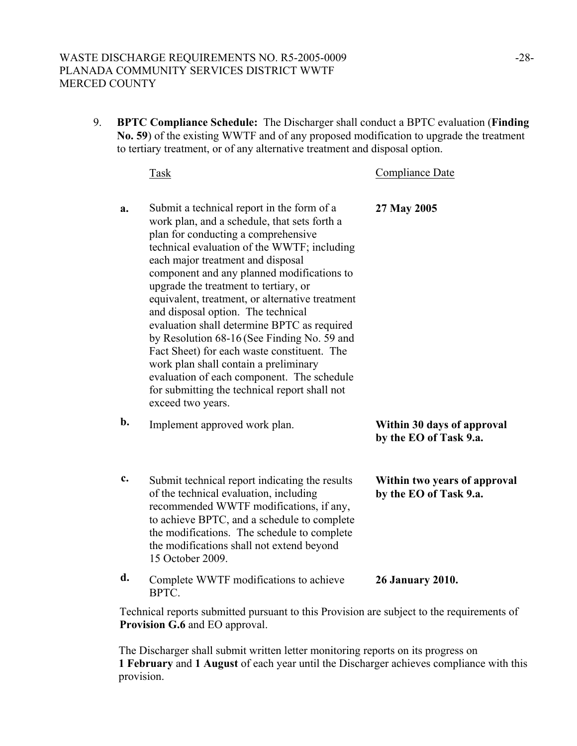# WASTE DISCHARGE REQUIREMENTS NO. R5-2005-0009 -28-PLANADA COMMUNITY SERVICES DISTRICT WWTF MERCED COUNTY

9. **BPTC Compliance Schedule:** The Discharger shall conduct a BPTC evaluation (**Finding No. 59**) of the existing WWTF and of any proposed modification to upgrade the treatment to tertiary treatment, or of any alternative treatment and disposal option.

 Task Compliance Date **a.** Submit a technical report in the form of a work plan, and a schedule, that sets forth a plan for conducting a comprehensive technical evaluation of the WWTF; including each major treatment and disposal component and any planned modifications to upgrade the treatment to tertiary, or equivalent, treatment, or alternative treatment and disposal option. The technical evaluation shall determine BPTC as required by Resolution 68-16 (See Finding No. 59 and Fact Sheet) for each waste constituent. The work plan shall contain a preliminary evaluation of each component. The schedule for submitting the technical report shall not exceed two years. **27 May 2005 b.** Implement approved work plan. **Within 30 days of approval by the EO of Task 9.a. c.** Submit technical report indicating the results of the technical evaluation, including recommended WWTF modifications, if any, to achieve BPTC, and a schedule to complete the modifications. The schedule to complete the modifications shall not extend beyond 15 October 2009. **Within two years of approval by the EO of Task 9.a. d.** Complete WWTF modifications to achieve BPTC. **26 January 2010.** 

Technical reports submitted pursuant to this Provision are subject to the requirements of **Provision G.6** and EO approval.

The Discharger shall submit written letter monitoring reports on its progress on **1 February** and **1 August** of each year until the Discharger achieves compliance with this provision.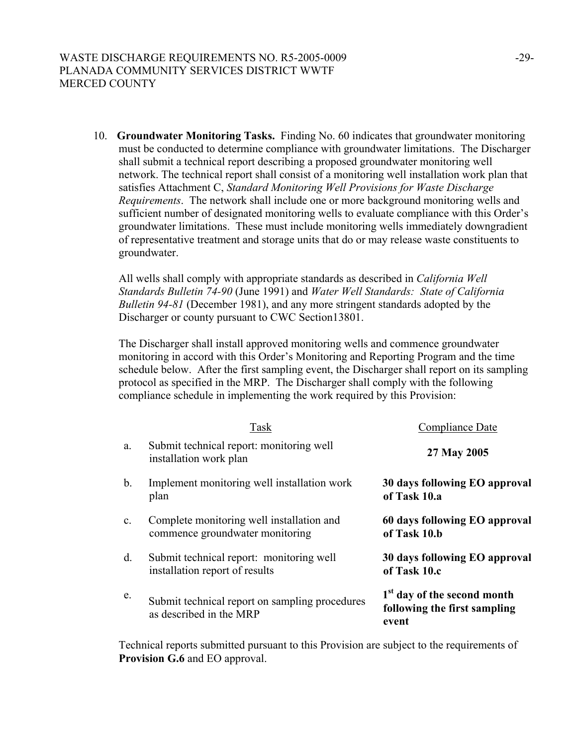10. **Groundwater Monitoring Tasks.** Finding No. 60 indicates that groundwater monitoring must be conducted to determine compliance with groundwater limitations. The Discharger shall submit a technical report describing a proposed groundwater monitoring well network. The technical report shall consist of a monitoring well installation work plan that satisfies Attachment C, *Standard Monitoring Well Provisions for Waste Discharge Requirements*. The network shall include one or more background monitoring wells and sufficient number of designated monitoring wells to evaluate compliance with this Order's groundwater limitations. These must include monitoring wells immediately downgradient of representative treatment and storage units that do or may release waste constituents to groundwater.

All wells shall comply with appropriate standards as described in *California Well Standards Bulletin 74-90* (June 1991) and *Water Well Standards: State of California Bulletin 94-81* (December 1981), and any more stringent standards adopted by the Discharger or county pursuant to CWC Section13801.

The Discharger shall install approved monitoring wells and commence groundwater monitoring in accord with this Order's Monitoring and Reporting Program and the time schedule below. After the first sampling event, the Discharger shall report on its sampling protocol as specified in the MRP. The Discharger shall comply with the following compliance schedule in implementing the work required by this Provision:

|                | Task                                                                         | Compliance Date                                                                  |
|----------------|------------------------------------------------------------------------------|----------------------------------------------------------------------------------|
| a.             | Submit technical report: monitoring well<br>installation work plan           | 27 May 2005                                                                      |
| b.             | Implement monitoring well installation work<br>plan                          | 30 days following EO approval<br>of Task 10.a                                    |
| $\mathbf{c}$ . | Complete monitoring well installation and<br>commence groundwater monitoring | 60 days following EO approval<br>of Task 10.b                                    |
| d.             | Submit technical report: monitoring well<br>installation report of results   | 30 days following EO approval<br>of Task 10.c                                    |
| e.             | Submit technical report on sampling procedures<br>as described in the MRP    | 1 <sup>st</sup> day of the second month<br>following the first sampling<br>event |

Technical reports submitted pursuant to this Provision are subject to the requirements of **Provision G.6** and EO approval.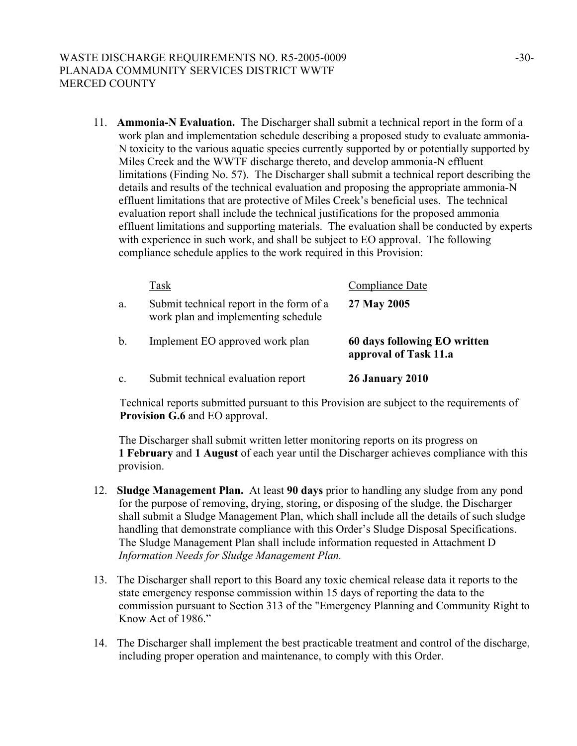11. **Ammonia-N Evaluation.** The Discharger shall submit a technical report in the form of a work plan and implementation schedule describing a proposed study to evaluate ammonia-N toxicity to the various aquatic species currently supported by or potentially supported by Miles Creek and the WWTF discharge thereto, and develop ammonia-N effluent limitations (Finding No. 57). The Discharger shall submit a technical report describing the details and results of the technical evaluation and proposing the appropriate ammonia-N effluent limitations that are protective of Miles Creek's beneficial uses. The technical evaluation report shall include the technical justifications for the proposed ammonia effluent limitations and supporting materials. The evaluation shall be conducted by experts with experience in such work, and shall be subject to EO approval. The following compliance schedule applies to the work required in this Provision:

|    | Task                                                                            | Compliance Date                                       |
|----|---------------------------------------------------------------------------------|-------------------------------------------------------|
| a. | Submit technical report in the form of a<br>work plan and implementing schedule | 27 May 2005                                           |
| b. | Implement EO approved work plan                                                 | 60 days following EO written<br>approval of Task 11.a |
| c. | Submit technical evaluation report                                              | <b>26 January 2010</b>                                |

Technical reports submitted pursuant to this Provision are subject to the requirements of **Provision G.6** and EO approval.

The Discharger shall submit written letter monitoring reports on its progress on **1 February** and **1 August** of each year until the Discharger achieves compliance with this provision.

- 12. **Sludge Management Plan.** At least **90 days** prior to handling any sludge from any pond for the purpose of removing, drying, storing, or disposing of the sludge, the Discharger shall submit a Sludge Management Plan, which shall include all the details of such sludge handling that demonstrate compliance with this Order's Sludge Disposal Specifications. The Sludge Management Plan shall include information requested in Attachment D *Information Needs for Sludge Management Plan.*
- 13. The Discharger shall report to this Board any toxic chemical release data it reports to the state emergency response commission within 15 days of reporting the data to the commission pursuant to Section 313 of the "Emergency Planning and Community Right to Know Act of 1986."
- 14. The Discharger shall implement the best practicable treatment and control of the discharge, including proper operation and maintenance, to comply with this Order.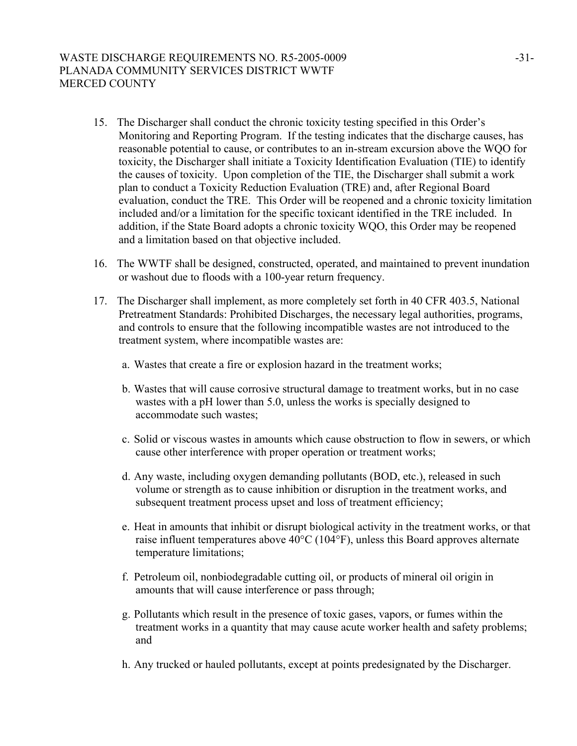# WASTE DISCHARGE REQUIREMENTS NO. R5-2005-0009 431-PLANADA COMMUNITY SERVICES DISTRICT WWTF MERCED COUNTY

- 15. The Discharger shall conduct the chronic toxicity testing specified in this Order's Monitoring and Reporting Program. If the testing indicates that the discharge causes, has reasonable potential to cause, or contributes to an in-stream excursion above the WQO for toxicity, the Discharger shall initiate a Toxicity Identification Evaluation (TIE) to identify the causes of toxicity. Upon completion of the TIE, the Discharger shall submit a work plan to conduct a Toxicity Reduction Evaluation (TRE) and, after Regional Board evaluation, conduct the TRE. This Order will be reopened and a chronic toxicity limitation included and/or a limitation for the specific toxicant identified in the TRE included. In addition, if the State Board adopts a chronic toxicity WQO, this Order may be reopened and a limitation based on that objective included.
- 16. The WWTF shall be designed, constructed, operated, and maintained to prevent inundation or washout due to floods with a 100-year return frequency.
- 17. The Discharger shall implement, as more completely set forth in 40 CFR 403.5, National Pretreatment Standards: Prohibited Discharges, the necessary legal authorities, programs, and controls to ensure that the following incompatible wastes are not introduced to the treatment system, where incompatible wastes are:
	- a. Wastes that create a fire or explosion hazard in the treatment works;
	- b. Wastes that will cause corrosive structural damage to treatment works, but in no case wastes with a pH lower than 5.0, unless the works is specially designed to accommodate such wastes;
	- c. Solid or viscous wastes in amounts which cause obstruction to flow in sewers, or which cause other interference with proper operation or treatment works;
	- d. Any waste, including oxygen demanding pollutants (BOD, etc.), released in such volume or strength as to cause inhibition or disruption in the treatment works, and subsequent treatment process upset and loss of treatment efficiency;
	- e. Heat in amounts that inhibit or disrupt biological activity in the treatment works, or that raise influent temperatures above 40°C (104°F), unless this Board approves alternate temperature limitations;
	- f. Petroleum oil, nonbiodegradable cutting oil, or products of mineral oil origin in amounts that will cause interference or pass through;
	- g. Pollutants which result in the presence of toxic gases, vapors, or fumes within the treatment works in a quantity that may cause acute worker health and safety problems; and
	- h. Any trucked or hauled pollutants, except at points predesignated by the Discharger.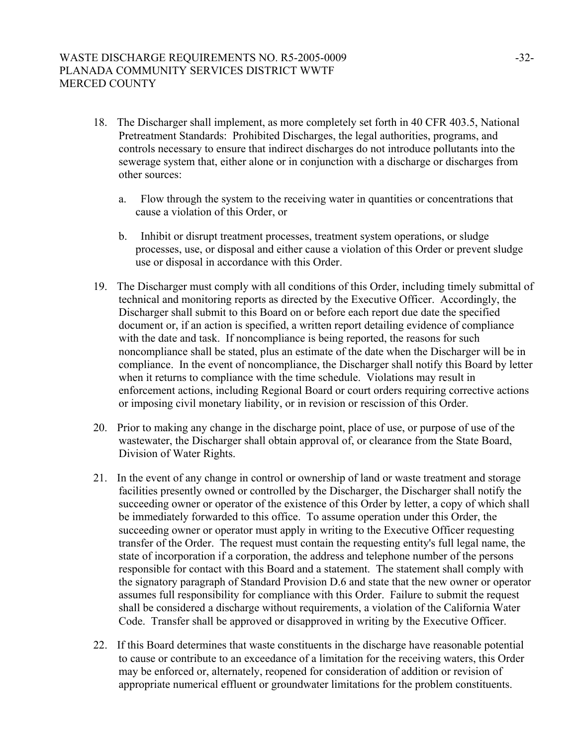# WASTE DISCHARGE REQUIREMENTS NO. R5-2005-0009 -32-32-PLANADA COMMUNITY SERVICES DISTRICT WWTF MERCED COUNTY

- 18. The Discharger shall implement, as more completely set forth in 40 CFR 403.5, National Pretreatment Standards: Prohibited Discharges, the legal authorities, programs, and controls necessary to ensure that indirect discharges do not introduce pollutants into the sewerage system that, either alone or in conjunction with a discharge or discharges from other sources:
	- a. Flow through the system to the receiving water in quantities or concentrations that cause a violation of this Order, or
	- b. Inhibit or disrupt treatment processes, treatment system operations, or sludge processes, use, or disposal and either cause a violation of this Order or prevent sludge use or disposal in accordance with this Order.
- 19. The Discharger must comply with all conditions of this Order, including timely submittal of technical and monitoring reports as directed by the Executive Officer. Accordingly, the Discharger shall submit to this Board on or before each report due date the specified document or, if an action is specified, a written report detailing evidence of compliance with the date and task. If noncompliance is being reported, the reasons for such noncompliance shall be stated, plus an estimate of the date when the Discharger will be in compliance. In the event of noncompliance, the Discharger shall notify this Board by letter when it returns to compliance with the time schedule. Violations may result in enforcement actions, including Regional Board or court orders requiring corrective actions or imposing civil monetary liability, or in revision or rescission of this Order.
- 20. Prior to making any change in the discharge point, place of use, or purpose of use of the wastewater, the Discharger shall obtain approval of, or clearance from the State Board, Division of Water Rights.
- 21. In the event of any change in control or ownership of land or waste treatment and storage facilities presently owned or controlled by the Discharger, the Discharger shall notify the succeeding owner or operator of the existence of this Order by letter, a copy of which shall be immediately forwarded to this office. To assume operation under this Order, the succeeding owner or operator must apply in writing to the Executive Officer requesting transfer of the Order. The request must contain the requesting entity's full legal name, the state of incorporation if a corporation, the address and telephone number of the persons responsible for contact with this Board and a statement. The statement shall comply with the signatory paragraph of Standard Provision D.6 and state that the new owner or operator assumes full responsibility for compliance with this Order. Failure to submit the request shall be considered a discharge without requirements, a violation of the California Water Code. Transfer shall be approved or disapproved in writing by the Executive Officer.
- 22. If this Board determines that waste constituents in the discharge have reasonable potential to cause or contribute to an exceedance of a limitation for the receiving waters, this Order may be enforced or, alternately, reopened for consideration of addition or revision of appropriate numerical effluent or groundwater limitations for the problem constituents.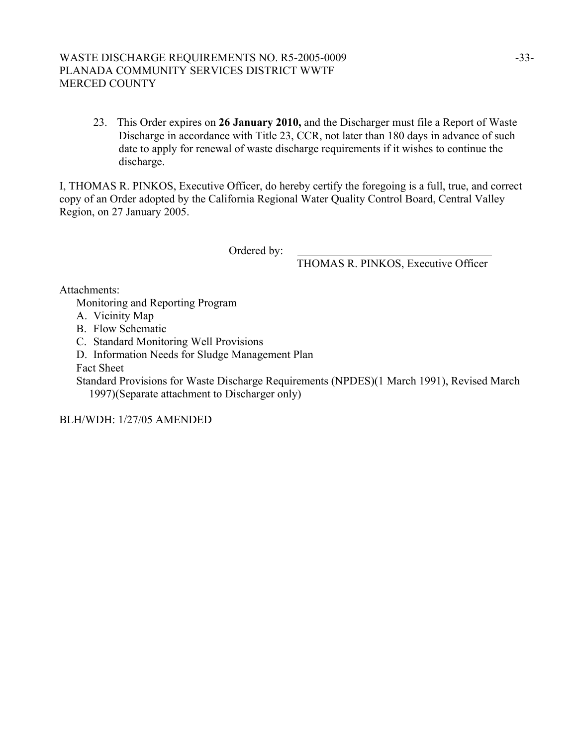# WASTE DISCHARGE REQUIREMENTS NO. R5-2005-0009 -33-PLANADA COMMUNITY SERVICES DISTRICT WWTF MERCED COUNTY

23. This Order expires on **26 January 2010,** and the Discharger must file a Report of Waste Discharge in accordance with Title 23, CCR, not later than 180 days in advance of such date to apply for renewal of waste discharge requirements if it wishes to continue the discharge.

I, THOMAS R. PINKOS, Executive Officer, do hereby certify the foregoing is a full, true, and correct copy of an Order adopted by the California Regional Water Quality Control Board, Central Valley Region, on 27 January 2005.

Ordered by:

THOMAS R. PINKOS, Executive Officer

Attachments:

Monitoring and Reporting Program

A. Vicinity Map

B. Flow Schematic

C. Standard Monitoring Well Provisions

D. Information Needs for Sludge Management Plan

Fact Sheet

Standard Provisions for Waste Discharge Requirements (NPDES)(1 March 1991), Revised March 1997)(Separate attachment to Discharger only)

BLH/WDH: 1/27/05 AMENDED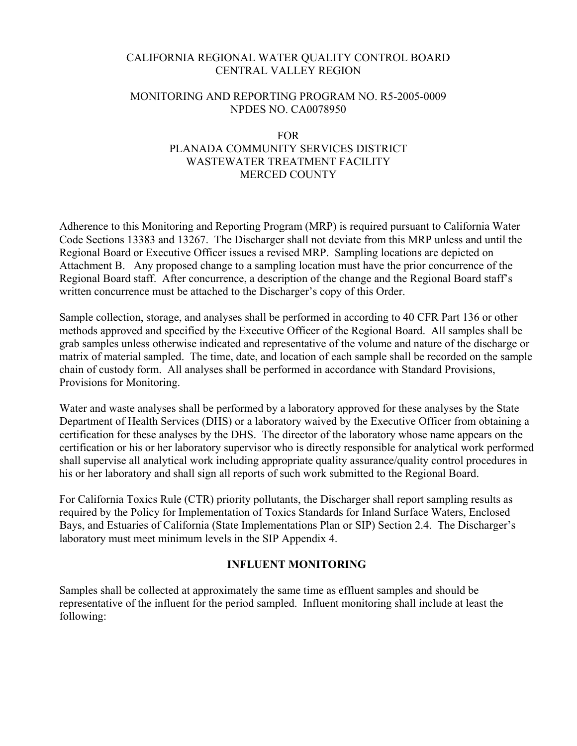# CALIFORNIA REGIONAL WATER QUALITY CONTROL BOARD CENTRAL VALLEY REGION

## MONITORING AND REPORTING PROGRAM NO. R5-2005-0009 NPDES NO. CA0078950

# FOR

# PLANADA COMMUNITY SERVICES DISTRICT WASTEWATER TREATMENT FACILITY MERCED COUNTY

Adherence to this Monitoring and Reporting Program (MRP) is required pursuant to California Water Code Sections 13383 and 13267. The Discharger shall not deviate from this MRP unless and until the Regional Board or Executive Officer issues a revised MRP. Sampling locations are depicted on Attachment B. Any proposed change to a sampling location must have the prior concurrence of the Regional Board staff. After concurrence, a description of the change and the Regional Board staff's written concurrence must be attached to the Discharger's copy of this Order.

Sample collection, storage, and analyses shall be performed in according to 40 CFR Part 136 or other methods approved and specified by the Executive Officer of the Regional Board. All samples shall be grab samples unless otherwise indicated and representative of the volume and nature of the discharge or matrix of material sampled. The time, date, and location of each sample shall be recorded on the sample chain of custody form. All analyses shall be performed in accordance with Standard Provisions, Provisions for Monitoring.

Water and waste analyses shall be performed by a laboratory approved for these analyses by the State Department of Health Services (DHS) or a laboratory waived by the Executive Officer from obtaining a certification for these analyses by the DHS. The director of the laboratory whose name appears on the certification or his or her laboratory supervisor who is directly responsible for analytical work performed shall supervise all analytical work including appropriate quality assurance/quality control procedures in his or her laboratory and shall sign all reports of such work submitted to the Regional Board.

For California Toxics Rule (CTR) priority pollutants, the Discharger shall report sampling results as required by the Policy for Implementation of Toxics Standards for Inland Surface Waters, Enclosed Bays, and Estuaries of California (State Implementations Plan or SIP) Section 2.4. The Discharger's laboratory must meet minimum levels in the SIP Appendix 4.

# **INFLUENT MONITORING**

Samples shall be collected at approximately the same time as effluent samples and should be representative of the influent for the period sampled. Influent monitoring shall include at least the following: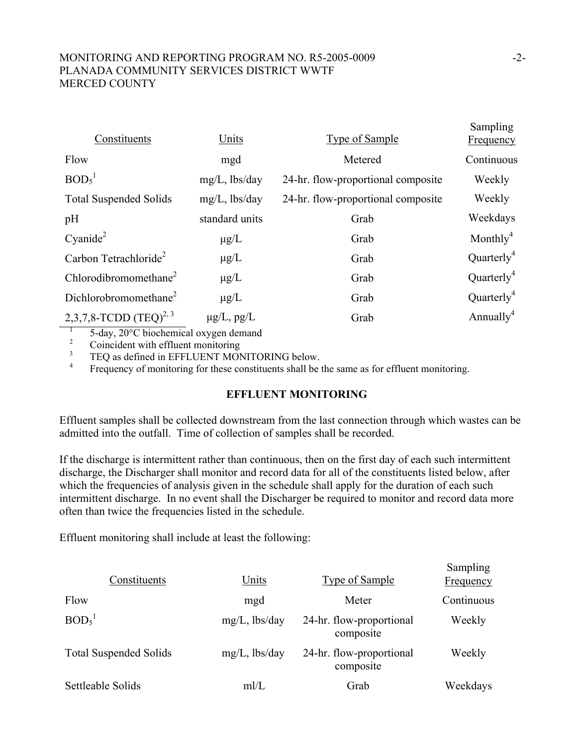# MONITORING AND REPORTING PROGRAM NO. R5-2005-0009 -2- PLANADA COMMUNITY SERVICES DISTRICT WWTF MERCED COUNTY

| Constituents                      | Units            | <b>Type of Sample</b>              | Sampling<br>Frequency  |
|-----------------------------------|------------------|------------------------------------|------------------------|
| Flow                              | mgd              | Metered                            | Continuous             |
| BOD <sub>5</sub> <sup>1</sup>     | $mg/L$ , lbs/day | 24-hr. flow-proportional composite | Weekly                 |
| <b>Total Suspended Solids</b>     | $mg/L$ , lbs/day | 24-hr. flow-proportional composite | Weekly                 |
| pH                                | standard units   | Grab                               | Weekdays               |
| Cyanide <sup>2</sup>              | $\mu$ g/L        | Grab                               | Monthly <sup>4</sup>   |
| Carbon Tetrachloride <sup>2</sup> | $\mu$ g/L        | Grab                               | Quarterly <sup>4</sup> |
| Chlorodibromomethane <sup>2</sup> | $\mu$ g/L        | Grab                               | Quarterly <sup>4</sup> |
| Dichlorobromomethane <sup>2</sup> | $\mu$ g/L        | Grab                               | Quarterly <sup>4</sup> |
| 2,3,7,8-TCDD $(TEQ)^{2,3}$        | $\mu$ g/L, pg/L  | Grab                               | Annually <sup>4</sup>  |
|                                   |                  |                                    |                        |

5-day, 20°C biochemical oxygen demand

2 Coincident with effluent monitoring

3 TEQ as defined in EFFLUENT MONITORING below.

4 Frequency of monitoring for these constituents shall be the same as for effluent monitoring.

# **EFFLUENT MONITORING**

Effluent samples shall be collected downstream from the last connection through which wastes can be admitted into the outfall. Time of collection of samples shall be recorded.

If the discharge is intermittent rather than continuous, then on the first day of each such intermittent discharge, the Discharger shall monitor and record data for all of the constituents listed below, after which the frequencies of analysis given in the schedule shall apply for the duration of each such intermittent discharge. In no event shall the Discharger be required to monitor and record data more often than twice the frequencies listed in the schedule.

Effluent monitoring shall include at least the following:

| Constituents                  | Units            | <b>Type of Sample</b>                 | Sampling<br>Frequency |
|-------------------------------|------------------|---------------------------------------|-----------------------|
| Flow                          | mgd              | Meter                                 | Continuous            |
| BOD <sub>5</sub> <sup>1</sup> | $mg/L$ , lbs/day | 24-hr. flow-proportional<br>composite | Weekly                |
| <b>Total Suspended Solids</b> | $mg/L$ , lbs/day | 24-hr. flow-proportional<br>composite | Weekly                |
| Settleable Solids             | mI/L             | Grab                                  | Weekdays              |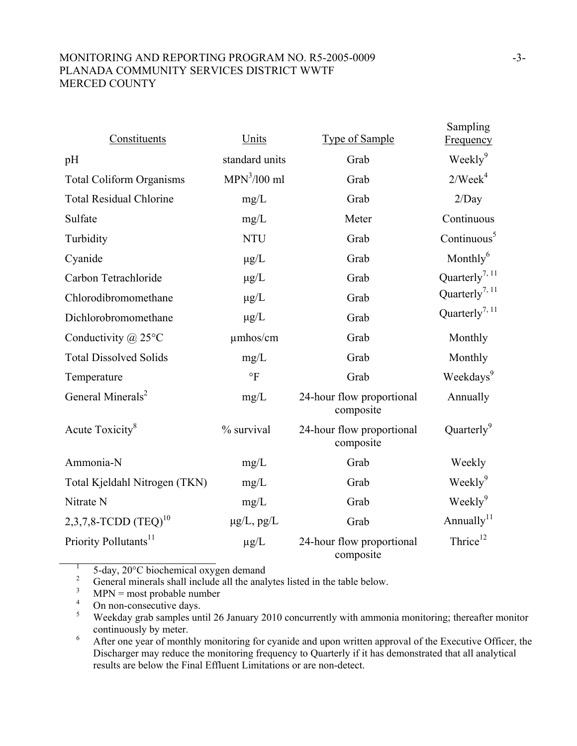# MONITORING AND REPORTING PROGRAM NO. R5-2005-0009 -3-PLANADA COMMUNITY SERVICES DISTRICT WWTF MERCED COUNTY

| Constituents                      | Units           | <b>Type of Sample</b>                  | Sampling<br>Frequency      |
|-----------------------------------|-----------------|----------------------------------------|----------------------------|
| pH                                | standard units  | Grab                                   | Weekly <sup>9</sup>        |
| <b>Total Coliform Organisms</b>   | $MPN3/100$ ml   | Grab                                   | 2/Week <sup>4</sup>        |
| <b>Total Residual Chlorine</b>    | mg/L            | Grab                                   | 2/Day                      |
| Sulfate                           | mg/L            | Meter                                  | Continuous                 |
| Turbidity                         | <b>NTU</b>      | Grab                                   | Continuous <sup>5</sup>    |
| Cyanide                           | $\mu$ g/L       | Grab                                   | Monthly $6$                |
| Carbon Tetrachloride              | $\mu$ g/L       | Grab                                   | Quarterly <sup>7, 11</sup> |
| Chlorodibromomethane              | $\mu$ g/L       | Grab                                   | Quarterly <sup>7, 11</sup> |
| Dichlorobromomethane              | $\mu$ g/L       | Grab                                   | Quarterly <sup>7, 11</sup> |
| Conductivity $\omega$ 25°C        | umhos/cm        | Grab                                   | Monthly                    |
| <b>Total Dissolved Solids</b>     | mg/L            | Grab                                   | Monthly                    |
| Temperature                       | $\circ$ F       | Grab                                   | Weekdays <sup>9</sup>      |
| General Minerals <sup>2</sup>     | mg/L            | 24-hour flow proportional<br>composite | Annually                   |
| Acute Toxicity <sup>8</sup>       | % survival      | 24-hour flow proportional<br>composite | Quarterly <sup>9</sup>     |
| Ammonia-N                         | mg/L            | Grab                                   | Weekly                     |
| Total Kjeldahl Nitrogen (TKN)     | mg/L            | Grab                                   | Weekly <sup>9</sup>        |
| Nitrate N                         | mg/L            | Grab                                   | Weekly <sup>9</sup>        |
| 2,3,7,8-TCDD $(TEQ)^{10}$         | $\mu$ g/L, pg/L | Grab                                   | Annually <sup>11</sup>     |
| Priority Pollutants <sup>11</sup> | $\mu g/L$       | 24-hour flow proportional<br>composite | Thrice <sup>12</sup>       |

1 5-day, 20°C biochemical oxygen demand

2 General minerals shall include all the analytes listed in the table below.

3 MPN = most probable number

4 On non-consecutive days.

5 Weekday grab samples until 26 January 2010 concurrently with ammonia monitoring; thereafter monitor continuously by meter.

6 After one year of monthly monitoring for cyanide and upon written approval of the Executive Officer, the Discharger may reduce the monitoring frequency to Quarterly if it has demonstrated that all analytical results are below the Final Effluent Limitations or are non-detect.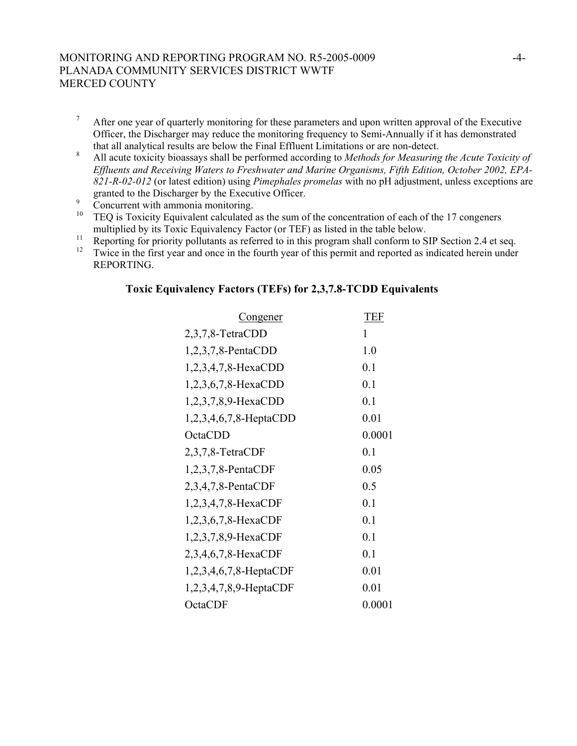### MONITORING AND REPORTING PROGRAM NO. R5-2005-0009 -4- PLANADA COMMUNITY SERVICES DISTRICT WWTF MERCED COUNTY

- 7 After one year of quarterly monitoring for these parameters and upon written approval of the Executive Officer, the Discharger may reduce the monitoring frequency to Semi-Annually if it has demonstrated that all analytical results are below the Final Effluent Limitations or are non-detect.
- 8 All acute toxicity bioassays shall be performed according to *Methods for Measuring the Acute Toxicity of Effluents and Receiving Waters to Freshwater and Marine Organisms, Fifth Edition, October 2002, EPA-821-R-02-012* (or latest edition) using *Pimephales promelas* with no pH adjustment, unless exceptions are granted to the Discharger by the Executive Officer.
- 9  $\frac{9}{10}$  Concurrent with ammonia monitoring.
- 10 TEQ is Toxicity Equivalent calculated as the sum of the concentration of each of the 17 congeners multiplied by its Toxic Equivalency Factor (or TEF) as listed in the table below.
- <sup>11</sup> Reporting for priority pollutants as referred to in this program shall conform to SIP Section 2.4 et seq.<br><sup>12</sup> Turice in the first veer and ones in the fourth year of this permit and reported as indicated began under
- 12 Twice in the first year and once in the fourth year of this permit and reported as indicated herein under REPORTING.

#### **Toxic Equivalency Factors (TEFs) for 2,3,7.8-TCDD Equivalents**

| <u>Congener</u>           | <b>TEF</b> |
|---------------------------|------------|
| 2,3,7,8-TetraCDD          | 1          |
| $1,2,3,7,8$ -PentaCDD     | 1.0        |
| 1,2,3,4,7,8-HexaCDD       | 0.1        |
| $1,2,3,6,7,8$ -HexaCDD    | 0.1        |
| 1,2,3,7,8,9-HexaCDD       | 0.1        |
| $1,2,3,4,6,7,8$ -HeptaCDD | 0.01       |
| OctaCDD                   | 0.0001     |
| $2,3,7,8$ -TetraCDF       | 0.1        |
| $1,2,3,7,8$ -PentaCDF     | 0.05       |
| 2, 3, 4, 7, 8-PentaCDF    | 0.5        |
| 1,2,3,4,7,8-HexaCDF       | 0.1        |
| 1,2,3,6,7,8-HexaCDF       | 0.1        |
| 1,2,3,7,8,9-HexaCDF       | 0.1        |
| 2,3,4,6,7,8-HexaCDF       | 0.1        |
| $1,2,3,4,6,7,8$ -HeptaCDF | 0.01       |
| $1,2,3,4,7,8,9$ -HeptaCDF | 0.01       |
| OctaCDF                   | 0.0001     |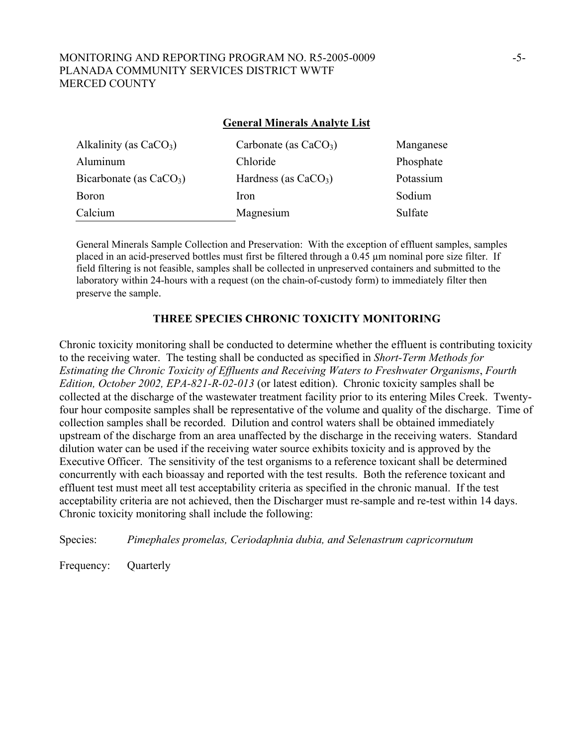#### MONITORING AND REPORTING PROGRAM NO. R5-2005-0009 -5- PLANADA COMMUNITY SERVICES DISTRICT WWTF MERCED COUNTY

#### **General Minerals Analyte List**

| Alkalinity (as $CaCO3$ )  | Carbonate (as $CaCO3$ ) | Manganese |
|---------------------------|-------------------------|-----------|
| Aluminum                  | Chloride                | Phosphate |
| Bicarbonate (as $CaCO3$ ) | Hardness (as $CaCO3$ )  | Potassium |
| Boron                     | <i>Iron</i>             | Sodium    |
| Calcium                   | Magnesium               | Sulfate   |

General Minerals Sample Collection and Preservation: With the exception of effluent samples, samples placed in an acid-preserved bottles must first be filtered through a 0.45 µm nominal pore size filter. If field filtering is not feasible, samples shall be collected in unpreserved containers and submitted to the laboratory within 24-hours with a request (on the chain-of-custody form) to immediately filter then preserve the sample.

#### **THREE SPECIES CHRONIC TOXICITY MONITORING**

Chronic toxicity monitoring shall be conducted to determine whether the effluent is contributing toxicity to the receiving water. The testing shall be conducted as specified in *Short-Term Methods for Estimating the Chronic Toxicity of Effluents and Receiving Waters to Freshwater Organisms*, *Fourth Edition, October 2002, EPA-821-R-02-013* (or latest edition). Chronic toxicity samples shall be collected at the discharge of the wastewater treatment facility prior to its entering Miles Creek. Twentyfour hour composite samples shall be representative of the volume and quality of the discharge. Time of collection samples shall be recorded. Dilution and control waters shall be obtained immediately upstream of the discharge from an area unaffected by the discharge in the receiving waters. Standard dilution water can be used if the receiving water source exhibits toxicity and is approved by the Executive Officer. The sensitivity of the test organisms to a reference toxicant shall be determined concurrently with each bioassay and reported with the test results. Both the reference toxicant and effluent test must meet all test acceptability criteria as specified in the chronic manual. If the test acceptability criteria are not achieved, then the Discharger must re-sample and re-test within 14 days. Chronic toxicity monitoring shall include the following:

Species: *Pimephales promelas, Ceriodaphnia dubia, and Selenastrum capricornutum*

Frequency: Quarterly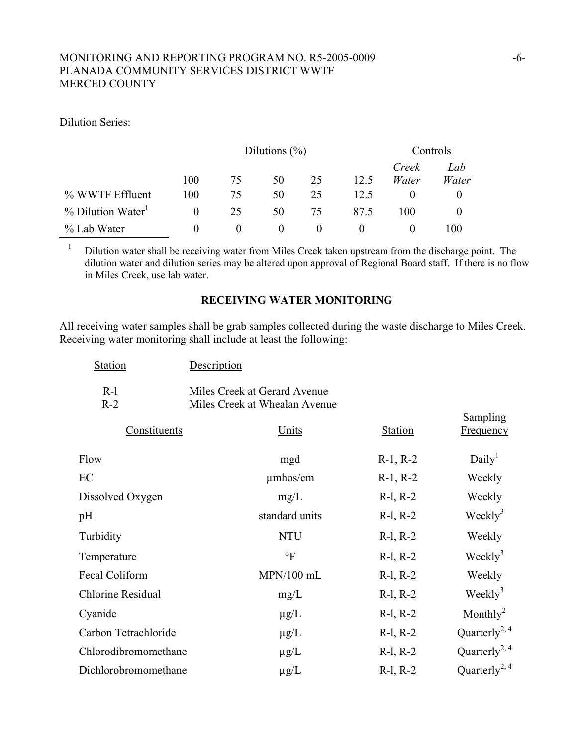### MONITORING AND REPORTING PROGRAM NO. R5-2005-0009 -6-PLANADA COMMUNITY SERVICES DISTRICT WWTF MERCED COUNTY

Dilution Series:

|                  |          | Dilutions $(\%)$ |          |    | Controls |                |              |
|------------------|----------|------------------|----------|----|----------|----------------|--------------|
|                  | 100      | 75               | 50       | 25 | 12.5     | Creek<br>Water | Lab<br>Water |
| % WWTF Effluent  | 100      | 75               | 50       | 25 | 12.5     |                | $\theta$     |
| % Dilution Water | $\theta$ | 25               | 50       | 75 | 87.5     | 100            |              |
| % Lab Water      |          |                  | $\theta$ |    |          |                | 100          |

<sup>1</sup> Dilution water shall be receiving water from Miles Creek taken upstream from the discharge point. The dilution water and dilution series may be altered upon approval of Regional Board staff. If there is no flow in Miles Creek, use lab water.

#### **RECEIVING WATER MONITORING**

All receiving water samples shall be grab samples collected during the waste discharge to Miles Creek. Receiving water monitoring shall include at least the following:

| <b>Station</b>           | Description                                                   |                |                              |
|--------------------------|---------------------------------------------------------------|----------------|------------------------------|
| $R-1$<br>$R-2$           | Miles Creek at Gerard Avenue<br>Miles Creek at Whealan Avenue |                |                              |
| Constituents             | Units                                                         | <b>Station</b> | Sampling<br><b>Frequency</b> |
| Flow                     | mgd                                                           | $R-1, R-2$     | Daily <sup>1</sup>           |
| EC                       | $\mu$ mhos/cm                                                 | $R-1, R-2$     | Weekly                       |
| Dissolved Oxygen         | mg/L                                                          | $R-1, R-2$     | Weekly                       |
| pH                       | standard units                                                | $R-1, R-2$     | Weekly <sup>3</sup>          |
| Turbidity                | <b>NTU</b>                                                    | $R-1, R-2$     | Weekly                       |
| Temperature              | $\circ$ F                                                     | $R-1, R-2$     | $\text{Weakly}^3$            |
| Fecal Coliform           | $MPN/100$ mL                                                  | $R-1, R-2$     | Weekly                       |
| <b>Chlorine Residual</b> | mg/L                                                          | $R-1, R-2$     | $\text{Weakly}^3$            |
| Cyanide                  | $\mu$ g/L                                                     | $R-1, R-2$     | Monthly <sup>2</sup>         |
| Carbon Tetrachloride     | $\mu$ g/L                                                     | $R-1, R-2$     | Quarterly <sup>2, 4</sup>    |
| Chlorodibromomethane     | $\mu$ g/L                                                     | $R-1, R-2$     | Quarterly <sup>2, 4</sup>    |
| Dichlorobromomethane     | $\mu$ g/L                                                     | $R-1, R-2$     | Quarterly <sup>2, 4</sup>    |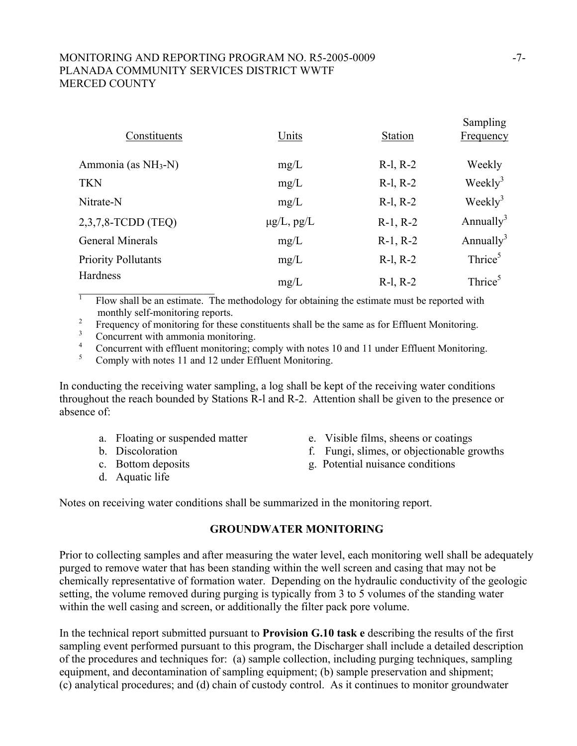# MONITORING AND REPORTING PROGRAM NO. R5-2005-0009 -7- PLANADA COMMUNITY SERVICES DISTRICT WWTF MERCED COUNTY

| Constituents               | Units           | <b>Station</b> | Sampling<br><b>Frequency</b> |
|----------------------------|-----------------|----------------|------------------------------|
| Ammonia (as $NH3-N$ )      | mg/L            | $R-1, R-2$     | Weekly                       |
| <b>TKN</b>                 | mg/L            | $R-1, R-2$     | Weekly <sup>3</sup>          |
| Nitrate-N                  | mg/L            | $R-1, R-2$     | Weekly <sup>3</sup>          |
| $2,3,7,8$ -TCDD (TEQ)      | $\mu$ g/L, pg/L | $R-1, R-2$     | Annually <sup>3</sup>        |
| General Minerals           | mg/L            | $R-1, R-2$     | Annually <sup>3</sup>        |
| <b>Priority Pollutants</b> | mg/L            | $R-1, R-2$     | Thrice <sup>5</sup>          |
| Hardness                   | mg/L            | $R-1, R-2$     | Thrice <sup>5</sup>          |

 $\top$  Flow shall be an estimate. The methodology for obtaining the estimate must be reported with monthly self-monitoring reports.

2 Frequency of monitoring for these constituents shall be the same as for Effluent Monitoring.

3 Concurrent with ammonia monitoring.

4 Concurrent with effluent monitoring; comply with notes 10 and 11 under Effluent Monitoring.

5 Comply with notes 11 and 12 under Effluent Monitoring.

In conducting the receiving water sampling, a log shall be kept of the receiving water conditions throughout the reach bounded by Stations R-l and R-2. Attention shall be given to the presence or absence of:

- 
- 
- 
- d. Aquatic life
- a. Floating or suspended matter e. Visible films, sheens or coatings
- b. Discoloration f. Fungi, slimes, or objectionable growths
- c. Bottom deposits g. Potential nuisance conditions

Notes on receiving water conditions shall be summarized in the monitoring report.

# **GROUNDWATER MONITORING**

Prior to collecting samples and after measuring the water level, each monitoring well shall be adequately purged to remove water that has been standing within the well screen and casing that may not be chemically representative of formation water. Depending on the hydraulic conductivity of the geologic setting, the volume removed during purging is typically from 3 to 5 volumes of the standing water within the well casing and screen, or additionally the filter pack pore volume.

In the technical report submitted pursuant to **Provision G.10 task e** describing the results of the first sampling event performed pursuant to this program, the Discharger shall include a detailed description of the procedures and techniques for: (a) sample collection, including purging techniques, sampling equipment, and decontamination of sampling equipment; (b) sample preservation and shipment; (c) analytical procedures; and (d) chain of custody control. As it continues to monitor groundwater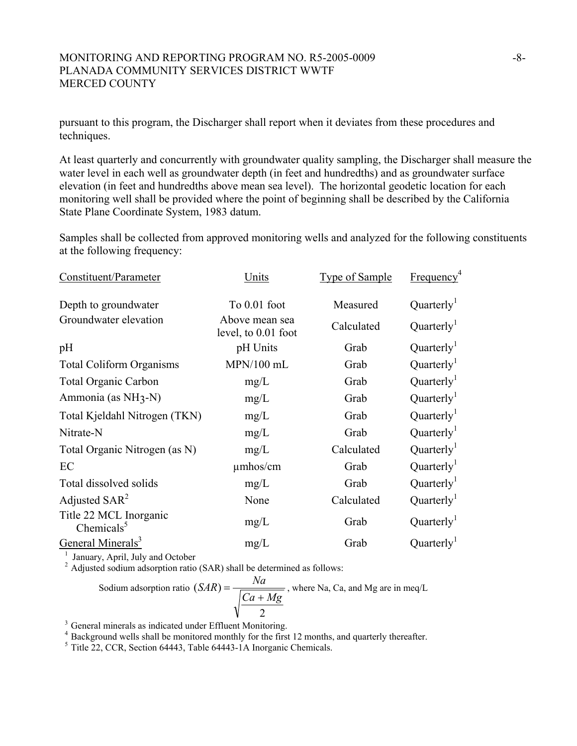#### MONITORING AND REPORTING PROGRAM NO. R5-2005-0009 -8-8-PLANADA COMMUNITY SERVICES DISTRICT WWTF MERCED COUNTY

pursuant to this program, the Discharger shall report when it deviates from these procedures and techniques.

At least quarterly and concurrently with groundwater quality sampling, the Discharger shall measure the water level in each well as groundwater depth (in feet and hundredths) and as groundwater surface elevation (in feet and hundredths above mean sea level). The horizontal geodetic location for each monitoring well shall be provided where the point of beginning shall be described by the California State Plane Coordinate System, 1983 datum.

Samples shall be collected from approved monitoring wells and analyzed for the following constituents at the following frequency:

| Constituent/Parameter                   | Units                                 | <b>Type of Sample</b> | Frequency <sup>4</sup> |
|-----------------------------------------|---------------------------------------|-----------------------|------------------------|
| Depth to groundwater                    | To $0.01$ foot                        | Measured              | Quarterly <sup>1</sup> |
| Groundwater elevation                   | Above mean sea<br>level, to 0.01 foot | Calculated            | Quarterly <sup>1</sup> |
| pH                                      | pH Units                              | Grab                  | Quarterly <sup>1</sup> |
| <b>Total Coliform Organisms</b>         | MPN/100 mL                            | Grab                  | Quarterly <sup>1</sup> |
| <b>Total Organic Carbon</b>             | mg/L                                  | Grab                  | Quarterly              |
| Ammonia (as NH <sub>3</sub> -N)         | mg/L                                  | Grab                  | Quarterly <sup>1</sup> |
| Total Kjeldahl Nitrogen (TKN)           | mg/L                                  | Grab                  | Quarterly <sup>1</sup> |
| Nitrate-N                               | mg/L                                  | Grab                  | Quarterly <sup>1</sup> |
| Total Organic Nitrogen (as N)           | mg/L                                  | Calculated            | Quarterly              |
| EC                                      | $\mu$ mhos/cm                         | Grab                  | Quarterly              |
| Total dissolved solids                  | mg/L                                  | Grab                  | Quarterly              |
| Adjusted $SAR^2$                        | None                                  | Calculated            | Quarterly <sup>1</sup> |
| Title 22 MCL Inorganic<br>Chemicals $5$ | mg/L                                  | Grab                  | Quarterly <sup>1</sup> |
| General Minerals <sup>3</sup>           | mg/L                                  | Grab                  | Quarterly <sup>1</sup> |

<sup>1</sup> January, April, July and October <sup>2</sup> Adjusted sodium adsorption ratio (SAR) shall be determined as follows:

Sodium adsorption ratio 
$$
(SAR) = \frac{Na}{\sqrt{\frac{Ca + Mg}{2}}}
$$
, where Na, Ca, and Mg are in meq/L

<sup>3</sup> General minerals as indicated under Effluent Monitoring.

 $^{4}$  Background wells shall be monitored monthly for the first 12 months, and quarterly thereafter.<br> $^{5}$  Title 22, CCR, Section 64443, Table 64443-1A Inorganic Chemicals.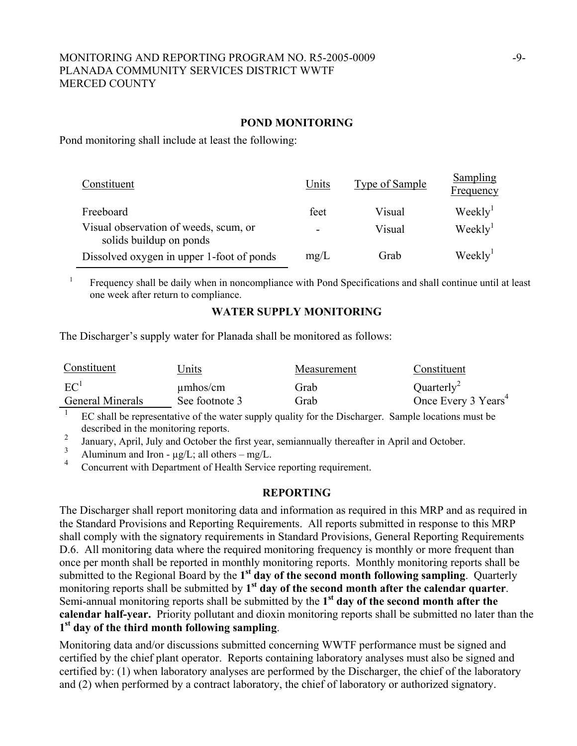#### MONITORING AND REPORTING PROGRAM NO. R5-2005-0009 -9- PLANADA COMMUNITY SERVICES DISTRICT WWTF MERCED COUNTY

#### **POND MONITORING**

Pond monitoring shall include at least the following:

| Constituent                                                      | Units | Type of Sample | Sampling<br>Frequency |
|------------------------------------------------------------------|-------|----------------|-----------------------|
| Freeboard                                                        | feet  | Visual         | Weekly <sup>1</sup>   |
| Visual observation of weeds, scum, or<br>solids buildup on ponds |       | Visual         | Weekly <sup>1</sup>   |
| Dissolved oxygen in upper 1-foot of ponds                        | mg/L  | Grab           | Weekly <sup>1</sup>   |

 Frequency shall be daily when in noncompliance with Pond Specifications and shall continue until at least one week after return to compliance.

#### **WATER SUPPLY MONITORING**

The Discharger's supply water for Planada shall be monitored as follows:

| Constituent             | Jnits          | Measurement | Constituent                     |
|-------------------------|----------------|-------------|---------------------------------|
| EC <sup>1</sup>         | $\mu$ mhos/cm  | Grab        | Quarterly <sup>2</sup>          |
| <b>General Minerals</b> | See footnote 3 | Grab        | Once Every 3 Years <sup>4</sup> |

 $\frac{1}{1}$  EC shall be representative of the water supply quality for the Discharger. Sample locations must be described in the monitoring reports.

<sup>2</sup> January, April, July and October the first year, semiannually thereafter in April and October.

<sup>3</sup> Aluminum and Iron -  $\mu g/L$ ; all others – mg/L.<br><sup>4</sup> Concurrent with Department of Haelth Samion

1

Concurrent with Department of Health Service reporting requirement.

#### **REPORTING**

The Discharger shall report monitoring data and information as required in this MRP and as required in the Standard Provisions and Reporting Requirements. All reports submitted in response to this MRP shall comply with the signatory requirements in Standard Provisions, General Reporting Requirements D.6. All monitoring data where the required monitoring frequency is monthly or more frequent than once per month shall be reported in monthly monitoring reports. Monthly monitoring reports shall be submitted to the Regional Board by the **1st day of the second month following sampling**. Quarterly monitoring reports shall be submitted by **1st day of the second month after the calendar quarter**. Semi-annual monitoring reports shall be submitted by the **1st day of the second month after the calendar half-year.** Priority pollutant and dioxin monitoring reports shall be submitted no later than the **1st day of the third month following sampling**.

Monitoring data and/or discussions submitted concerning WWTF performance must be signed and certified by the chief plant operator. Reports containing laboratory analyses must also be signed and certified by: (1) when laboratory analyses are performed by the Discharger, the chief of the laboratory and (2) when performed by a contract laboratory, the chief of laboratory or authorized signatory.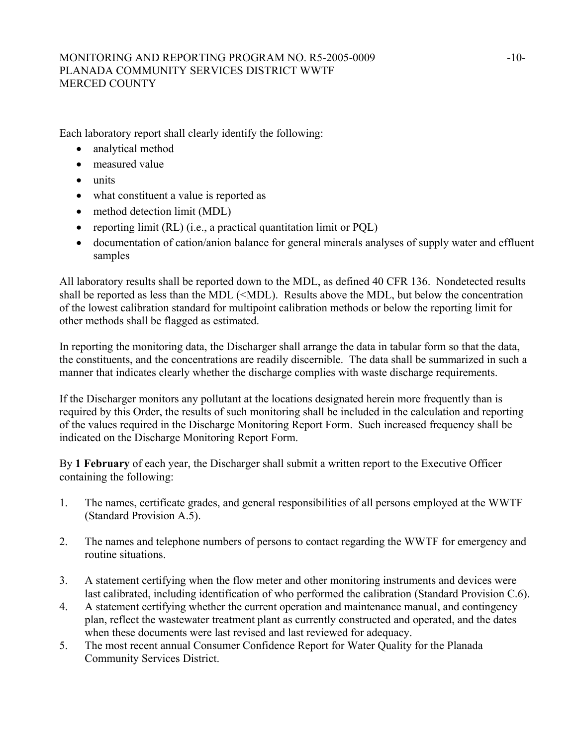### MONITORING AND REPORTING PROGRAM NO. R5-2005-0009 -10-PLANADA COMMUNITY SERVICES DISTRICT WWTF MERCED COUNTY

Each laboratory report shall clearly identify the following:

- analytical method
- measured value
- units
- what constituent a value is reported as
- method detection limit (MDL)
- reporting limit (RL) (i.e., a practical quantitation limit or PQL)
- documentation of cation/anion balance for general minerals analyses of supply water and effluent samples

All laboratory results shall be reported down to the MDL, as defined 40 CFR 136. Nondetected results shall be reported as less than the MDL (<MDL). Results above the MDL, but below the concentration of the lowest calibration standard for multipoint calibration methods or below the reporting limit for other methods shall be flagged as estimated.

In reporting the monitoring data, the Discharger shall arrange the data in tabular form so that the data, the constituents, and the concentrations are readily discernible. The data shall be summarized in such a manner that indicates clearly whether the discharge complies with waste discharge requirements.

If the Discharger monitors any pollutant at the locations designated herein more frequently than is required by this Order, the results of such monitoring shall be included in the calculation and reporting of the values required in the Discharge Monitoring Report Form. Such increased frequency shall be indicated on the Discharge Monitoring Report Form.

By **1 February** of each year, the Discharger shall submit a written report to the Executive Officer containing the following:

- 1. The names, certificate grades, and general responsibilities of all persons employed at the WWTF (Standard Provision A.5).
- 2. The names and telephone numbers of persons to contact regarding the WWTF for emergency and routine situations.
- 3. A statement certifying when the flow meter and other monitoring instruments and devices were last calibrated, including identification of who performed the calibration (Standard Provision C.6).
- 4. A statement certifying whether the current operation and maintenance manual, and contingency plan, reflect the wastewater treatment plant as currently constructed and operated, and the dates when these documents were last revised and last reviewed for adequacy.
- 5. The most recent annual Consumer Confidence Report for Water Quality for the Planada Community Services District.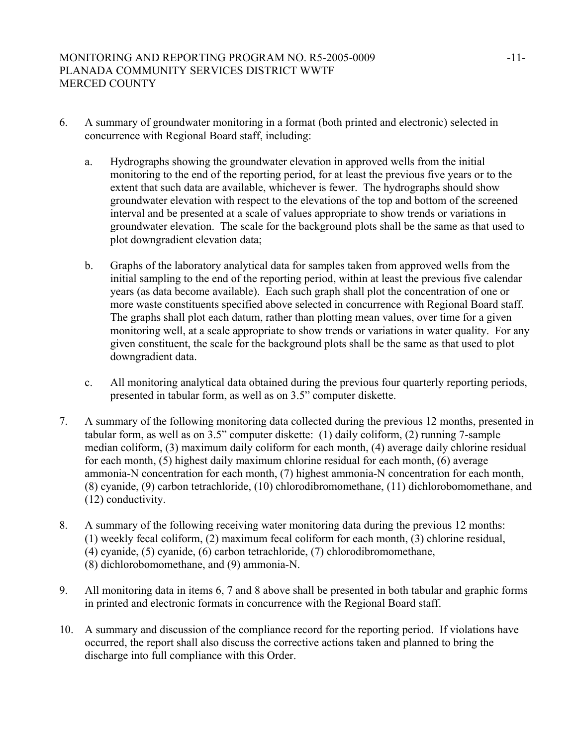- 6. A summary of groundwater monitoring in a format (both printed and electronic) selected in concurrence with Regional Board staff, including:
	- a. Hydrographs showing the groundwater elevation in approved wells from the initial monitoring to the end of the reporting period, for at least the previous five years or to the extent that such data are available, whichever is fewer. The hydrographs should show groundwater elevation with respect to the elevations of the top and bottom of the screened interval and be presented at a scale of values appropriate to show trends or variations in groundwater elevation. The scale for the background plots shall be the same as that used to plot downgradient elevation data;
	- b. Graphs of the laboratory analytical data for samples taken from approved wells from the initial sampling to the end of the reporting period, within at least the previous five calendar years (as data become available). Each such graph shall plot the concentration of one or more waste constituents specified above selected in concurrence with Regional Board staff. The graphs shall plot each datum, rather than plotting mean values, over time for a given monitoring well, at a scale appropriate to show trends or variations in water quality. For any given constituent, the scale for the background plots shall be the same as that used to plot downgradient data.
	- c. All monitoring analytical data obtained during the previous four quarterly reporting periods, presented in tabular form, as well as on 3.5" computer diskette.
- 7. A summary of the following monitoring data collected during the previous 12 months, presented in tabular form, as well as on 3.5" computer diskette: (1) daily coliform, (2) running 7-sample median coliform, (3) maximum daily coliform for each month, (4) average daily chlorine residual for each month, (5) highest daily maximum chlorine residual for each month, (6) average ammonia-N concentration for each month, (7) highest ammonia-N concentration for each month, (8) cyanide, (9) carbon tetrachloride, (10) chlorodibromomethane, (11) dichlorobomomethane, and (12) conductivity.
- 8. A summary of the following receiving water monitoring data during the previous 12 months: (1) weekly fecal coliform, (2) maximum fecal coliform for each month, (3) chlorine residual, (4) cyanide, (5) cyanide, (6) carbon tetrachloride, (7) chlorodibromomethane, (8) dichlorobomomethane, and (9) ammonia-N.
- 9. All monitoring data in items 6, 7 and 8 above shall be presented in both tabular and graphic forms in printed and electronic formats in concurrence with the Regional Board staff.
- 10. A summary and discussion of the compliance record for the reporting period. If violations have occurred, the report shall also discuss the corrective actions taken and planned to bring the discharge into full compliance with this Order.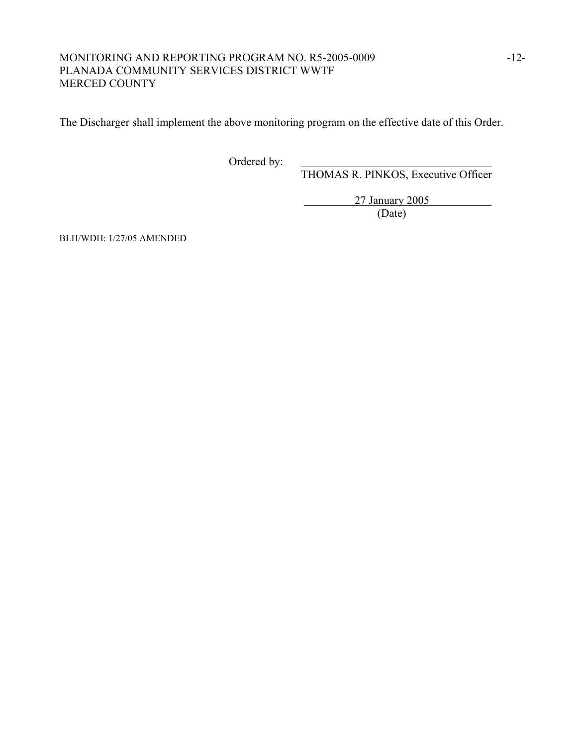### MONITORING AND REPORTING PROGRAM NO. R5-2005-0009 -12-PLANADA COMMUNITY SERVICES DISTRICT WWTF MERCED COUNTY

The Discharger shall implement the above monitoring program on the effective date of this Order.

Ordered by:

THOMAS R. PINKOS, Executive Officer

 27 January 2005 (Date)

BLH/WDH: 1/27/05 AMENDED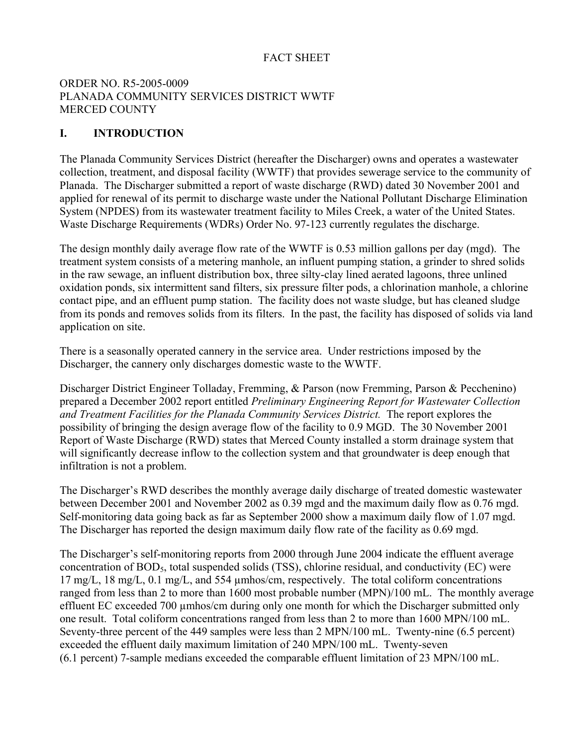# FACT SHEET

## ORDER NO. R5-2005-0009 PLANADA COMMUNITY SERVICES DISTRICT WWTF MERCED COUNTY

# **I. INTRODUCTION**

The Planada Community Services District (hereafter the Discharger) owns and operates a wastewater collection, treatment, and disposal facility (WWTF) that provides sewerage service to the community of Planada. The Discharger submitted a report of waste discharge (RWD) dated 30 November 2001 and applied for renewal of its permit to discharge waste under the National Pollutant Discharge Elimination System (NPDES) from its wastewater treatment facility to Miles Creek, a water of the United States. Waste Discharge Requirements (WDRs) Order No. 97-123 currently regulates the discharge.

The design monthly daily average flow rate of the WWTF is 0.53 million gallons per day (mgd). The treatment system consists of a metering manhole, an influent pumping station, a grinder to shred solids in the raw sewage, an influent distribution box, three silty-clay lined aerated lagoons, three unlined oxidation ponds, six intermittent sand filters, six pressure filter pods, a chlorination manhole, a chlorine contact pipe, and an effluent pump station. The facility does not waste sludge, but has cleaned sludge from its ponds and removes solids from its filters. In the past, the facility has disposed of solids via land application on site.

There is a seasonally operated cannery in the service area. Under restrictions imposed by the Discharger, the cannery only discharges domestic waste to the WWTF.

Discharger District Engineer Tolladay, Fremming, & Parson (now Fremming, Parson & Pecchenino) prepared a December 2002 report entitled *Preliminary Engineering Report for Wastewater Collection and Treatment Facilities for the Planada Community Services District.* The report explores the possibility of bringing the design average flow of the facility to 0.9 MGD. The 30 November 2001 Report of Waste Discharge (RWD) states that Merced County installed a storm drainage system that will significantly decrease inflow to the collection system and that groundwater is deep enough that infiltration is not a problem.

The Discharger's RWD describes the monthly average daily discharge of treated domestic wastewater between December 2001 and November 2002 as 0.39 mgd and the maximum daily flow as 0.76 mgd. Self-monitoring data going back as far as September 2000 show a maximum daily flow of 1.07 mgd. The Discharger has reported the design maximum daily flow rate of the facility as 0.69 mgd.

The Discharger's self-monitoring reports from 2000 through June 2004 indicate the effluent average concentration of  $BOD<sub>5</sub>$ , total suspended solids (TSS), chlorine residual, and conductivity (EC) were 17 mg/L, 18 mg/L, 0.1 mg/L, and 554 µmhos/cm, respectively. The total coliform concentrations ranged from less than 2 to more than 1600 most probable number (MPN)/100 mL. The monthly average effluent EC exceeded 700 µmhos/cm during only one month for which the Discharger submitted only one result. Total coliform concentrations ranged from less than 2 to more than 1600 MPN/100 mL. Seventy-three percent of the 449 samples were less than 2 MPN/100 mL. Twenty-nine (6.5 percent) exceeded the effluent daily maximum limitation of 240 MPN/100 mL. Twenty-seven (6.1 percent) 7-sample medians exceeded the comparable effluent limitation of 23 MPN/100 mL.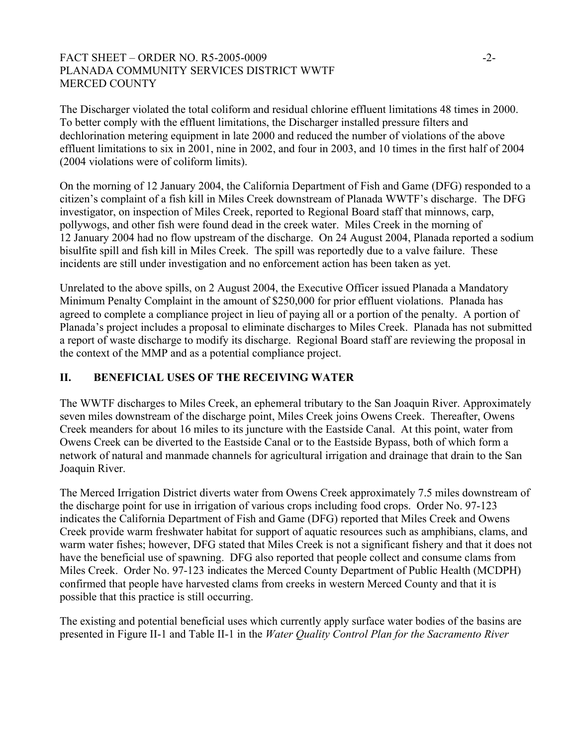### FACT SHEET – ORDER NO. R5-2005-0009 -2-PLANADA COMMUNITY SERVICES DISTRICT WWTF MERCED COUNTY

The Discharger violated the total coliform and residual chlorine effluent limitations 48 times in 2000. To better comply with the effluent limitations, the Discharger installed pressure filters and dechlorination metering equipment in late 2000 and reduced the number of violations of the above effluent limitations to six in 2001, nine in 2002, and four in 2003, and 10 times in the first half of 2004 (2004 violations were of coliform limits).

On the morning of 12 January 2004, the California Department of Fish and Game (DFG) responded to a citizen's complaint of a fish kill in Miles Creek downstream of Planada WWTF's discharge. The DFG investigator, on inspection of Miles Creek, reported to Regional Board staff that minnows, carp, pollywogs, and other fish were found dead in the creek water. Miles Creek in the morning of 12 January 2004 had no flow upstream of the discharge. On 24 August 2004, Planada reported a sodium bisulfite spill and fish kill in Miles Creek. The spill was reportedly due to a valve failure. These incidents are still under investigation and no enforcement action has been taken as yet.

Unrelated to the above spills, on 2 August 2004, the Executive Officer issued Planada a Mandatory Minimum Penalty Complaint in the amount of \$250,000 for prior effluent violations. Planada has agreed to complete a compliance project in lieu of paying all or a portion of the penalty. A portion of Planada's project includes a proposal to eliminate discharges to Miles Creek. Planada has not submitted a report of waste discharge to modify its discharge. Regional Board staff are reviewing the proposal in the context of the MMP and as a potential compliance project.

# **II. BENEFICIAL USES OF THE RECEIVING WATER**

The WWTF discharges to Miles Creek, an ephemeral tributary to the San Joaquin River. Approximately seven miles downstream of the discharge point, Miles Creek joins Owens Creek. Thereafter, Owens Creek meanders for about 16 miles to its juncture with the Eastside Canal. At this point, water from Owens Creek can be diverted to the Eastside Canal or to the Eastside Bypass, both of which form a network of natural and manmade channels for agricultural irrigation and drainage that drain to the San Joaquin River.

The Merced Irrigation District diverts water from Owens Creek approximately 7.5 miles downstream of the discharge point for use in irrigation of various crops including food crops. Order No. 97-123 indicates the California Department of Fish and Game (DFG) reported that Miles Creek and Owens Creek provide warm freshwater habitat for support of aquatic resources such as amphibians, clams, and warm water fishes; however, DFG stated that Miles Creek is not a significant fishery and that it does not have the beneficial use of spawning. DFG also reported that people collect and consume clams from Miles Creek. Order No. 97-123 indicates the Merced County Department of Public Health (MCDPH) confirmed that people have harvested clams from creeks in western Merced County and that it is possible that this practice is still occurring.

The existing and potential beneficial uses which currently apply surface water bodies of the basins are presented in Figure II-1 and Table II-1 in the *Water Quality Control Plan for the Sacramento River*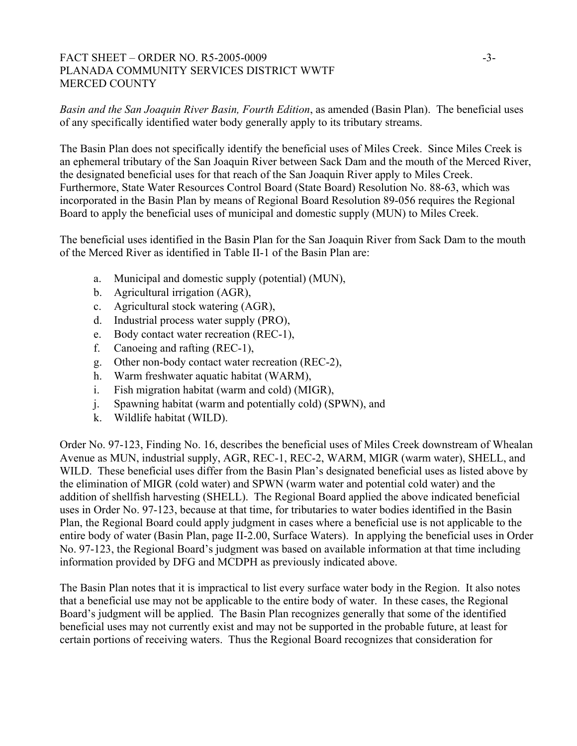#### FACT SHEET – ORDER NO. R5-2005-0009 -3-PLANADA COMMUNITY SERVICES DISTRICT WWTF MERCED COUNTY

*Basin and the San Joaquin River Basin, Fourth Edition*, as amended (Basin Plan). The beneficial uses of any specifically identified water body generally apply to its tributary streams.

The Basin Plan does not specifically identify the beneficial uses of Miles Creek. Since Miles Creek is an ephemeral tributary of the San Joaquin River between Sack Dam and the mouth of the Merced River, the designated beneficial uses for that reach of the San Joaquin River apply to Miles Creek. Furthermore, State Water Resources Control Board (State Board) Resolution No. 88-63, which was incorporated in the Basin Plan by means of Regional Board Resolution 89-056 requires the Regional Board to apply the beneficial uses of municipal and domestic supply (MUN) to Miles Creek.

The beneficial uses identified in the Basin Plan for the San Joaquin River from Sack Dam to the mouth of the Merced River as identified in Table II-1 of the Basin Plan are:

- a. Municipal and domestic supply (potential) (MUN),
- b. Agricultural irrigation (AGR),
- c. Agricultural stock watering (AGR),
- d. Industrial process water supply (PRO),
- e. Body contact water recreation (REC-1),
- f. Canoeing and rafting (REC-1),
- g. Other non-body contact water recreation (REC-2),
- h. Warm freshwater aquatic habitat (WARM),
- i. Fish migration habitat (warm and cold) (MIGR),
- j. Spawning habitat (warm and potentially cold) (SPWN), and
- k. Wildlife habitat (WILD).

Order No. 97-123, Finding No. 16, describes the beneficial uses of Miles Creek downstream of Whealan Avenue as MUN, industrial supply, AGR, REC-1, REC-2, WARM, MIGR (warm water), SHELL, and WILD. These beneficial uses differ from the Basin Plan's designated beneficial uses as listed above by the elimination of MIGR (cold water) and SPWN (warm water and potential cold water) and the addition of shellfish harvesting (SHELL). The Regional Board applied the above indicated beneficial uses in Order No. 97-123, because at that time, for tributaries to water bodies identified in the Basin Plan, the Regional Board could apply judgment in cases where a beneficial use is not applicable to the entire body of water (Basin Plan, page II-2.00, Surface Waters). In applying the beneficial uses in Order No. 97-123, the Regional Board's judgment was based on available information at that time including information provided by DFG and MCDPH as previously indicated above.

The Basin Plan notes that it is impractical to list every surface water body in the Region. It also notes that a beneficial use may not be applicable to the entire body of water. In these cases, the Regional Board's judgment will be applied. The Basin Plan recognizes generally that some of the identified beneficial uses may not currently exist and may not be supported in the probable future, at least for certain portions of receiving waters. Thus the Regional Board recognizes that consideration for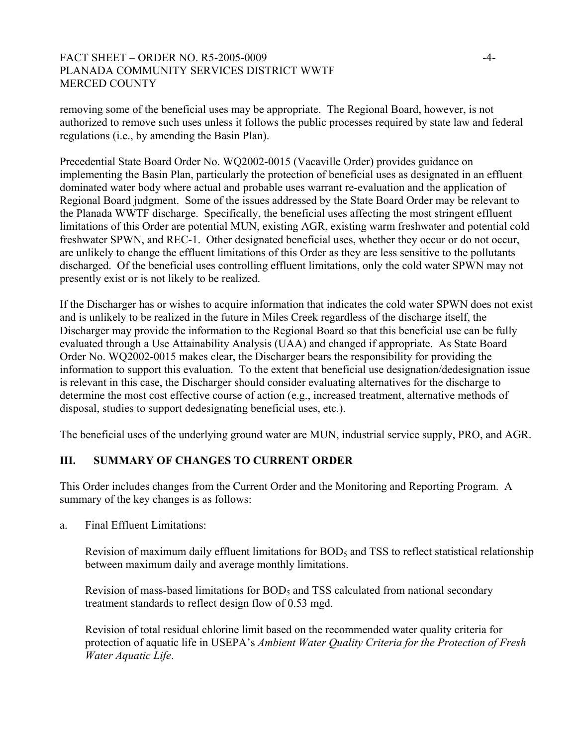#### FACT SHEET – ORDER NO. R5-2005-0009  $-4$ -PLANADA COMMUNITY SERVICES DISTRICT WWTF MERCED COUNTY

removing some of the beneficial uses may be appropriate. The Regional Board, however, is not authorized to remove such uses unless it follows the public processes required by state law and federal regulations (i.e., by amending the Basin Plan).

Precedential State Board Order No. WQ2002-0015 (Vacaville Order) provides guidance on implementing the Basin Plan, particularly the protection of beneficial uses as designated in an effluent dominated water body where actual and probable uses warrant re-evaluation and the application of Regional Board judgment. Some of the issues addressed by the State Board Order may be relevant to the Planada WWTF discharge. Specifically, the beneficial uses affecting the most stringent effluent limitations of this Order are potential MUN, existing AGR, existing warm freshwater and potential cold freshwater SPWN, and REC-1. Other designated beneficial uses, whether they occur or do not occur, are unlikely to change the effluent limitations of this Order as they are less sensitive to the pollutants discharged. Of the beneficial uses controlling effluent limitations, only the cold water SPWN may not presently exist or is not likely to be realized.

If the Discharger has or wishes to acquire information that indicates the cold water SPWN does not exist and is unlikely to be realized in the future in Miles Creek regardless of the discharge itself, the Discharger may provide the information to the Regional Board so that this beneficial use can be fully evaluated through a Use Attainability Analysis (UAA) and changed if appropriate. As State Board Order No. WQ2002-0015 makes clear, the Discharger bears the responsibility for providing the information to support this evaluation. To the extent that beneficial use designation/dedesignation issue is relevant in this case, the Discharger should consider evaluating alternatives for the discharge to determine the most cost effective course of action (e.g., increased treatment, alternative methods of disposal, studies to support dedesignating beneficial uses, etc.).

The beneficial uses of the underlying ground water are MUN, industrial service supply, PRO, and AGR.

# **III. SUMMARY OF CHANGES TO CURRENT ORDER**

This Order includes changes from the Current Order and the Monitoring and Reporting Program. A summary of the key changes is as follows:

a. Final Effluent Limitations:

Revision of maximum daily effluent limitations for  $BOD<sub>5</sub>$  and TSS to reflect statistical relationship between maximum daily and average monthly limitations.

Revision of mass-based limitations for  $BOD<sub>5</sub>$  and TSS calculated from national secondary treatment standards to reflect design flow of 0.53 mgd.

Revision of total residual chlorine limit based on the recommended water quality criteria for protection of aquatic life in USEPA's *Ambient Water Quality Criteria for the Protection of Fresh Water Aquatic Life*.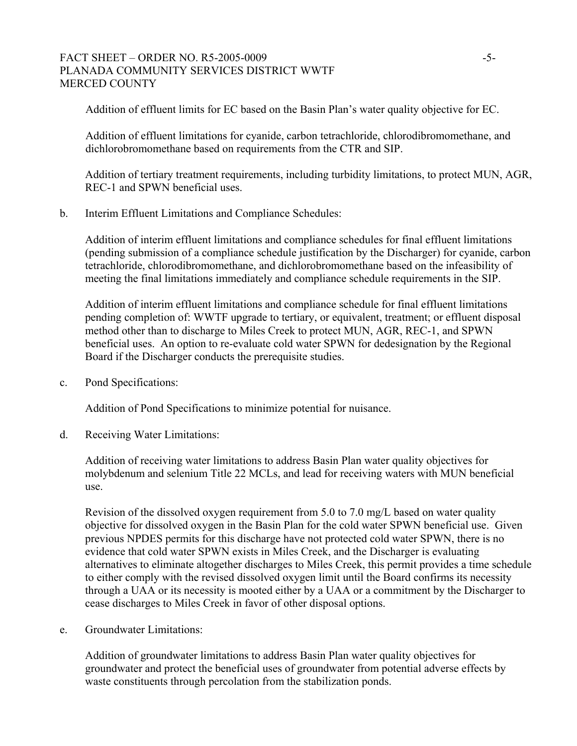#### FACT SHEET – ORDER NO. R5-2005-0009 - 5-PLANADA COMMUNITY SERVICES DISTRICT WWTF MERCED COUNTY

Addition of effluent limits for EC based on the Basin Plan's water quality objective for EC.

Addition of effluent limitations for cyanide, carbon tetrachloride, chlorodibromomethane, and dichlorobromomethane based on requirements from the CTR and SIP.

Addition of tertiary treatment requirements, including turbidity limitations, to protect MUN, AGR, REC-1 and SPWN beneficial uses.

b. Interim Effluent Limitations and Compliance Schedules:

Addition of interim effluent limitations and compliance schedules for final effluent limitations (pending submission of a compliance schedule justification by the Discharger) for cyanide, carbon tetrachloride, chlorodibromomethane, and dichlorobromomethane based on the infeasibility of meeting the final limitations immediately and compliance schedule requirements in the SIP.

Addition of interim effluent limitations and compliance schedule for final effluent limitations pending completion of: WWTF upgrade to tertiary, or equivalent, treatment; or effluent disposal method other than to discharge to Miles Creek to protect MUN, AGR, REC-1, and SPWN beneficial uses. An option to re-evaluate cold water SPWN for dedesignation by the Regional Board if the Discharger conducts the prerequisite studies.

c. Pond Specifications:

Addition of Pond Specifications to minimize potential for nuisance.

d. Receiving Water Limitations:

Addition of receiving water limitations to address Basin Plan water quality objectives for molybdenum and selenium Title 22 MCLs, and lead for receiving waters with MUN beneficial use.

Revision of the dissolved oxygen requirement from 5.0 to 7.0 mg/L based on water quality objective for dissolved oxygen in the Basin Plan for the cold water SPWN beneficial use. Given previous NPDES permits for this discharge have not protected cold water SPWN, there is no evidence that cold water SPWN exists in Miles Creek, and the Discharger is evaluating alternatives to eliminate altogether discharges to Miles Creek, this permit provides a time schedule to either comply with the revised dissolved oxygen limit until the Board confirms its necessity through a UAA or its necessity is mooted either by a UAA or a commitment by the Discharger to cease discharges to Miles Creek in favor of other disposal options.

e. Groundwater Limitations:

Addition of groundwater limitations to address Basin Plan water quality objectives for groundwater and protect the beneficial uses of groundwater from potential adverse effects by waste constituents through percolation from the stabilization ponds.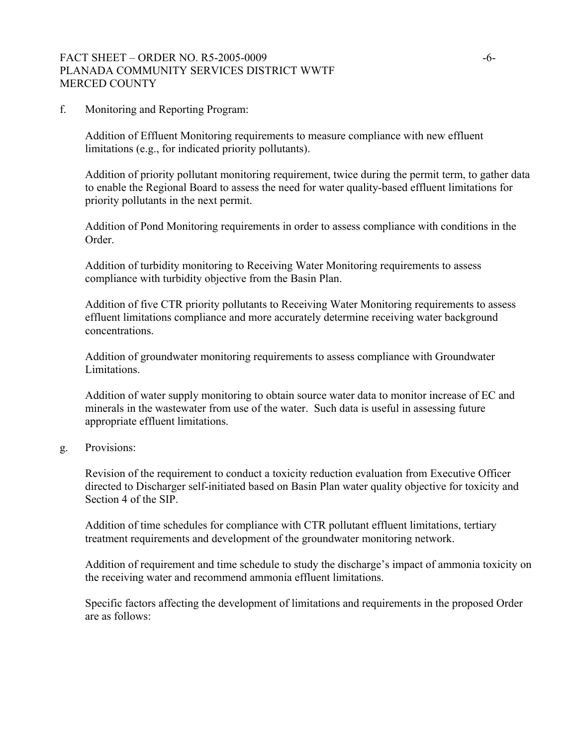#### FACT SHEET – ORDER NO. R5-2005-0009  $-6-$ PLANADA COMMUNITY SERVICES DISTRICT WWTF MERCED COUNTY

f. Monitoring and Reporting Program:

Addition of Effluent Monitoring requirements to measure compliance with new effluent limitations (e.g., for indicated priority pollutants).

Addition of priority pollutant monitoring requirement, twice during the permit term, to gather data to enable the Regional Board to assess the need for water quality-based effluent limitations for priority pollutants in the next permit.

Addition of Pond Monitoring requirements in order to assess compliance with conditions in the Order.

Addition of turbidity monitoring to Receiving Water Monitoring requirements to assess compliance with turbidity objective from the Basin Plan.

Addition of five CTR priority pollutants to Receiving Water Monitoring requirements to assess effluent limitations compliance and more accurately determine receiving water background concentrations.

Addition of groundwater monitoring requirements to assess compliance with Groundwater Limitations.

Addition of water supply monitoring to obtain source water data to monitor increase of EC and minerals in the wastewater from use of the water. Such data is useful in assessing future appropriate effluent limitations.

g. Provisions:

Revision of the requirement to conduct a toxicity reduction evaluation from Executive Officer directed to Discharger self-initiated based on Basin Plan water quality objective for toxicity and Section 4 of the SIP.

Addition of time schedules for compliance with CTR pollutant effluent limitations, tertiary treatment requirements and development of the groundwater monitoring network.

Addition of requirement and time schedule to study the discharge's impact of ammonia toxicity on the receiving water and recommend ammonia effluent limitations.

Specific factors affecting the development of limitations and requirements in the proposed Order are as follows: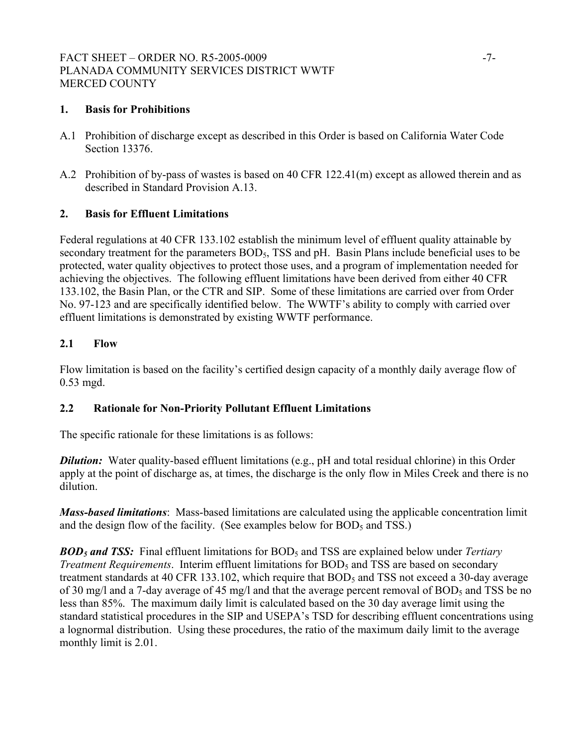### FACT SHEET – ORDER NO. R5-2005-0009 -7-PLANADA COMMUNITY SERVICES DISTRICT WWTF MERCED COUNTY

# **1. Basis for Prohibitions**

- A.1 Prohibition of discharge except as described in this Order is based on California Water Code Section 13376.
- A.2 Prohibition of by-pass of wastes is based on 40 CFR 122.41(m) except as allowed therein and as described in Standard Provision A.13.

#### **2. Basis for Effluent Limitations**

Federal regulations at 40 CFR 133.102 establish the minimum level of effluent quality attainable by secondary treatment for the parameters BOD<sub>5</sub>, TSS and pH. Basin Plans include beneficial uses to be protected, water quality objectives to protect those uses, and a program of implementation needed for achieving the objectives. The following effluent limitations have been derived from either 40 CFR 133.102, the Basin Plan, or the CTR and SIP. Some of these limitations are carried over from Order No. 97-123 and are specifically identified below. The WWTF's ability to comply with carried over effluent limitations is demonstrated by existing WWTF performance.

### **2.1 Flow**

Flow limitation is based on the facility's certified design capacity of a monthly daily average flow of 0.53 mgd.

#### **2.2 Rationale for Non-Priority Pollutant Effluent Limitations**

The specific rationale for these limitations is as follows:

*Dilution:* Water quality-based effluent limitations (e.g., pH and total residual chlorine) in this Order apply at the point of discharge as, at times, the discharge is the only flow in Miles Creek and there is no dilution.

*Mass-based limitations*: Mass-based limitations are calculated using the applicable concentration limit and the design flow of the facility. (See examples below for  $BOD<sub>5</sub>$  and TSS.)

*BOD5 and TSS:* Final effluent limitations for BOD5 and TSS are explained below under *Tertiary Treatment Requirements.* Interim effluent limitations for BOD<sub>5</sub> and TSS are based on secondary treatment standards at 40 CFR 133.102, which require that  $BOD<sub>5</sub>$  and TSS not exceed a 30-day average of 30 mg/l and a 7-day average of 45 mg/l and that the average percent removal of BOD<sub>5</sub> and TSS be no less than 85%. The maximum daily limit is calculated based on the 30 day average limit using the standard statistical procedures in the SIP and USEPA's TSD for describing effluent concentrations using a lognormal distribution. Using these procedures, the ratio of the maximum daily limit to the average monthly limit is 2.01.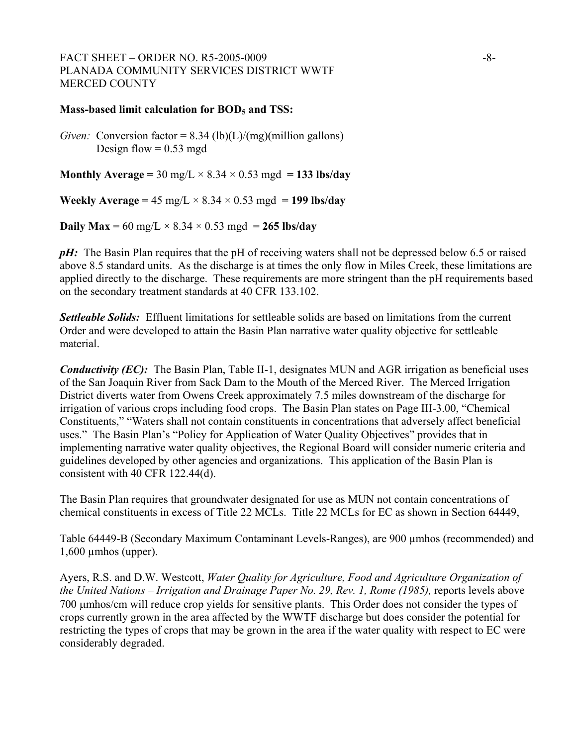#### FACT SHEET – ORDER NO. R5-2005-0009  $-8-$ PLANADA COMMUNITY SERVICES DISTRICT WWTF MERCED COUNTY

#### **Mass-based limit calculation for BOD<sub>5</sub> and TSS:**

*Given:* Conversion factor =  $8.34$  (lb)(L)/(mg)(million gallons) Design flow  $= 0.53$  mgd

**Monthly Average = 30 mg/L**  $\times$  8.34  $\times$  0.53 mgd = 133 lbs/day

**Weekly Average =**  $45 \text{ mg/L} \times 8.34 \times 0.53 \text{ mgd} = 199 \text{ lbs/day}$ 

**Daily Max** =  $60 \text{ mg/L} \times 8.34 \times 0.53 \text{ mgd} = 265 \text{ lbs/day}$ 

*pH*: The Basin Plan requires that the pH of receiving waters shall not be depressed below 6.5 or raised above 8.5 standard units. As the discharge is at times the only flow in Miles Creek, these limitations are applied directly to the discharge. These requirements are more stringent than the pH requirements based on the secondary treatment standards at 40 CFR 133.102.

*Settleable Solids:* Effluent limitations for settleable solids are based on limitations from the current Order and were developed to attain the Basin Plan narrative water quality objective for settleable material.

*Conductivity (EC):* The Basin Plan, Table II-1, designates MUN and AGR irrigation as beneficial uses of the San Joaquin River from Sack Dam to the Mouth of the Merced River. The Merced Irrigation District diverts water from Owens Creek approximately 7.5 miles downstream of the discharge for irrigation of various crops including food crops. The Basin Plan states on Page III-3.00, "Chemical Constituents," "Waters shall not contain constituents in concentrations that adversely affect beneficial uses." The Basin Plan's "Policy for Application of Water Quality Objectives" provides that in implementing narrative water quality objectives, the Regional Board will consider numeric criteria and guidelines developed by other agencies and organizations. This application of the Basin Plan is consistent with 40 CFR 122.44(d).

The Basin Plan requires that groundwater designated for use as MUN not contain concentrations of chemical constituents in excess of Title 22 MCLs. Title 22 MCLs for EC as shown in Section 64449,

Table 64449-B (Secondary Maximum Contaminant Levels-Ranges), are 900 µmhos (recommended) and  $1,600$  µmhos (upper).

Ayers, R.S. and D.W. Westcott, *Water Quality for Agriculture, Food and Agriculture Organization of the United Nations – Irrigation and Drainage Paper No. 29, Rev. 1, Rome (1985),* reports levels above 700 µmhos/cm will reduce crop yields for sensitive plants. This Order does not consider the types of crops currently grown in the area affected by the WWTF discharge but does consider the potential for restricting the types of crops that may be grown in the area if the water quality with respect to EC were considerably degraded.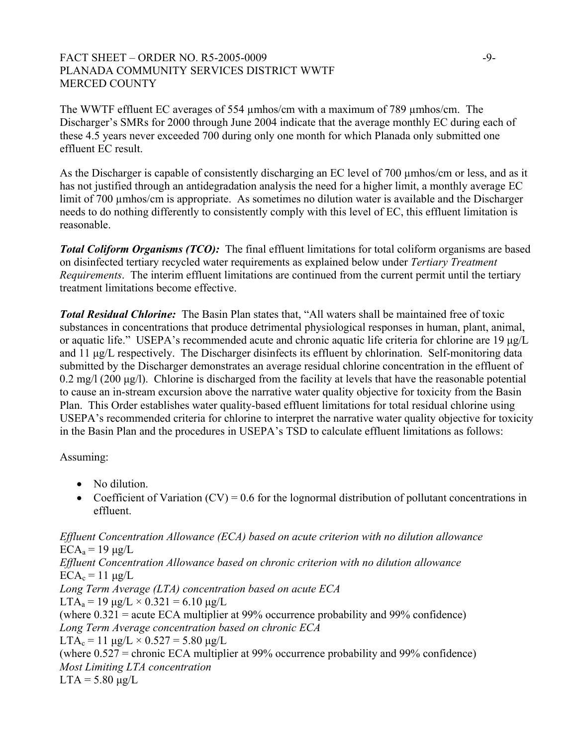### FACT SHEET – ORDER NO. R5-2005-0009 -9-PLANADA COMMUNITY SERVICES DISTRICT WWTF MERCED COUNTY

The WWTF effluent EC averages of 554 umhos/cm with a maximum of 789 umhos/cm. The Discharger's SMRs for 2000 through June 2004 indicate that the average monthly EC during each of these 4.5 years never exceeded 700 during only one month for which Planada only submitted one effluent EC result.

As the Discharger is capable of consistently discharging an EC level of 700 µmhos/cm or less, and as it has not justified through an antidegradation analysis the need for a higher limit, a monthly average EC limit of 700 µmhos/cm is appropriate. As sometimes no dilution water is available and the Discharger needs to do nothing differently to consistently comply with this level of EC, this effluent limitation is reasonable.

*Total Coliform Organisms (TCO):* The final effluent limitations for total coliform organisms are based on disinfected tertiary recycled water requirements as explained below under *Tertiary Treatment Requirements*. The interim effluent limitations are continued from the current permit until the tertiary treatment limitations become effective.

*Total Residual Chlorine:* The Basin Plan states that, "All waters shall be maintained free of toxic substances in concentrations that produce detrimental physiological responses in human, plant, animal, or aquatic life." USEPA's recommended acute and chronic aquatic life criteria for chlorine are 19 µg/L and 11 µg/L respectively. The Discharger disinfects its effluent by chlorination. Self-monitoring data submitted by the Discharger demonstrates an average residual chlorine concentration in the effluent of  $0.2 \text{ mg/l}$  (200  $\mu$ g/l). Chlorine is discharged from the facility at levels that have the reasonable potential to cause an in-stream excursion above the narrative water quality objective for toxicity from the Basin Plan. This Order establishes water quality-based effluent limitations for total residual chlorine using USEPA's recommended criteria for chlorine to interpret the narrative water quality objective for toxicity in the Basin Plan and the procedures in USEPA's TSD to calculate effluent limitations as follows:

Assuming:

- No dilution.
- Coefficient of Variation  $(CV) = 0.6$  for the lognormal distribution of pollutant concentrations in effluent.

*Effluent Concentration Allowance (ECA) based on acute criterion with no dilution allowance*   $ECA<sub>a</sub> = 19 \mu g/L$ *Effluent Concentration Allowance based on chronic criterion with no dilution allowance*   $ECA_c = 11 \mu g/L$ *Long Term Average (LTA) concentration based on acute ECA*  LTA<sub>a</sub> = 19  $\mu$ g/L × 0.321 = 6.10  $\mu$ g/L (where 0.321 = acute ECA multiplier at 99% occurrence probability and 99% confidence) *Long Term Average concentration based on chronic ECA*   $LTA_c = 11 \mu g/L \times 0.527 = 5.80 \mu g/L$ (where 0.527 = chronic ECA multiplier at 99% occurrence probability and 99% confidence) *Most Limiting LTA concentration*   $LTA = 5.80 \text{ µg}/L$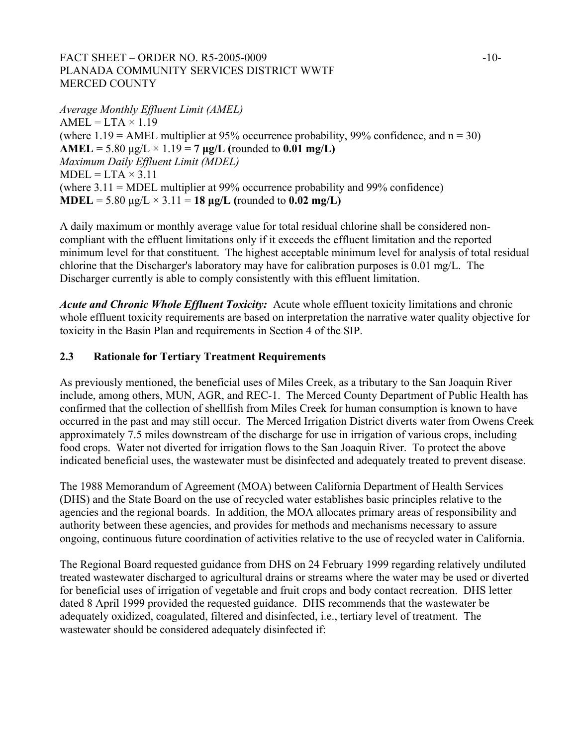# FACT SHEET – ORDER NO. R5-2005-0009  $-10-$ PLANADA COMMUNITY SERVICES DISTRICT WWTF MERCED COUNTY

*Average Monthly Effluent Limit (AMEL)*   $AMEL = LTA \times 1.19$ (where  $1.19 = AMEL$  multiplier at 95% occurrence probability, 99% confidence, and  $n = 30$ ) **AMEL** = 5.80  $\mu$ g/L  $\times$  1.19 = 7  $\mu$ g/L (rounded to 0.01 mg/L) *Maximum Daily Effluent Limit (MDEL)*   $MDEL = LTA \times 3.11$ (where 3.11 = MDEL multiplier at 99% occurrence probability and 99% confidence) **MDEL** = 5.80  $\mu$ g/L  $\times$  3.11 = **18**  $\mu$ **g/L** (rounded to **0.02 mg/L**)

A daily maximum or monthly average value for total residual chlorine shall be considered noncompliant with the effluent limitations only if it exceeds the effluent limitation and the reported minimum level for that constituent. The highest acceptable minimum level for analysis of total residual chlorine that the Discharger's laboratory may have for calibration purposes is 0.01 mg/L. The Discharger currently is able to comply consistently with this effluent limitation.

*Acute and Chronic Whole Effluent Toxicity:*Acute whole effluent toxicity limitations and chronic whole effluent toxicity requirements are based on interpretation the narrative water quality objective for toxicity in the Basin Plan and requirements in Section 4 of the SIP.

# **2.3 Rationale for Tertiary Treatment Requirements**

As previously mentioned, the beneficial uses of Miles Creek, as a tributary to the San Joaquin River include, among others, MUN, AGR, and REC-1. The Merced County Department of Public Health has confirmed that the collection of shellfish from Miles Creek for human consumption is known to have occurred in the past and may still occur. The Merced Irrigation District diverts water from Owens Creek approximately 7.5 miles downstream of the discharge for use in irrigation of various crops, including food crops. Water not diverted for irrigation flows to the San Joaquin River. To protect the above indicated beneficial uses, the wastewater must be disinfected and adequately treated to prevent disease.

The 1988 Memorandum of Agreement (MOA) between California Department of Health Services (DHS) and the State Board on the use of recycled water establishes basic principles relative to the agencies and the regional boards. In addition, the MOA allocates primary areas of responsibility and authority between these agencies, and provides for methods and mechanisms necessary to assure ongoing, continuous future coordination of activities relative to the use of recycled water in California.

The Regional Board requested guidance from DHS on 24 February 1999 regarding relatively undiluted treated wastewater discharged to agricultural drains or streams where the water may be used or diverted for beneficial uses of irrigation of vegetable and fruit crops and body contact recreation. DHS letter dated 8 April 1999 provided the requested guidance. DHS recommends that the wastewater be adequately oxidized, coagulated, filtered and disinfected, i.e., tertiary level of treatment. The wastewater should be considered adequately disinfected if: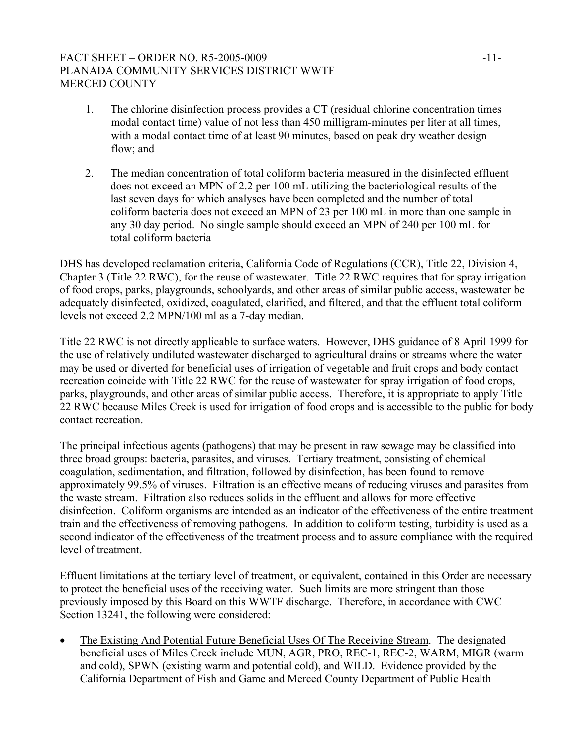# FACT SHEET – ORDER NO. R5-2005-0009 -11-PLANADA COMMUNITY SERVICES DISTRICT WWTF MERCED COUNTY

- 1. The chlorine disinfection process provides a CT (residual chlorine concentration times modal contact time) value of not less than 450 milligram-minutes per liter at all times, with a modal contact time of at least 90 minutes, based on peak dry weather design flow; and
- 2. The median concentration of total coliform bacteria measured in the disinfected effluent does not exceed an MPN of 2.2 per 100 mL utilizing the bacteriological results of the last seven days for which analyses have been completed and the number of total coliform bacteria does not exceed an MPN of 23 per 100 mL in more than one sample in any 30 day period. No single sample should exceed an MPN of 240 per 100 mL for total coliform bacteria

DHS has developed reclamation criteria, California Code of Regulations (CCR), Title 22, Division 4, Chapter 3 (Title 22 RWC), for the reuse of wastewater. Title 22 RWC requires that for spray irrigation of food crops, parks, playgrounds, schoolyards, and other areas of similar public access, wastewater be adequately disinfected, oxidized, coagulated, clarified, and filtered, and that the effluent total coliform levels not exceed 2.2 MPN/100 ml as a 7-day median.

Title 22 RWC is not directly applicable to surface waters. However, DHS guidance of 8 April 1999 for the use of relatively undiluted wastewater discharged to agricultural drains or streams where the water may be used or diverted for beneficial uses of irrigation of vegetable and fruit crops and body contact recreation coincide with Title 22 RWC for the reuse of wastewater for spray irrigation of food crops, parks, playgrounds, and other areas of similar public access. Therefore, it is appropriate to apply Title 22 RWC because Miles Creek is used for irrigation of food crops and is accessible to the public for body contact recreation.

The principal infectious agents (pathogens) that may be present in raw sewage may be classified into three broad groups: bacteria, parasites, and viruses. Tertiary treatment, consisting of chemical coagulation, sedimentation, and filtration, followed by disinfection, has been found to remove approximately 99.5% of viruses. Filtration is an effective means of reducing viruses and parasites from the waste stream. Filtration also reduces solids in the effluent and allows for more effective disinfection. Coliform organisms are intended as an indicator of the effectiveness of the entire treatment train and the effectiveness of removing pathogens. In addition to coliform testing, turbidity is used as a second indicator of the effectiveness of the treatment process and to assure compliance with the required level of treatment.

Effluent limitations at the tertiary level of treatment, or equivalent, contained in this Order are necessary to protect the beneficial uses of the receiving water. Such limits are more stringent than those previously imposed by this Board on this WWTF discharge. Therefore, in accordance with CWC Section 13241, the following were considered:

• The Existing And Potential Future Beneficial Uses Of The Receiving Stream. The designated beneficial uses of Miles Creek include MUN, AGR, PRO, REC-1, REC-2, WARM, MIGR (warm and cold), SPWN (existing warm and potential cold), and WILD. Evidence provided by the California Department of Fish and Game and Merced County Department of Public Health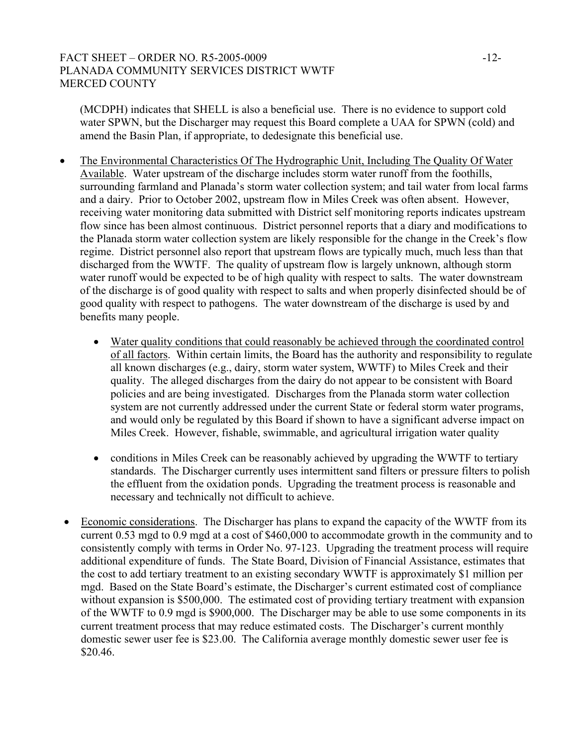# FACT SHEET – ORDER NO. R5-2005-0009 -12-PLANADA COMMUNITY SERVICES DISTRICT WWTF MERCED COUNTY

(MCDPH) indicates that SHELL is also a beneficial use. There is no evidence to support cold water SPWN, but the Discharger may request this Board complete a UAA for SPWN (cold) and amend the Basin Plan, if appropriate, to dedesignate this beneficial use.

- The Environmental Characteristics Of The Hydrographic Unit, Including The Quality Of Water Available. Water upstream of the discharge includes storm water runoff from the foothills, surrounding farmland and Planada's storm water collection system; and tail water from local farms and a dairy. Prior to October 2002, upstream flow in Miles Creek was often absent. However, receiving water monitoring data submitted with District self monitoring reports indicates upstream flow since has been almost continuous. District personnel reports that a diary and modifications to the Planada storm water collection system are likely responsible for the change in the Creek's flow regime. District personnel also report that upstream flows are typically much, much less than that discharged from the WWTF. The quality of upstream flow is largely unknown, although storm water runoff would be expected to be of high quality with respect to salts. The water downstream of the discharge is of good quality with respect to salts and when properly disinfected should be of good quality with respect to pathogens. The water downstream of the discharge is used by and benefits many people.
	- Water quality conditions that could reasonably be achieved through the coordinated control of all factors. Within certain limits, the Board has the authority and responsibility to regulate all known discharges (e.g., dairy, storm water system, WWTF) to Miles Creek and their quality. The alleged discharges from the dairy do not appear to be consistent with Board policies and are being investigated. Discharges from the Planada storm water collection system are not currently addressed under the current State or federal storm water programs, and would only be regulated by this Board if shown to have a significant adverse impact on Miles Creek. However, fishable, swimmable, and agricultural irrigation water quality
	- conditions in Miles Creek can be reasonably achieved by upgrading the WWTF to tertiary standards. The Discharger currently uses intermittent sand filters or pressure filters to polish the effluent from the oxidation ponds. Upgrading the treatment process is reasonable and necessary and technically not difficult to achieve.
- Economic considerations. The Discharger has plans to expand the capacity of the WWTF from its current 0.53 mgd to 0.9 mgd at a cost of \$460,000 to accommodate growth in the community and to consistently comply with terms in Order No. 97-123. Upgrading the treatment process will require additional expenditure of funds. The State Board, Division of Financial Assistance, estimates that the cost to add tertiary treatment to an existing secondary WWTF is approximately \$1 million per mgd. Based on the State Board's estimate, the Discharger's current estimated cost of compliance without expansion is \$500,000. The estimated cost of providing tertiary treatment with expansion of the WWTF to 0.9 mgd is \$900,000. The Discharger may be able to use some components in its current treatment process that may reduce estimated costs. The Discharger's current monthly domestic sewer user fee is \$23.00. The California average monthly domestic sewer user fee is \$20.46.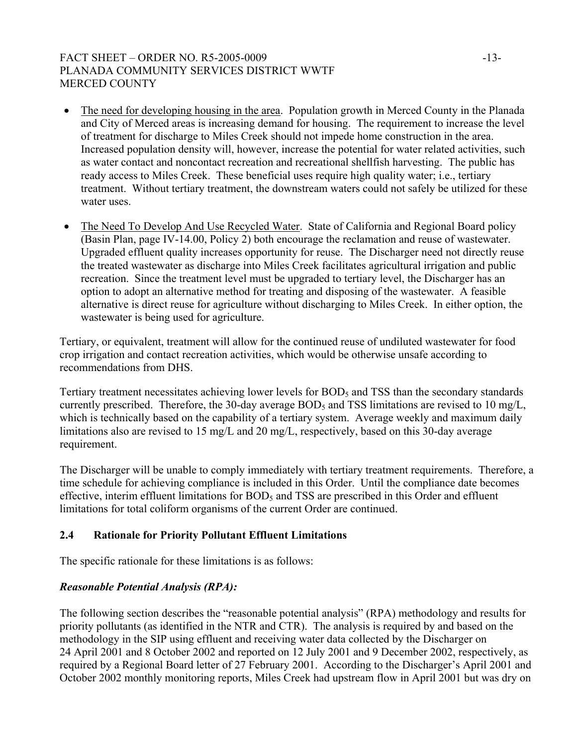# FACT SHEET – ORDER NO. R5-2005-0009 -13-PLANADA COMMUNITY SERVICES DISTRICT WWTF MERCED COUNTY

- The need for developing housing in the area. Population growth in Merced County in the Planada and City of Merced areas is increasing demand for housing. The requirement to increase the level of treatment for discharge to Miles Creek should not impede home construction in the area. Increased population density will, however, increase the potential for water related activities, such as water contact and noncontact recreation and recreational shellfish harvesting. The public has ready access to Miles Creek. These beneficial uses require high quality water; i.e., tertiary treatment. Without tertiary treatment, the downstream waters could not safely be utilized for these water uses.
- The Need To Develop And Use Recycled Water. State of California and Regional Board policy (Basin Plan, page IV-14.00, Policy 2) both encourage the reclamation and reuse of wastewater. Upgraded effluent quality increases opportunity for reuse. The Discharger need not directly reuse the treated wastewater as discharge into Miles Creek facilitates agricultural irrigation and public recreation. Since the treatment level must be upgraded to tertiary level, the Discharger has an option to adopt an alternative method for treating and disposing of the wastewater. A feasible alternative is direct reuse for agriculture without discharging to Miles Creek. In either option, the wastewater is being used for agriculture.

Tertiary, or equivalent, treatment will allow for the continued reuse of undiluted wastewater for food crop irrigation and contact recreation activities, which would be otherwise unsafe according to recommendations from DHS.

Tertiary treatment necessitates achieving lower levels for BOD<sub>5</sub> and TSS than the secondary standards currently prescribed. Therefore, the 30-day average  $BOD<sub>5</sub>$  and TSS limitations are revised to 10 mg/L, which is technically based on the capability of a tertiary system. Average weekly and maximum daily limitations also are revised to 15 mg/L and 20 mg/L, respectively, based on this 30-day average requirement.

The Discharger will be unable to comply immediately with tertiary treatment requirements. Therefore, a time schedule for achieving compliance is included in this Order. Until the compliance date becomes effective, interim effluent limitations for BOD<sub>5</sub> and TSS are prescribed in this Order and effluent limitations for total coliform organisms of the current Order are continued.

# **2.4 Rationale for Priority Pollutant Effluent Limitations**

The specific rationale for these limitations is as follows:

# *Reasonable Potential Analysis (RPA):*

The following section describes the "reasonable potential analysis" (RPA) methodology and results for priority pollutants (as identified in the NTR and CTR). The analysis is required by and based on the methodology in the SIP using effluent and receiving water data collected by the Discharger on 24 April 2001 and 8 October 2002 and reported on 12 July 2001 and 9 December 2002, respectively, as required by a Regional Board letter of 27 February 2001. According to the Discharger's April 2001 and October 2002 monthly monitoring reports, Miles Creek had upstream flow in April 2001 but was dry on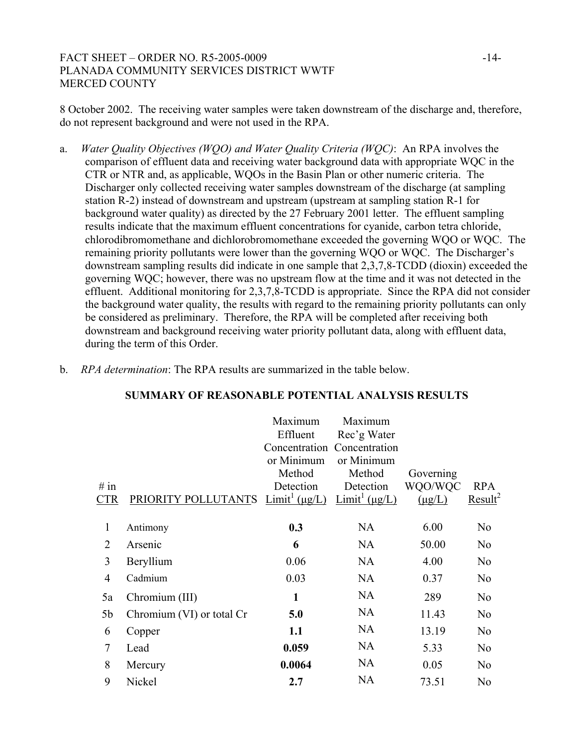# FACT SHEET – ORDER NO. R5-2005-0009 -14-PLANADA COMMUNITY SERVICES DISTRICT WWTF MERCED COUNTY

8 October 2002. The receiving water samples were taken downstream of the discharge and, therefore, do not represent background and were not used in the RPA.

- a. *Water Quality Objectives (WQO) and Water Quality Criteria (WQC)*: An RPA involves the comparison of effluent data and receiving water background data with appropriate WQC in the CTR or NTR and, as applicable, WQOs in the Basin Plan or other numeric criteria. The Discharger only collected receiving water samples downstream of the discharge (at sampling station R-2) instead of downstream and upstream (upstream at sampling station R-1 for background water quality) as directed by the 27 February 2001 letter. The effluent sampling results indicate that the maximum effluent concentrations for cyanide, carbon tetra chloride, chlorodibromomethane and dichlorobromomethane exceeded the governing WQO or WQC. The remaining priority pollutants were lower than the governing WQO or WQC. The Discharger's downstream sampling results did indicate in one sample that 2,3,7,8-TCDD (dioxin) exceeded the governing WQC; however, there was no upstream flow at the time and it was not detected in the effluent. Additional monitoring for 2,3,7,8-TCDD is appropriate. Since the RPA did not consider the background water quality, the results with regard to the remaining priority pollutants can only be considered as preliminary. Therefore, the RPA will be completed after receiving both downstream and background receiving water priority pollutant data, along with effluent data, during the term of this Order.
	- $#$  in  $CTR$  PRIORITY POLLUTANTS  $Limit^1(\mu g/L)$   $Limit^1(\mu g/L)$ Maximum Effluent Concentration Concentration or Minimum Method Detection Maximum Rec'g Water or Minimum Method Detection Governing WQO/WQC  $(\mu g/L)$ RPA  $Result<sup>2</sup>$ 1 Antimony **0.3** NA 6.00 No 2 Arsenic **6** NA 50.00 No 3 Beryllium 0.06 NA 4.00 No 4 Cadmium 0.03 NA 0.37 No 5a Chromium (III) **1** NA 289 No 5b Chromium (VI) or total Cr **5.0** NA 11.43 No 6 Copper **1.1** NA 13.19 No 7 Lead **0.059** NA 5.33 No 8 Mercury **0.0064** NA 0.05 No 9 Nickel **2.7** NA 73.51 No

#### **SUMMARY OF REASONABLE POTENTIAL ANALYSIS RESULTS**

b. *RPA determination*: The RPA results are summarized in the table below.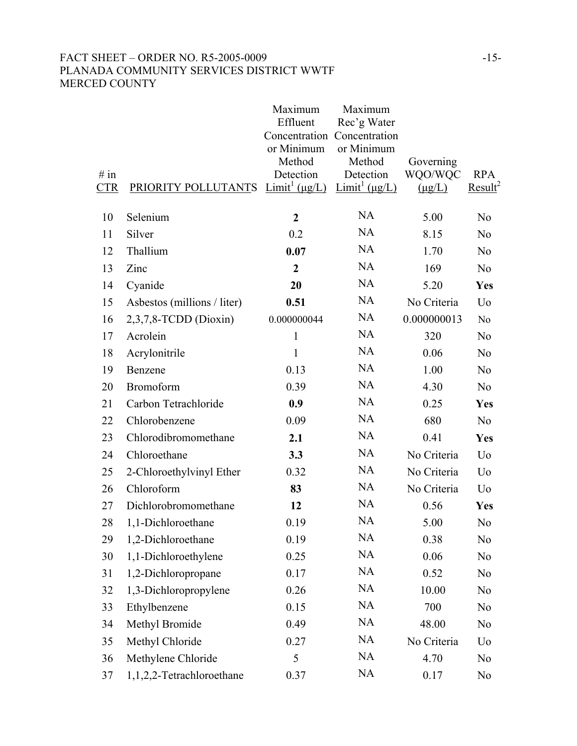# FACT SHEET – ORDER NO. R5-2005-0009 -15-PLANADA COMMUNITY SERVICES DISTRICT WWTF MERCED COUNTY

|            |                             | Maximum<br>Effluent<br>or Minimum<br>Method | Maximum<br>Rec'g Water<br>Concentration Concentration<br>or Minimum<br>Method | Governing   |                     |
|------------|-----------------------------|---------------------------------------------|-------------------------------------------------------------------------------|-------------|---------------------|
| # in       |                             | Detection                                   | Detection                                                                     | WQO/WQC     | <b>RPA</b>          |
| <b>CTR</b> | PRIORITY POLLUTANTS         | $Limit^1 (\mu g/L)$                         | $\text{Limit}^1(\mu g/L)$                                                     | $(\mu g/L)$ | Result <sup>2</sup> |
| 10         | Selenium                    | $\boldsymbol{2}$                            | <b>NA</b>                                                                     | 5.00        | N <sub>0</sub>      |
| 11         | Silver                      | 0.2                                         | <b>NA</b>                                                                     | 8.15        | N <sub>0</sub>      |
| 12         | Thallium                    | 0.07                                        | <b>NA</b>                                                                     | 1.70        | N <sub>0</sub>      |
| 13         | Zinc                        | $\overline{2}$                              | <b>NA</b>                                                                     | 169         | N <sub>0</sub>      |
| 14         | Cyanide                     | 20                                          | <b>NA</b>                                                                     | 5.20        | Yes                 |
| 15         | Asbestos (millions / liter) | 0.51                                        | <b>NA</b>                                                                     | No Criteria | U <sub>0</sub>      |
| 16         | $2,3,7,8$ -TCDD (Dioxin)    | 0.000000044                                 | <b>NA</b>                                                                     | 0.000000013 | N <sub>o</sub>      |
| 17         | Acrolein                    | $\mathbf{1}$                                | <b>NA</b>                                                                     | 320         | N <sub>0</sub>      |
| 18         | Acrylonitrile               | $\mathbf{1}$                                | <b>NA</b>                                                                     | 0.06        | N <sub>0</sub>      |
| 19         | Benzene                     | 0.13                                        | <b>NA</b>                                                                     | 1.00        | N <sub>0</sub>      |
| 20         | Bromoform                   | 0.39                                        | <b>NA</b>                                                                     | 4.30        | N <sub>0</sub>      |
| 21         | Carbon Tetrachloride        | 0.9                                         | <b>NA</b>                                                                     | 0.25        | Yes                 |
| 22         | Chlorobenzene               | 0.09                                        | <b>NA</b>                                                                     | 680         | N <sub>0</sub>      |
| 23         | Chlorodibromomethane        | 2.1                                         | <b>NA</b>                                                                     | 0.41        | Yes                 |
| 24         | Chloroethane                | 3.3                                         | <b>NA</b>                                                                     | No Criteria | Uo                  |
| 25         | 2-Chloroethylvinyl Ether    | 0.32                                        | NA                                                                            | No Criteria | U <sub>0</sub>      |
| 26         | Chloroform                  | 83                                          | <b>NA</b>                                                                     | No Criteria | Uo                  |
| 27         | Dichlorobromomethane        | 12                                          | <b>NA</b>                                                                     | 0.56        | Yes                 |
| 28         | 1,1-Dichloroethane          | 0.19                                        | <b>NA</b>                                                                     | 5.00        | N <sub>0</sub>      |
| 29         | 1,2-Dichloroethane          | 0.19                                        | <b>NA</b>                                                                     | 0.38        | N <sub>0</sub>      |
| 30         | 1,1-Dichloroethylene        | 0.25                                        | <b>NA</b>                                                                     | 0.06        | N <sub>0</sub>      |
| 31         | 1,2-Dichloropropane         | 0.17                                        | <b>NA</b>                                                                     | 0.52        | N <sub>0</sub>      |
| 32         | 1,3-Dichloropropylene       | 0.26                                        | <b>NA</b>                                                                     | 10.00       | N <sub>0</sub>      |
| 33         | Ethylbenzene                | 0.15                                        | <b>NA</b>                                                                     | 700         | N <sub>0</sub>      |
| 34         | Methyl Bromide              | 0.49                                        | <b>NA</b>                                                                     | 48.00       | N <sub>0</sub>      |
| 35         | Methyl Chloride             | 0.27                                        | <b>NA</b>                                                                     | No Criteria | Uo                  |
| 36         | Methylene Chloride          | 5                                           | <b>NA</b>                                                                     | 4.70        | N <sub>0</sub>      |
| 37         | 1,1,2,2-Tetrachloroethane   | 0.37                                        | <b>NA</b>                                                                     | 0.17        | N <sub>0</sub>      |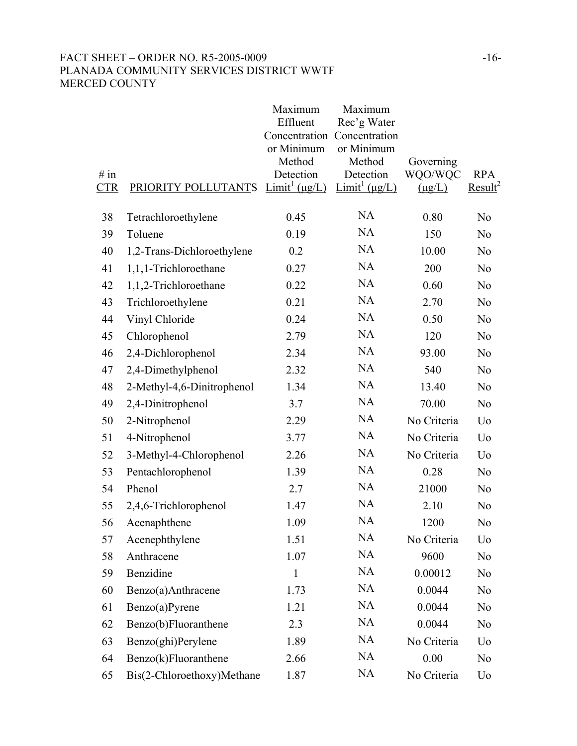# FACT SHEET – ORDER NO. R5-2005-0009 -16-PLANADA COMMUNITY SERVICES DISTRICT WWTF MERCED COUNTY

| # in<br><b>CTR</b> | PRIORITY POLLUTANTS        | Maximum<br>Effluent<br>Concentration<br>or Minimum<br>Method<br>Detection<br>$Limit^1(\mu g/L)$ | Maximum<br>Rec'g Water<br>Concentration<br>or Minimum<br>Method<br>Detection<br>$Limit^1(\mu g/L)$ | Governing<br>WQO/WQC<br>$(\mu g/L)$ | <b>RPA</b><br>Result <sup>2</sup> |
|--------------------|----------------------------|-------------------------------------------------------------------------------------------------|----------------------------------------------------------------------------------------------------|-------------------------------------|-----------------------------------|
| 38                 | Tetrachloroethylene        | 0.45                                                                                            | <b>NA</b>                                                                                          | 0.80                                | N <sub>0</sub>                    |
| 39                 | Toluene                    | 0.19                                                                                            | <b>NA</b>                                                                                          | 150                                 | N <sub>0</sub>                    |
| 40                 | 1,2-Trans-Dichloroethylene | 0.2                                                                                             | <b>NA</b>                                                                                          | 10.00                               | N <sub>0</sub>                    |
| 41                 | 1,1,1-Trichloroethane      | 0.27                                                                                            | <b>NA</b>                                                                                          | 200                                 | N <sub>0</sub>                    |
| 42                 | 1,1,2-Trichloroethane      | 0.22                                                                                            | <b>NA</b>                                                                                          | 0.60                                | N <sub>0</sub>                    |
| 43                 | Trichloroethylene          | 0.21                                                                                            | <b>NA</b>                                                                                          | 2.70                                | N <sub>0</sub>                    |
| 44                 | Vinyl Chloride             | 0.24                                                                                            | <b>NA</b>                                                                                          | 0.50                                | N <sub>0</sub>                    |
| 45                 | Chlorophenol               | 2.79                                                                                            | <b>NA</b>                                                                                          | 120                                 | N <sub>0</sub>                    |
| 46                 | 2,4-Dichlorophenol         | 2.34                                                                                            | <b>NA</b>                                                                                          | 93.00                               | N <sub>0</sub>                    |
| 47                 | 2,4-Dimethylphenol         | 2.32                                                                                            | <b>NA</b>                                                                                          | 540                                 | N <sub>0</sub>                    |
| 48                 | 2-Methyl-4,6-Dinitrophenol | 1.34                                                                                            | <b>NA</b>                                                                                          | 13.40                               | N <sub>0</sub>                    |
| 49                 | 2,4-Dinitrophenol          | 3.7                                                                                             | <b>NA</b>                                                                                          | 70.00                               | N <sub>0</sub>                    |
| 50                 | 2-Nitrophenol              | 2.29                                                                                            | <b>NA</b>                                                                                          | No Criteria                         | Uo                                |
| 51                 | 4-Nitrophenol              | 3.77                                                                                            | <b>NA</b>                                                                                          | No Criteria                         | Uo                                |
| 52                 | 3-Methyl-4-Chlorophenol    | 2.26                                                                                            | <b>NA</b>                                                                                          | No Criteria                         | Uo                                |
| 53                 | Pentachlorophenol          | 1.39                                                                                            | <b>NA</b>                                                                                          | 0.28                                | N <sub>0</sub>                    |
| 54                 | Phenol                     | 2.7                                                                                             | <b>NA</b>                                                                                          | 21000                               | N <sub>0</sub>                    |
| 55                 | 2,4,6-Trichlorophenol      | 1.47                                                                                            | <b>NA</b>                                                                                          | 2.10                                | N <sub>0</sub>                    |
| 56                 | Acenaphthene               | 1.09                                                                                            | <b>NA</b>                                                                                          | 1200                                | N <sub>0</sub>                    |
| 57                 | Acenephthylene             | 1.51                                                                                            | <b>NA</b>                                                                                          | No Criteria                         | Uo                                |
| 58                 | Anthracene                 | 1.07                                                                                            | <b>NA</b>                                                                                          | 9600                                | N <sub>0</sub>                    |
| 59                 | Benzidine                  | $\mathbf{1}$                                                                                    | <b>NA</b>                                                                                          | 0.00012                             | N <sub>0</sub>                    |
| 60                 | Benzo(a)Anthracene         | 1.73                                                                                            | <b>NA</b>                                                                                          | 0.0044                              | N <sub>0</sub>                    |
| 61                 | Benzo(a)Pyrene             | 1.21                                                                                            | <b>NA</b>                                                                                          | 0.0044                              | N <sub>0</sub>                    |
| 62                 | Benzo(b)Fluoranthene       | 2.3                                                                                             | <b>NA</b>                                                                                          | 0.0044                              | N <sub>0</sub>                    |
| 63                 | Benzo(ghi)Perylene         | 1.89                                                                                            | NA                                                                                                 | No Criteria                         | Uo                                |
| 64                 | Benzo(k)Fluoranthene       | 2.66                                                                                            | <b>NA</b>                                                                                          | 0.00                                | N <sub>0</sub>                    |
| 65                 | Bis(2-Chloroethoxy)Methane | 1.87                                                                                            | <b>NA</b>                                                                                          | No Criteria                         | Uo                                |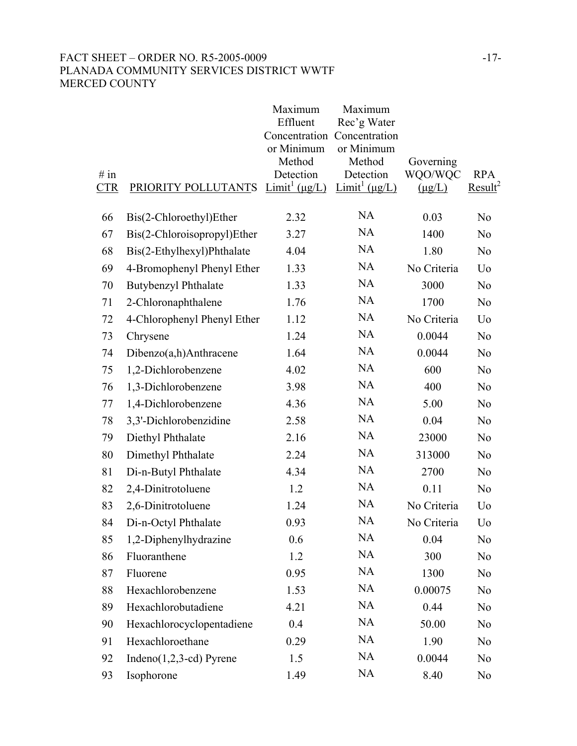# FACT SHEET – ORDER NO. R5-2005-0009 -17-PLANADA COMMUNITY SERVICES DISTRICT WWTF MERCED COUNTY

| # in<br><b>CTR</b> | PRIORITY POLLUTANTS         | Maximum<br>Effluent<br>Concentration<br>or Minimum<br>Method<br>Detection<br>$Limit^1(\mu g/L)$ | Maximum<br>Rec'g Water<br>Concentration<br>or Minimum<br>Method<br>Detection<br>$Limit^1(\mu g/L)$ | Governing<br>WQO/WQC<br>$(\mu g/L)$ | <b>RPA</b><br>Result <sup>2</sup> |
|--------------------|-----------------------------|-------------------------------------------------------------------------------------------------|----------------------------------------------------------------------------------------------------|-------------------------------------|-----------------------------------|
| 66                 | Bis(2-Chloroethyl)Ether     | 2.32                                                                                            | <b>NA</b>                                                                                          | 0.03                                | N <sub>0</sub>                    |
| 67                 | Bis(2-Chloroisopropyl)Ether | 3.27                                                                                            | <b>NA</b>                                                                                          | 1400                                | N <sub>0</sub>                    |
| 68                 | Bis(2-Ethylhexyl)Phthalate  | 4.04                                                                                            | <b>NA</b>                                                                                          | 1.80                                | N <sub>0</sub>                    |
| 69                 | 4-Bromophenyl Phenyl Ether  | 1.33                                                                                            | <b>NA</b>                                                                                          | No Criteria                         | Uo                                |
| 70                 | <b>Butybenzyl Phthalate</b> | 1.33                                                                                            | <b>NA</b>                                                                                          | 3000                                | N <sub>0</sub>                    |
| 71                 | 2-Chloronaphthalene         | 1.76                                                                                            | <b>NA</b>                                                                                          | 1700                                | N <sub>0</sub>                    |
| 72                 | 4-Chlorophenyl Phenyl Ether | 1.12                                                                                            | <b>NA</b>                                                                                          | No Criteria                         | U <sub>0</sub>                    |
| 73                 | Chrysene                    | 1.24                                                                                            | <b>NA</b>                                                                                          | 0.0044                              | N <sub>0</sub>                    |
| 74                 | Dibenzo(a,h)Anthracene      | 1.64                                                                                            | <b>NA</b>                                                                                          | 0.0044                              | N <sub>0</sub>                    |
| 75                 | 1,2-Dichlorobenzene         | 4.02                                                                                            | <b>NA</b>                                                                                          | 600                                 | N <sub>0</sub>                    |
| 76                 | 1,3-Dichlorobenzene         | 3.98                                                                                            | <b>NA</b>                                                                                          | 400                                 | N <sub>0</sub>                    |
| 77                 | 1,4-Dichlorobenzene         | 4.36                                                                                            | <b>NA</b>                                                                                          | 5.00                                | N <sub>0</sub>                    |
| 78                 | 3,3'-Dichlorobenzidine      | 2.58                                                                                            | <b>NA</b>                                                                                          | 0.04                                | N <sub>0</sub>                    |
| 79                 | Diethyl Phthalate           | 2.16                                                                                            | <b>NA</b>                                                                                          | 23000                               | N <sub>0</sub>                    |
| 80                 | Dimethyl Phthalate          | 2.24                                                                                            | <b>NA</b>                                                                                          | 313000                              | N <sub>0</sub>                    |
| 81                 | Di-n-Butyl Phthalate        | 4.34                                                                                            | <b>NA</b>                                                                                          | 2700                                | N <sub>0</sub>                    |
| 82                 | 2,4-Dinitrotoluene          | 1.2                                                                                             | <b>NA</b>                                                                                          | 0.11                                | N <sub>0</sub>                    |
| 83                 | 2,6-Dinitrotoluene          | 1.24                                                                                            | <b>NA</b>                                                                                          | No Criteria                         | Uo                                |
| 84                 | Di-n-Octyl Phthalate        | 0.93                                                                                            | <b>NA</b>                                                                                          | No Criteria                         | Uo                                |
| 85                 | 1,2-Diphenylhydrazine       | 0.6                                                                                             | <b>NA</b>                                                                                          | 0.04                                | N <sub>0</sub>                    |
| 86                 | Fluoranthene                | 1.2                                                                                             | <b>NA</b>                                                                                          | 300                                 | N <sub>0</sub>                    |
| 87                 | Fluorene                    | 0.95                                                                                            | <b>NA</b>                                                                                          | 1300                                | N <sub>0</sub>                    |
| 88                 | Hexachlorobenzene           | 1.53                                                                                            | <b>NA</b>                                                                                          | 0.00075                             | N <sub>0</sub>                    |
| 89                 | Hexachlorobutadiene         | 4.21                                                                                            | <b>NA</b>                                                                                          | 0.44                                | N <sub>0</sub>                    |
| 90                 | Hexachlorocyclopentadiene   | 0.4                                                                                             | <b>NA</b>                                                                                          | 50.00                               | N <sub>0</sub>                    |
| 91                 | Hexachloroethane            | 0.29                                                                                            | <b>NA</b>                                                                                          | 1.90                                | N <sub>0</sub>                    |
| 92                 | $Indeno(1,2,3-cd) Pyrene$   | 1.5                                                                                             | <b>NA</b>                                                                                          | 0.0044                              | N <sub>0</sub>                    |
| 93                 | Isophorone                  | 1.49                                                                                            | <b>NA</b>                                                                                          | 8.40                                | N <sub>0</sub>                    |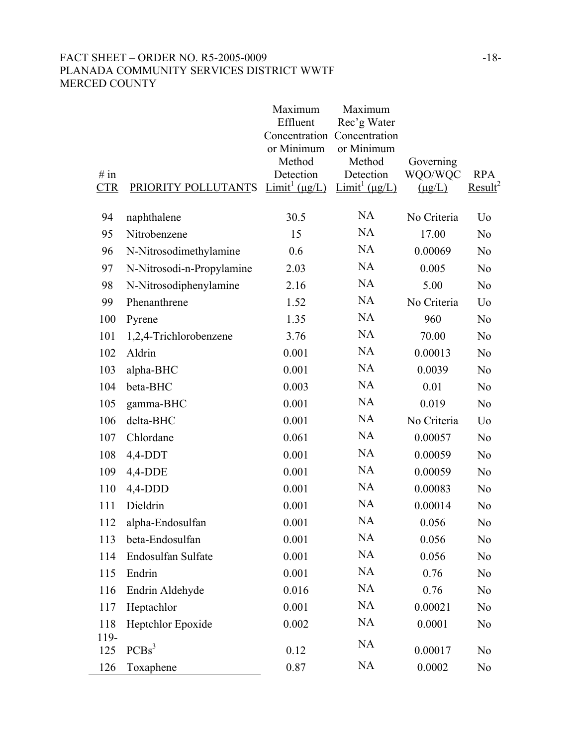# FACT SHEET – ORDER NO. R5-2005-0009 -18-PLANADA COMMUNITY SERVICES DISTRICT WWTF MERCED COUNTY

| # in<br><b>CTR</b> | PRIORITY POLLUTANTS       | Maximum<br>Effluent<br>or Minimum<br>Method<br>Detection<br>$Limit^1 (\mu g/L)$ | Maximum<br>Rec'g Water<br>Concentration Concentration<br>or Minimum<br>Method<br>Detection<br>Limit <sup>1</sup> ( $\mu$ g/L) | Governing<br>WQO/WQC<br>$(\mu g/L)$ | <b>RPA</b><br>Result <sup>2</sup> |
|--------------------|---------------------------|---------------------------------------------------------------------------------|-------------------------------------------------------------------------------------------------------------------------------|-------------------------------------|-----------------------------------|
|                    |                           |                                                                                 |                                                                                                                               |                                     |                                   |
| 94                 | naphthalene               | 30.5                                                                            | NA                                                                                                                            | No Criteria                         | U <sub>0</sub>                    |
| 95                 | Nitrobenzene              | 15                                                                              | <b>NA</b>                                                                                                                     | 17.00                               | N <sub>0</sub>                    |
| 96                 | N-Nitrosodimethylamine    | 0.6                                                                             | <b>NA</b>                                                                                                                     | 0.00069                             | N <sub>0</sub>                    |
| 97                 | N-Nitrosodi-n-Propylamine | 2.03                                                                            | <b>NA</b>                                                                                                                     | 0.005                               | N <sub>0</sub>                    |
| 98                 | N-Nitrosodiphenylamine    | 2.16                                                                            | <b>NA</b>                                                                                                                     | 5.00                                | N <sub>0</sub>                    |
| 99                 | Phenanthrene              | 1.52                                                                            | <b>NA</b>                                                                                                                     | No Criteria                         | U <sub>0</sub>                    |
| 100                | Pyrene                    | 1.35                                                                            | <b>NA</b>                                                                                                                     | 960                                 | N <sub>0</sub>                    |
| 101                | 1,2,4-Trichlorobenzene    | 3.76                                                                            | <b>NA</b>                                                                                                                     | 70.00                               | N <sub>0</sub>                    |
| 102                | Aldrin                    | 0.001                                                                           | <b>NA</b>                                                                                                                     | 0.00013                             | N <sub>0</sub>                    |
| 103                | alpha-BHC                 | 0.001                                                                           | <b>NA</b>                                                                                                                     | 0.0039                              | N <sub>0</sub>                    |
| 104                | beta-BHC                  | 0.003                                                                           | <b>NA</b>                                                                                                                     | 0.01                                | N <sub>0</sub>                    |
| 105                | gamma-BHC                 | 0.001                                                                           | <b>NA</b>                                                                                                                     | 0.019                               | N <sub>0</sub>                    |
| 106                | delta-BHC                 | 0.001                                                                           | <b>NA</b>                                                                                                                     | No Criteria                         | U <sub>0</sub>                    |
| 107                | Chlordane                 | 0.061                                                                           | <b>NA</b>                                                                                                                     | 0.00057                             | N <sub>0</sub>                    |
| 108                | $4,4$ -DDT                | 0.001                                                                           | <b>NA</b>                                                                                                                     | 0.00059                             | N <sub>0</sub>                    |
| 109                | $4,4-DDE$                 | 0.001                                                                           | <b>NA</b>                                                                                                                     | 0.00059                             | N <sub>0</sub>                    |
| 110                | $4,4$ -DDD                | 0.001                                                                           | <b>NA</b>                                                                                                                     | 0.00083                             | N <sub>0</sub>                    |
| 111                | Dieldrin                  | 0.001                                                                           | <b>NA</b>                                                                                                                     | 0.00014                             | N <sub>0</sub>                    |
| 112                | alpha-Endosulfan          | 0.001                                                                           | NA                                                                                                                            | 0.056                               | N <sub>0</sub>                    |
| 113                | beta-Endosulfan           | 0.001                                                                           | NA                                                                                                                            | 0.056                               | N <sub>0</sub>                    |
| 114                | Endosulfan Sulfate        | 0.001                                                                           | NA                                                                                                                            | 0.056                               | N <sub>0</sub>                    |
| 115                | Endrin                    | 0.001                                                                           | <b>NA</b>                                                                                                                     | 0.76                                | N <sub>0</sub>                    |
| 116                | Endrin Aldehyde           | 0.016                                                                           | NA                                                                                                                            | 0.76                                | N <sub>0</sub>                    |
| 117                | Heptachlor                | 0.001                                                                           | <b>NA</b>                                                                                                                     | 0.00021                             | N <sub>0</sub>                    |
| 118                | Heptchlor Epoxide         | 0.002                                                                           | NA                                                                                                                            | 0.0001                              | N <sub>0</sub>                    |
| 119-<br>125        | PCBs <sup>3</sup>         | 0.12                                                                            | NA                                                                                                                            | 0.00017                             | N <sub>0</sub>                    |
| 126                | Toxaphene                 | 0.87                                                                            | NA                                                                                                                            | 0.0002                              | N <sub>0</sub>                    |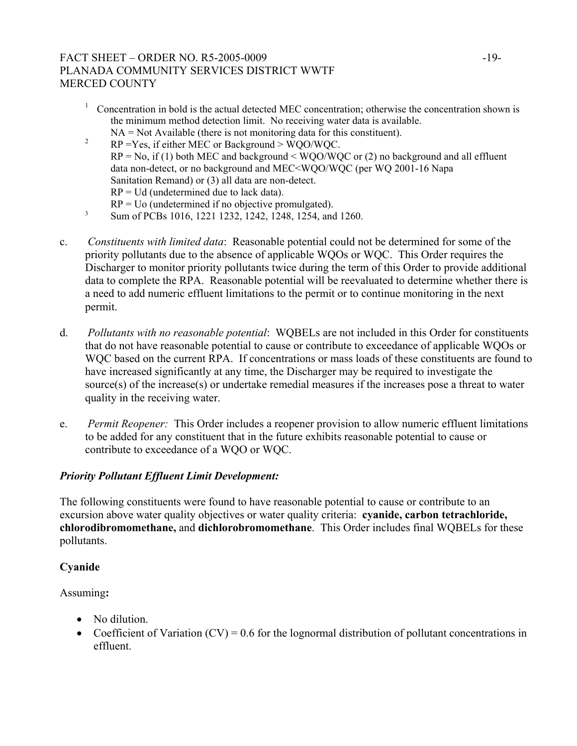# FACT SHEET – ORDER NO. R5-2005-0009 -19-PLANADA COMMUNITY SERVICES DISTRICT WWTF MERCED COUNTY

- <sup>1</sup> Concentration in bold is the actual detected MEC concentration; otherwise the concentration shown is the minimum method detection limit. No receiving water data is available.
- NA = Not Available (there is not monitoring data for this constituent). 2 RP =Yes, if either MEC or Background > WQO/WQC.  $RP = No$ , if (1) both MEC and background  $\leq WOO/WOC$  or (2) no background and all effluent data non-detect, or no background and MEC<WQO/WQC (per WQ 2001-16 Napa Sanitation Remand) or (3) all data are non-detect.  $RP = Ud$  (undetermined due to lack data).
- $RP =$  Uo (undetermined if no objective promulgated).<br><sup>3</sup> Sum of PCBs 1016, 1221 1232, 1242, 1248, 1254, and 1260.
- c. *Constituents with limited data*: Reasonable potential could not be determined for some of the priority pollutants due to the absence of applicable WQOs or WQC. This Order requires the Discharger to monitor priority pollutants twice during the term of this Order to provide additional data to complete the RPA. Reasonable potential will be reevaluated to determine whether there is a need to add numeric effluent limitations to the permit or to continue monitoring in the next permit.
- d. *Pollutants with no reasonable potential*: WQBELs are not included in this Order for constituents that do not have reasonable potential to cause or contribute to exceedance of applicable WQOs or WQC based on the current RPA. If concentrations or mass loads of these constituents are found to have increased significantly at any time, the Discharger may be required to investigate the source(s) of the increase(s) or undertake remedial measures if the increases pose a threat to water quality in the receiving water.
- e. *Permit Reopener:* This Order includes a reopener provision to allow numeric effluent limitations to be added for any constituent that in the future exhibits reasonable potential to cause or contribute to exceedance of a WQO or WQC.

# *Priority Pollutant Effluent Limit Development:*

The following constituents were found to have reasonable potential to cause or contribute to an excursion above water quality objectives or water quality criteria: **cyanide, carbon tetrachloride, chlorodibromomethane,** and **dichlorobromomethane**. This Order includes final WQBELs for these pollutants.

# **Cyanide**

# Assuming**:**

- No dilution
- Coefficient of Variation  $(CV) = 0.6$  for the lognormal distribution of pollutant concentrations in effluent.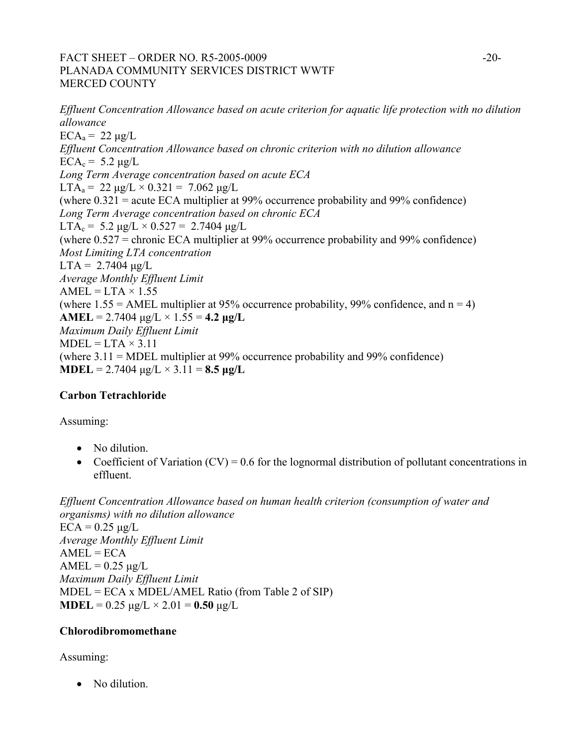# FACT SHEET – ORDER NO. R5-2005-0009 -20-PLANADA COMMUNITY SERVICES DISTRICT WWTF MERCED COUNTY

*Effluent Concentration Allowance based on acute criterion for aquatic life protection with no dilution allowance*   $ECA<sub>a</sub> = 22 \mu g/L$ *Effluent Concentration Allowance based on chronic criterion with no dilution allowance*   $ECA_c = 5.2 \text{ µg}/L$ *Long Term Average concentration based on acute ECA*  LTA<sub>a</sub> = 22  $\mu$ g/L × 0.321 = 7.062  $\mu$ g/L (where 0.321 = acute ECA multiplier at 99% occurrence probability and 99% confidence) *Long Term Average concentration based on chronic ECA*   $LTA_c = 5.2 \mu g/L \times 0.527 = 2.7404 \mu g/L$ (where 0.527 = chronic ECA multiplier at 99% occurrence probability and 99% confidence) *Most Limiting LTA concentration*   $LTA = 2.7404 \mu g/L$ *Average Monthly Effluent Limit*   $AMEL = LTA \times 1.55$ (where  $1.55 = AMEL$  multiplier at 95% occurrence probability, 99% confidence, and  $n = 4$ ) **AMEL** = 2.7404  $\mu$ g/L × 1.55 = **4.2**  $\mu$ **g/L** *Maximum Daily Effluent Limit*   $MDEL = LTA \times 3.11$ (where 3.11 = MDEL multiplier at 99% occurrence probability and 99% confidence) **MDEL** =  $2.7404 \text{ µg/L} \times 3.11 = 8.5 \text{ µg/L}$ 

# **Carbon Tetrachloride**

Assuming:

- No dilution.
- Coefficient of Variation  $(CV) = 0.6$  for the lognormal distribution of pollutant concentrations in effluent.

*Effluent Concentration Allowance based on human health criterion (consumption of water and organisms) with no dilution allowance*   $ECA = 0.25 \mu g/L$ *Average Monthly Effluent Limit*   $AMEL = ECA$  $AMEL = 0.25 \mu g/L$ *Maximum Daily Effluent Limit*   $MDEL = ECA \times MDEL/AMEL$  Ratio (from Table 2 of SIP) **MDEL** =  $0.25 \mu g/L \times 2.01 = 0.50 \mu g/L$ 

# **Chlorodibromomethane**

Assuming:

• No dilution.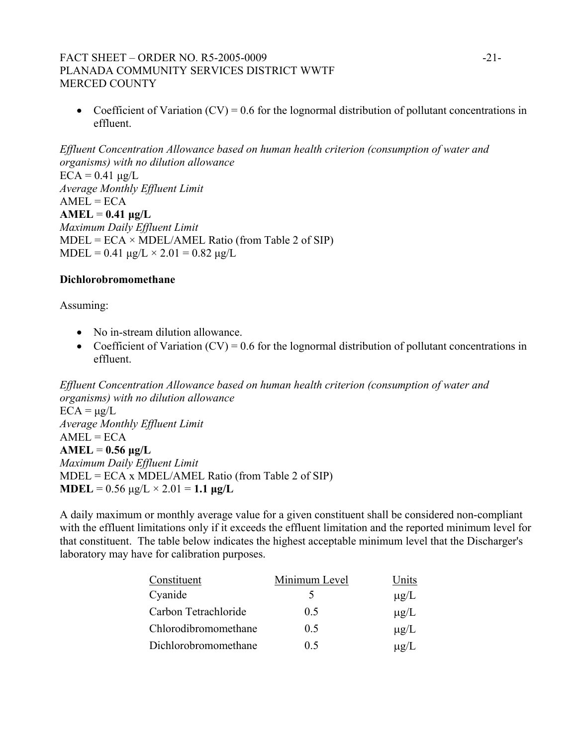# FACT SHEET – ORDER NO. R5-2005-0009 -21-PLANADA COMMUNITY SERVICES DISTRICT WWTF MERCED COUNTY

• Coefficient of Variation  $(CV) = 0.6$  for the lognormal distribution of pollutant concentrations in effluent.

*Effluent Concentration Allowance based on human health criterion (consumption of water and organisms) with no dilution allowance*   $ECA = 0.41 \mu g/L$ *Average Monthly Effluent Limit*   $AMEL = ECA$  $AMEL = 0.41 \mu g/L$ *Maximum Daily Effluent Limit*   $MDEL = ECA \times MDEL/AMEL$  Ratio (from Table 2 of SIP) MDEL = 0.41  $\mu$ g/L × 2.01 = 0.82  $\mu$ g/L

#### **Dichlorobromomethane**

Assuming:

- No in-stream dilution allowance.
- Coefficient of Variation  $(CV) = 0.6$  for the lognormal distribution of pollutant concentrations in effluent.

*Effluent Concentration Allowance based on human health criterion (consumption of water and organisms) with no dilution allowance*   $ECA = \mu g/L$ *Average Monthly Effluent Limit*   $AMEL = ECA$ **AMEL** = **0.56 µg/L**  *Maximum Daily Effluent Limit*  MDEL = ECA x MDEL/AMEL Ratio (from Table 2 of SIP) **MDEL** =  $0.56 \text{ µg/L} \times 2.01 = 1.1 \text{ µg/L}$ 

A daily maximum or monthly average value for a given constituent shall be considered non-compliant with the effluent limitations only if it exceeds the effluent limitation and the reported minimum level for that constituent. The table below indicates the highest acceptable minimum level that the Discharger's laboratory may have for calibration purposes.

| Constituent          | Minimum Level | Units     |
|----------------------|---------------|-----------|
| Cyanide              |               | $\mu$ g/L |
| Carbon Tetrachloride | 0.5           | $\mu$ g/L |
| Chlorodibromomethane | 0.5           | $\mu$ g/L |
| Dichlorobromomethane | 05            | $\mu$ g/L |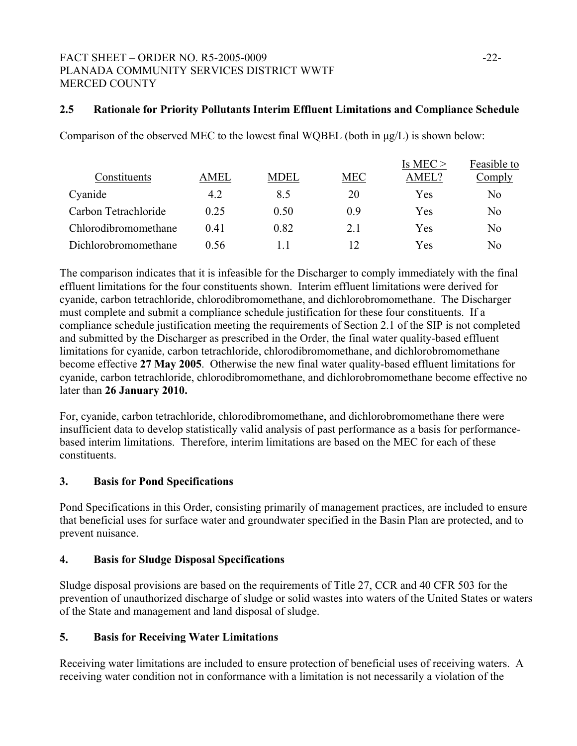# FACT SHEET – ORDER NO. R5-2005-0009 -22-PLANADA COMMUNITY SERVICES DISTRICT WWTF MERCED COUNTY

# **2.5 Rationale for Priority Pollutants Interim Effluent Limitations and Compliance Schedule**

Comparison of the observed MEC to the lowest final WQBEL (both in µg/L) is shown below:

|                      |      |             |            | Is MEC $>$ | Feasible to    |
|----------------------|------|-------------|------------|------------|----------------|
| Constituents         | AMEL | <b>MDEL</b> | <b>MEC</b> | AMEL?      | Comply         |
| Cyanide              | 4.2  | 8.5         | 20         | Yes        | No             |
| Carbon Tetrachloride | 0.25 | 0.50        | 0.9        | Yes        | N <sub>0</sub> |
| Chlorodibromomethane | 0.41 | 0.82        | 2.1        | Yes        | N <sub>0</sub> |
| Dichlorobromomethane | 0.56 |             |            | Yes        | No             |

The comparison indicates that it is infeasible for the Discharger to comply immediately with the final effluent limitations for the four constituents shown. Interim effluent limitations were derived for cyanide, carbon tetrachloride, chlorodibromomethane, and dichlorobromomethane. The Discharger must complete and submit a compliance schedule justification for these four constituents. If a compliance schedule justification meeting the requirements of Section 2.1 of the SIP is not completed and submitted by the Discharger as prescribed in the Order, the final water quality-based effluent limitations for cyanide, carbon tetrachloride, chlorodibromomethane, and dichlorobromomethane become effective **27 May 2005**. Otherwise the new final water quality-based effluent limitations for cyanide, carbon tetrachloride, chlorodibromomethane, and dichlorobromomethane become effective no later than **26 January 2010.** 

For, cyanide, carbon tetrachloride, chlorodibromomethane, and dichlorobromomethane there were insufficient data to develop statistically valid analysis of past performance as a basis for performancebased interim limitations. Therefore, interim limitations are based on the MEC for each of these constituents.

# **3. Basis for Pond Specifications**

Pond Specifications in this Order, consisting primarily of management practices, are included to ensure that beneficial uses for surface water and groundwater specified in the Basin Plan are protected, and to prevent nuisance.

#### **4. Basis for Sludge Disposal Specifications**

Sludge disposal provisions are based on the requirements of Title 27, CCR and 40 CFR 503 for the prevention of unauthorized discharge of sludge or solid wastes into waters of the United States or waters of the State and management and land disposal of sludge.

# **5. Basis for Receiving Water Limitations**

Receiving water limitations are included to ensure protection of beneficial uses of receiving waters. A receiving water condition not in conformance with a limitation is not necessarily a violation of the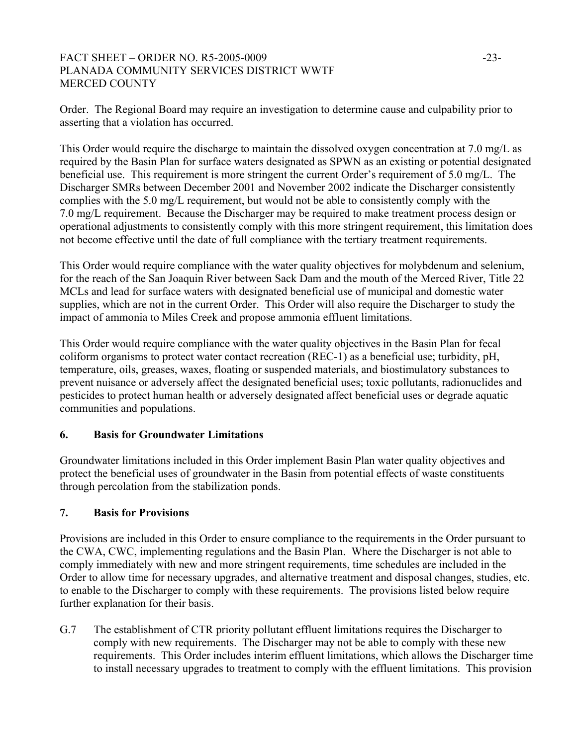# FACT SHEET – ORDER NO. R5-2005-0009 -23-PLANADA COMMUNITY SERVICES DISTRICT WWTF MERCED COUNTY

Order. The Regional Board may require an investigation to determine cause and culpability prior to asserting that a violation has occurred.

This Order would require the discharge to maintain the dissolved oxygen concentration at 7.0 mg/L as required by the Basin Plan for surface waters designated as SPWN as an existing or potential designated beneficial use. This requirement is more stringent the current Order's requirement of 5.0 mg/L. The Discharger SMRs between December 2001 and November 2002 indicate the Discharger consistently complies with the 5.0 mg/L requirement, but would not be able to consistently comply with the 7.0 mg/L requirement. Because the Discharger may be required to make treatment process design or operational adjustments to consistently comply with this more stringent requirement, this limitation does not become effective until the date of full compliance with the tertiary treatment requirements.

This Order would require compliance with the water quality objectives for molybdenum and selenium, for the reach of the San Joaquin River between Sack Dam and the mouth of the Merced River, Title 22 MCLs and lead for surface waters with designated beneficial use of municipal and domestic water supplies, which are not in the current Order. This Order will also require the Discharger to study the impact of ammonia to Miles Creek and propose ammonia effluent limitations.

This Order would require compliance with the water quality objectives in the Basin Plan for fecal coliform organisms to protect water contact recreation (REC-1) as a beneficial use; turbidity, pH, temperature, oils, greases, waxes, floating or suspended materials, and biostimulatory substances to prevent nuisance or adversely affect the designated beneficial uses; toxic pollutants, radionuclides and pesticides to protect human health or adversely designated affect beneficial uses or degrade aquatic communities and populations.

# **6. Basis for Groundwater Limitations**

Groundwater limitations included in this Order implement Basin Plan water quality objectives and protect the beneficial uses of groundwater in the Basin from potential effects of waste constituents through percolation from the stabilization ponds.

# **7. Basis for Provisions**

Provisions are included in this Order to ensure compliance to the requirements in the Order pursuant to the CWA, CWC, implementing regulations and the Basin Plan. Where the Discharger is not able to comply immediately with new and more stringent requirements, time schedules are included in the Order to allow time for necessary upgrades, and alternative treatment and disposal changes, studies, etc. to enable to the Discharger to comply with these requirements. The provisions listed below require further explanation for their basis.

G.7 The establishment of CTR priority pollutant effluent limitations requires the Discharger to comply with new requirements. The Discharger may not be able to comply with these new requirements. This Order includes interim effluent limitations, which allows the Discharger time to install necessary upgrades to treatment to comply with the effluent limitations. This provision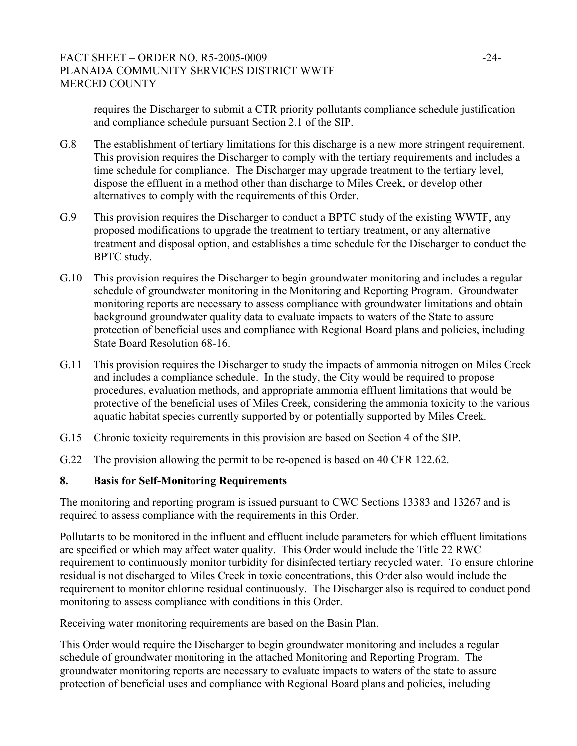# FACT SHEET – ORDER NO. R5-2005-0009 -24-PLANADA COMMUNITY SERVICES DISTRICT WWTF MERCED COUNTY

requires the Discharger to submit a CTR priority pollutants compliance schedule justification and compliance schedule pursuant Section 2.1 of the SIP.

- G.8 The establishment of tertiary limitations for this discharge is a new more stringent requirement. This provision requires the Discharger to comply with the tertiary requirements and includes a time schedule for compliance. The Discharger may upgrade treatment to the tertiary level, dispose the effluent in a method other than discharge to Miles Creek, or develop other alternatives to comply with the requirements of this Order.
- G.9 This provision requires the Discharger to conduct a BPTC study of the existing WWTF, any proposed modifications to upgrade the treatment to tertiary treatment, or any alternative treatment and disposal option, and establishes a time schedule for the Discharger to conduct the BPTC study.
- G.10 This provision requires the Discharger to begin groundwater monitoring and includes a regular schedule of groundwater monitoring in the Monitoring and Reporting Program. Groundwater monitoring reports are necessary to assess compliance with groundwater limitations and obtain background groundwater quality data to evaluate impacts to waters of the State to assure protection of beneficial uses and compliance with Regional Board plans and policies, including State Board Resolution 68-16.
- G.11 This provision requires the Discharger to study the impacts of ammonia nitrogen on Miles Creek and includes a compliance schedule. In the study, the City would be required to propose procedures, evaluation methods, and appropriate ammonia effluent limitations that would be protective of the beneficial uses of Miles Creek, considering the ammonia toxicity to the various aquatic habitat species currently supported by or potentially supported by Miles Creek.
- G.15 Chronic toxicity requirements in this provision are based on Section 4 of the SIP.
- G.22 The provision allowing the permit to be re-opened is based on 40 CFR 122.62.

#### **8. Basis for Self-Monitoring Requirements**

The monitoring and reporting program is issued pursuant to CWC Sections 13383 and 13267 and is required to assess compliance with the requirements in this Order.

Pollutants to be monitored in the influent and effluent include parameters for which effluent limitations are specified or which may affect water quality. This Order would include the Title 22 RWC requirement to continuously monitor turbidity for disinfected tertiary recycled water. To ensure chlorine residual is not discharged to Miles Creek in toxic concentrations, this Order also would include the requirement to monitor chlorine residual continuously. The Discharger also is required to conduct pond monitoring to assess compliance with conditions in this Order.

Receiving water monitoring requirements are based on the Basin Plan.

This Order would require the Discharger to begin groundwater monitoring and includes a regular schedule of groundwater monitoring in the attached Monitoring and Reporting Program. The groundwater monitoring reports are necessary to evaluate impacts to waters of the state to assure protection of beneficial uses and compliance with Regional Board plans and policies, including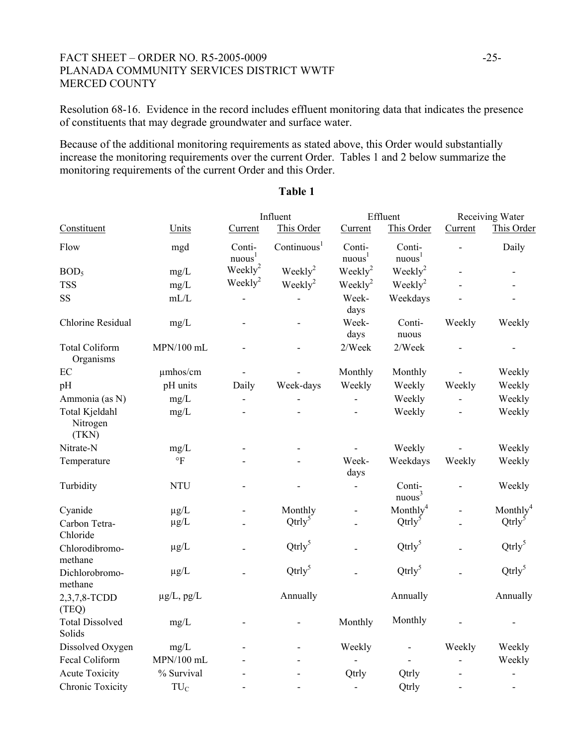#### FACT SHEET – ORDER NO. R5-2005-0009 -25-PLANADA COMMUNITY SERVICES DISTRICT WWTF MERCED COUNTY

Resolution 68-16. Evidence in the record includes effluent monitoring data that indicates the presence of constituents that may degrade groundwater and surface water.

Because of the additional monitoring requirements as stated above, this Order would substantially increase the monitoring requirements over the current Order. Tables 1 and 2 below summarize the monitoring requirements of the current Order and this Order.

|                                     |                 | Influent                     |                         | Effluent                     |                              | Receiving Water |                          |
|-------------------------------------|-----------------|------------------------------|-------------------------|------------------------------|------------------------------|-----------------|--------------------------|
| Constituent                         | Units           | Current                      | This Order              | Current                      | This Order                   | Current         | This Order               |
| Flow                                | mgd             | Conti-<br>nuous <sup>1</sup> | Continuous <sup>1</sup> | Conti-<br>nuous <sup>1</sup> | Conti-<br>nuous <sup>1</sup> |                 | Daily                    |
| BOD <sub>5</sub>                    | mg/L            | Weekly $^{2}$                | Weekly <sup>2</sup>     | $\text{Weakly}^2$            | $\text{Weakly}^2$            |                 |                          |
| <b>TSS</b>                          | mg/L            | Weekly <sup>2</sup>          | $Weekly^2$              | $\text{Weakly}^2$            | $\text{Weakly}^2$            |                 |                          |
| SS                                  | mL/L            |                              |                         | Week-<br>days                | Weekdays                     |                 |                          |
| Chlorine Residual                   | mg/L            |                              |                         | Week-<br>days                | Conti-<br>nuous              | Weekly          | Weekly                   |
| <b>Total Coliform</b><br>Organisms  | MPN/100 mL      |                              |                         | 2/Week                       | 2/Week                       |                 |                          |
| EC                                  | umhos/cm        |                              |                         | Monthly                      | Monthly                      |                 | Weekly                   |
| pH                                  | pH units        | Daily                        | Week-days               | Weekly                       | Weekly                       | Weekly          | Weekly                   |
| Ammonia (as N)                      | mg/L            |                              |                         |                              | Weekly                       |                 | Weekly                   |
| Total Kjeldahl<br>Nitrogen<br>(TKN) | mg/L            |                              |                         |                              | Weekly                       |                 | Weekly                   |
| Nitrate-N                           | mg/L            |                              |                         |                              | Weekly                       |                 | Weekly                   |
| Temperature                         | $\circ$ F       |                              |                         | Week-<br>days                | Weekdays                     | Weekly          | Weekly                   |
| Turbidity                           | <b>NTU</b>      |                              |                         | $\overline{a}$               | Conti-<br>nuous <sup>3</sup> |                 | Weekly                   |
| Cyanide                             | $\mu$ g/L       |                              | Monthly                 |                              | Monthly <sup>4</sup>         |                 | Monthly <sup>4</sup>     |
| Carbon Tetra-<br>Chloride           | $\mu$ g/L       |                              | $Qtrly^5$               |                              | $Qtry^5$                     |                 | $Qtry^5$                 |
| Chlorodibromo-<br>methane           | $\mu$ g/L       |                              | $Qtry^5$                |                              | $Qtry^5$                     |                 | $Qtry^5$                 |
| Dichlorobromo-<br>methane           | $\mu$ g/L       |                              | $Qtrly^5$               |                              | $Qtrly^5$                    |                 | $Qtry^5$                 |
| 2,3,7,8-TCDD<br>(TEQ)               | $\mu$ g/L, pg/L |                              | Annually                |                              | Annually                     |                 | Annually                 |
| <b>Total Dissolved</b><br>Solids    | mg/L            |                              |                         | Monthly                      | Monthly                      |                 |                          |
| Dissolved Oxygen                    | mg/L            |                              |                         | Weekly                       |                              | Weekly          | Weekly                   |
| Fecal Coliform                      | $MPN/100$ mL    |                              |                         |                              |                              |                 | Weekly                   |
| <b>Acute Toxicity</b>               | % Survival      |                              |                         | Qtrly                        | Qtrly                        |                 | $\overline{a}$           |
| Chronic Toxicity                    | TU <sub>C</sub> |                              |                         |                              | Qtrly                        |                 | $\overline{\phantom{a}}$ |

#### **Table 1**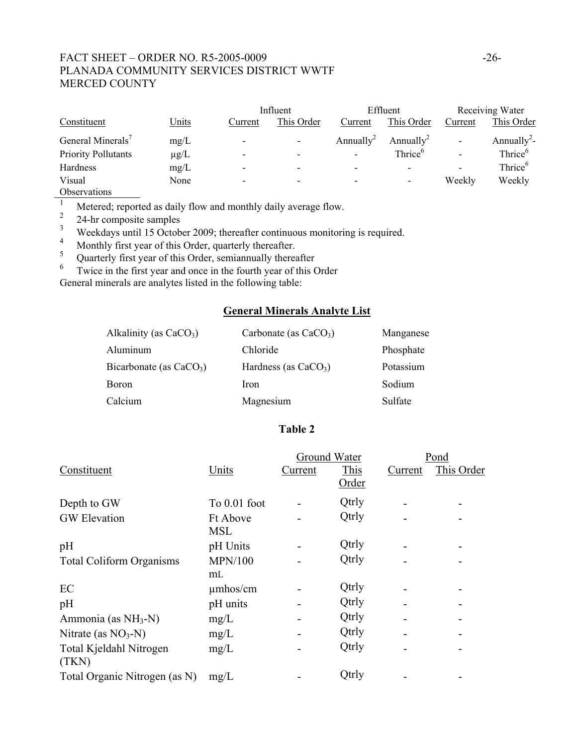# FACT SHEET – ORDER NO. R5-2005-0009 -26-PLANADA COMMUNITY SERVICES DISTRICT WWTF MERCED COUNTY

|                            |           |                          | Influent                 |                          | Effluent                 |                          | Receiving Water         |  |
|----------------------------|-----------|--------------------------|--------------------------|--------------------------|--------------------------|--------------------------|-------------------------|--|
| Constituent                | Units     | Current                  | This Order               | Current                  | This Order               | Current                  | This Order              |  |
| General Minerals'          | mg/L      | -                        | $\overline{\phantom{a}}$ | Annually <sup>2</sup>    | Annually <sup>2</sup>    | ۰                        | Annually <sup>2</sup> - |  |
| <b>Priority Pollutants</b> | $\mu$ g/L | $\overline{\phantom{0}}$ | $\overline{\phantom{0}}$ | $\overline{\phantom{a}}$ | Thrice <sup>6</sup>      | $\overline{\phantom{a}}$ | Thrice <sup>6</sup>     |  |
| Hardness                   | mg/L      | $\overline{\phantom{0}}$ | -                        | $\overline{\phantom{a}}$ | $\overline{\phantom{0}}$ | $\overline{\phantom{a}}$ | Thrice <sup>6</sup>     |  |
| Visual                     | None      |                          | -                        | -                        | $\overline{\phantom{a}}$ | Weekly                   | Weekly                  |  |
| Observations               |           |                          |                          |                          |                          |                          |                         |  |

 $\frac{\text{Observations}}{\text{1}}$ <sup>1</sup> Metered; reported as daily flow and monthly daily average flow.

 $\frac{2}{3}$  24-hr composite samples

<sup>3</sup> Weekdays until 15 October 2009; thereafter continuous monitoring is required.<br><sup>4</sup> Monthly first year of this Order, quantizely thereafter.

- 4 Monthly first year of this Order, quarterly thereafter.
- <sup>5</sup> Quarterly first year of this Order, semiannually thereafter  $\frac{6}{1}$  Twice in the first year and once in the fourth year of this G
- Twice in the first year and once in the fourth year of this Order

General minerals are analytes listed in the following table:

# **General Minerals Analyte List**

| Alkalinity (as $CaCO3$ )  | Carbonate (as $CaCO3$ ) | Manganese |
|---------------------------|-------------------------|-----------|
| Aluminum                  | Chloride                | Phosphate |
| Bicarbonate (as $CaCO3$ ) | Hardness (as $CaCO3$ )  | Potassium |
| <b>Boron</b>              | <b>Iron</b>             | Sodium    |
| Calcium                   | Magnesium               | Sulfate   |

#### **Table 2**

|                                 |                 |         | Ground Water | Pond    |            |  |
|---------------------------------|-----------------|---------|--------------|---------|------------|--|
| Constituent                     | Units           | Current | This         | Current | This Order |  |
|                                 |                 |         | <u>Order</u> |         |            |  |
| Depth to GW                     | To 0.01 foot    |         | Qtrly        |         |            |  |
| <b>GW</b> Elevation             | <b>Ft Above</b> |         | Qtrly        |         |            |  |
|                                 | <b>MSL</b>      |         |              |         |            |  |
| pH                              | pH Units        |         | Qtrly        |         |            |  |
| <b>Total Coliform Organisms</b> | <b>MPN/100</b>  |         | Qtrly        |         |            |  |
|                                 | m <sub>L</sub>  |         |              |         |            |  |
| EC                              | $\mu$ mhos/cm   |         | Qtrly        |         |            |  |
| pH                              | pH units        |         | Qtrly        |         |            |  |
| Ammonia (as $NH3-N$ )           | mg/L            |         | Qtrly        |         |            |  |
| Nitrate (as $NO3-N$ )           | mg/L            |         | Qtrly        |         |            |  |
| Total Kjeldahl Nitrogen         | mg/L            |         | Qtrly        |         |            |  |
| (TKN)                           |                 |         |              |         |            |  |
| Total Organic Nitrogen (as N)   | mg/L            |         | Qtrly        |         |            |  |